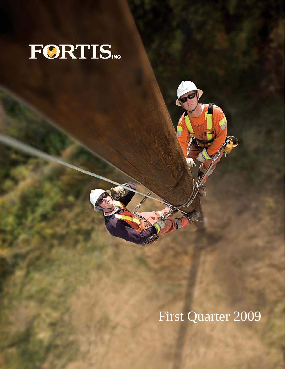

First Quarter 2009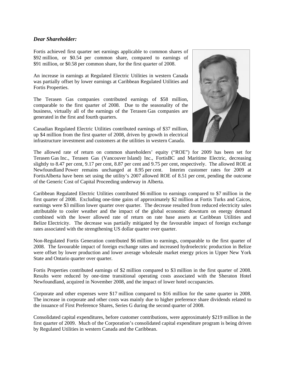#### *Dear Shareholder:*

Fortis achieved first quarter net earnings applicable to common shares of \$92 million, or \$0.54 per common share, compared to earnings of \$91 million, or \$0.58 per common share, for the first quarter of 2008.

An increase in earnings at Regulated Electric Utilities in western Canada was partially offset by lower earnings at Caribbean Regulated Utilities and Fortis Properties.

The Terasen Gas companies contributed earnings of \$58 million, comparable to the first quarter of 2008. Due to the seasonality of the business, virtually all of the earnings of the Terasen Gas companies are generated in the first and fourth quarters.

Canadian Regulated Electric Utilities contributed earnings of \$37 million, up \$4 million from the first quarter of 2008, driven by growth in electrical infrastructure investment and customers at the utilities in western Canada.



The allowed rate of return on common shareholders' equity ("ROE") for 2009 has been set for Terasen Gas Inc., Terasen Gas (Vancouver Island) Inc., FortisBC and Maritime Electric, decreasing slightly to 8.47 per cent, 9.17 per cent, 8.87 per cent and 9.75 per cent, respectively. The allowed ROE at Newfoundland Power remains unchanged at 8.95 per cent. Interim customer rates for 2009 at FortisAlberta have been set using the utility's 2007 allowed ROE of 8.51 per cent, pending the outcome of the Generic Cost of Capital Proceeding underway in Alberta.

Caribbean Regulated Electric Utilities contributed \$6 million to earnings compared to \$7 million in the first quarter of 2008. Excluding one-time gains of approximately \$2 million at Fortis Turks and Caicos, earnings were \$3 million lower quarter over quarter. The decrease resulted from reduced electricity sales attributable to cooler weather and the impact of the global economic downturn on energy demand combined with the lower allowed rate of return on rate base assets at Caribbean Utilities and Belize Electricity. The decrease was partially mitigated by the favourable impact of foreign exchange rates associated with the strengthening US dollar quarter over quarter.

Non-Regulated Fortis Generation contributed \$6 million to earnings, comparable to the first quarter of 2008. The favourable impact of foreign exchange rates and increased hydroelectric production in Belize were offset by lower production and lower average wholesale market energy prices in Upper New York State and Ontario quarter over quarter.

Fortis Properties contributed earnings of \$2 million compared to \$3 million in the first quarter of 2008. Results were reduced by one-time transitional operating costs associated with the Sheraton Hotel Newfoundland, acquired in November 2008, and the impact of lower hotel occupancies.

Corporate and other expenses were \$17 million compared to \$16 million for the same quarter in 2008. The increase in corporate and other costs was mainly due to higher preference share dividends related to the issuance of First Preference Shares, Series G during the second quarter of 2008.

Consolidated capital expenditures, before customer contributions, were approximately \$219 million in the first quarter of 2009. Much of the Corporation's consolidated capital expenditure program is being driven by Regulated Utilities in western Canada and the Caribbean.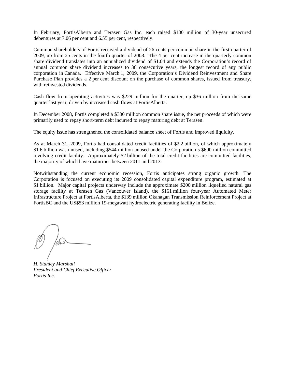In February, FortisAlberta and Terasen Gas Inc. each raised \$100 million of 30-year unsecured debentures at 7.06 per cent and 6.55 per cent, respectively.

Common shareholders of Fortis received a dividend of 26 cents per common share in the first quarter of 2009, up from 25 cents in the fourth quarter of 2008. The 4 per cent increase in the quarterly common share dividend translates into an annualized dividend of \$1.04 and extends the Corporation's record of annual common share dividend increases to 36 consecutive years, the longest record of any public corporation in Canada. Effective March 1, 2009, the Corporation's Dividend Reinvestment and Share Purchase Plan provides a 2 per cent discount on the purchase of common shares, issued from treasury, with reinvested dividends.

Cash flow from operating activities was \$229 million for the quarter, up \$36 million from the same quarter last year, driven by increased cash flows at FortisAlberta.

In December 2008, Fortis completed a \$300 million common share issue, the net proceeds of which were primarily used to repay short-term debt incurred to repay maturing debt at Terasen.

The equity issue has strengthened the consolidated balance sheet of Fortis and improved liquidity.

As at March 31, 2009, Fortis had consolidated credit facilities of \$2.2 billion, of which approximately \$1.6 billion was unused, including \$544 million unused under the Corporation's \$600 million committed revolving credit facility. Approximately \$2 billion of the total credit facilities are committed facilities, the majority of which have maturities between 2011 and 2013.

Notwithstanding the current economic recession, Fortis anticipates strong organic growth. The Corporation is focused on executing its 2009 consolidated capital expenditure program, estimated at \$1 billion. Major capital projects underway include the approximate \$200 million liquefied natural gas storage facility at Terasen Gas (Vancouver Island), the \$161 million four-year Automated Meter Infrastructure Project at FortisAlberta, the \$139 million Okanagan Transmission Reinforcement Project at FortisBC and the US\$53 million 19-megawatt hydroelectric generating facility in Belize.

*H. Stanley Marshall President and Chief Executive Officer Fortis Inc.*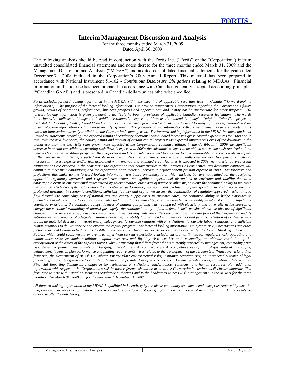## **Interim Management Discussion and Analysis**

For the three months ended March 31, 2009 Dated April 30, 2009

The following analysis should be read in conjunction with the Fortis Inc. ("Fortis" or the "Corporation") interim unaudited consolidated financial statements and notes thereto for the three months ended March 31, 2009 and the Management Discussion and Analysis ("MD&A") and audited consolidated financial statements for the year ended December 31, 2008 included in the Corporation's 2008 Annual Report. This material has been prepared in accordance with National Instrument 51-102 - *Continuous Disclosure Obligations* relating to MD&As. Financial information in this release has been prepared in accordance with Canadian generally accepted accounting principles ("Canadian GAAP") and is presented in Canadian dollars unless otherwise specified.

*Fortis includes forward-looking information in the MD&A within the meaning of applicable securities laws in Canada ("forward-looking information"). The purpose of the forward-looking information is to provide management's expectations regarding the Corporation's future growth, results of operations, performance, business prospects and opportunities, and it may not be appropriate for other purposes. All forward-looking information is given pursuant to the "safe harbour" provisions of applicable Canadian securities legislation. The words "anticipates", "believes", "budgets", "could", "estimates", "expects", "forecasts", "intends", "may", "might", "plans", "projects", "schedule", "should", "will", "would" and similar expressions are often intended to identify forward-looking information, although not all forward-looking information contains these identifying words. The forward-looking information reflects management's current beliefs and is based on information currently available to the Corporation's management. The forward-looking information in the MD&A includes, but is not limited to, statements regarding: the expected timing of regulatory decisions; consolidated forecasted gross capital expenditures for 2009 and in total over the next five years; the nature, timing and amount of certain capital projects; the expected impacts on Fortis of the downturn in the global economy; the electricity sales growth rate expected at the Corporation's regulated utilities in the Caribbean in 2009; no significant decrease in annual consolidated operating cash flows is expected in 2009; the subsidiaries expect to be able to source the cash required to fund their 2009 capital expenditure programs; the Corporation and its subsidiaries expect to continue to have reasonable access to long-term capital*  in the near to medium terms; expected long-term debt maturities and repayments on average annually over the next five years; no material increase in interest expense and/or fees associated with renewed and extended credit facilities is expected in 2009; no material adverse credit *rating actions are expected in the near term; the expectation that counterparties to the Terasen Gas companies' gas derivative contracts will continue to meet their obligations; and the expectation of no material increase in defined benefit pension expense in 2009. The forecasts and projections that make up the forward-looking information are based on assumptions which include, but are not limited to: the receipt of applicable regulatory approvals and requested rate orders; no significant operational disruptions or environmental liability due to a catastrophic event or environmental upset caused by severe weather, other acts of nature or other major event; the continued ability to maintain the gas and electricity systems to ensure their continued performance; no significant decline in capital spending in 2009; no severe and prolonged downturn in economic conditions; sufficient liquidity and capital resources; the continuation of regulator-approved mechanisms to flow through the commodity cost of natural gas and energy supply costs in customer rates; the continued ability to hedge exposures to fluctuations in interest rates, foreign exchange rates and natural gas commodity prices; no significant variability in interest rates; no significant counterparty defaults; the continued competitiveness of natural gas pricing when compared with electricity and other alternative sources of*  energy; the continued availability of natural gas supply; the continued ability to fund defined benefit pension plans; the absence of significant *changes in government energy plans and environmental laws that may materially affect the operations and cash flows of the Corporation and its subsidiaries; maintenance of adequate insurance coverage; the ability to obtain and maintain licences and permits; retention of existing service areas; no material decrease in market energy sales prices; favourable relations with First Nations; favourable labour relations; and sufficient human resources to deliver service and execute the capital program. The forward-looking information is subject to risks, uncertainties and other factors that could cause actual results to differ materially from historical results or results anticipated by the forward-looking information. Factors which could cause results or events to differ from current expectations include, but are not limited to: regulatory risk; operating and maintenance risks; economic conditions; capital resources and liquidity risk; weather and seasonality; an ultimate resolution of the expropriation of the assets of the Exploits River Hydro Partnership that differs from what is currently expected by management; commodity price risk; derivative financial instruments and hedging; interest rate risk; counterparty risk; competitiveness of natural gas; natural gas supply; defined benefit pension plan performance and funding requirements; risks related to the development of the Terasen Gas (Vancouver Island) Inc. franchise; the Government of British Columbia's Energy Plan; environmental risks; insurance coverage risk; an unexpected outcome of legal proceedings currently against the Corporation; licences and permits; loss of service area; market energy sales prices; transition to International Financial Reporting Standards; changes in tax legislation; First Nations' lands; labour relations; and human resources. For additional information with respect to the Corporation's risk factors, reference should be made to the Corporation's continuous disclosure materials filed from time to time with Canadian securities regulatory authorities and to the heading "Business Risk Management" in the MD&A for the three months ended March 31, 2009 and for the year ended December 31, 2008.* 

*All forward-looking information in the MD&A is qualified in its entirety by the above cautionary statements and, except as required by law, the Corporation undertakes no obligation to revise or update any forward-looking information as a result of new information, future events or otherwise after the date hereof.* 

l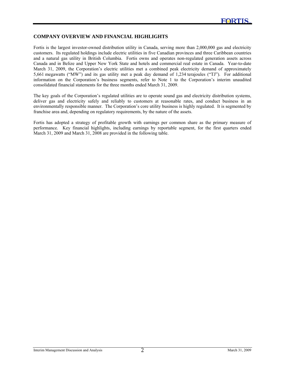#### **COMPANY OVERVIEW AND FINANCIAL HIGHLIGHTS**

l

Fortis is the largest investor-owned distribution utility in Canada, serving more than 2,000,000 gas and electricity customers. Its regulated holdings include electric utilities in five Canadian provinces and three Caribbean countries and a natural gas utility in British Columbia. Fortis owns and operates non-regulated generation assets across Canada and in Belize and Upper New York State and hotels and commercial real estate in Canada. Year-to-date March 31, 2009, the Corporation's electric utilities met a combined peak electricity demand of approximately 5,661 megawatts ("MW") and its gas utility met a peak day demand of 1,234 terajoules ("TJ"). For additional information on the Corporation's business segments, refer to Note 1 to the Corporation's interim unaudited consolidated financial statements for the three months ended March 31, 2009.

The key goals of the Corporation's regulated utilities are to operate sound gas and electricity distribution systems, deliver gas and electricity safely and reliably to customers at reasonable rates, and conduct business in an environmentally responsible manner. The Corporation's core utility business is highly regulated. It is segmented by franchise area and, depending on regulatory requirements, by the nature of the assets.

Fortis has adopted a strategy of profitable growth with earnings per common share as the primary measure of performance. Key financial highlights, including earnings by reportable segment, for the first quarters ended March 31, 2009 and March 31, 2008 are provided in the following table.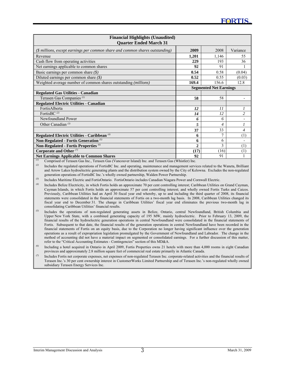| <b>Financial Highlights (Unaudited)</b><br><b>Quarter Ended March 31</b>      |                |                               |                |
|-------------------------------------------------------------------------------|----------------|-------------------------------|----------------|
| (\$ millions, except earnings per common share and common shares outstanding) | 2009           | 2008                          | Variance       |
| Revenue                                                                       | 1,201          | 1,146                         | 55             |
| Cash flow from operating activities                                           | 229            | 193                           | 36             |
| Net earnings applicable to common shares                                      | 92             | 91                            |                |
| Basic earnings per common share $(\$)$                                        | 0.54           | 0.58                          | (0.04)         |
| Diluted earnings per common share (\$)                                        | 0.52           | 0.55                          | (0.03)         |
| Weighted average number of common shares outstanding (millions)               | 169.4          | 156.6                         | 12.8           |
|                                                                               |                | <b>Segmented Net Earnings</b> |                |
| <b>Regulated Gas Utilities - Canadian</b>                                     |                |                               |                |
| Terasen Gas Companies <sup>(1)</sup>                                          | 58             | 58                            |                |
| <b>Regulated Electric Utilities - Canadian</b>                                |                |                               |                |
| FortisAlberta                                                                 | 12             | 11                            |                |
| FortisBC $(2)$                                                                | 14             | 12                            | $\overline{c}$ |
| Newfoundland Power                                                            | 6              | 6                             |                |
| Other Canadian <sup>(3)</sup>                                                 | 5              | 4                             |                |
|                                                                               | 37             | 33                            | 4              |
| Regulated Electric Utilities - Caribbean <sup>(4)</sup>                       | 6              | $\mathcal{I}$                 | (1)            |
| Non-Regulated - Fortis Generation <sup>(5)</sup>                              | 6              | 6                             |                |
| Non-Regulated - Fortis Properties <sup>(6)</sup>                              | $\overline{2}$ | 3                             | (1)            |
| Corporate and Other <sup>(7)</sup>                                            | (17)           | (16)                          | (1)            |
| <b>Net Earnings Applicable to Common Shares</b>                               | 92             | 91                            |                |

*(1)* Comprised of Terasen Gas Inc., Terasen Gas (Vancouver Island) Inc. and Terasen Gas (Whistler) Inc.

*(2)* Includes the regulated operations of FortisBC Inc. and operating, maintenance and management services related to the Waneta, Brilliant and Arrow Lakes hydroelectric generating plants and the distribution system owned by the City of Kelowna. Excludes the non-regulated generation operations of FortisBC Inc.'s wholly owned partnership, Walden Power Partnership.

*(3)* Includes Maritime Electric and FortisOntario. FortisOntario includes Canadian Niagara Power and Cornwall Electric.

*(4)* Includes Belize Electricity, in which Fortis holds an approximate 70 per cent controlling interest; Caribbean Utilities on Grand Cayman, Cayman Islands, in which Fortis holds an approximate 57 per cent controlling interest; and wholly owned Fortis Turks and Caicos. Previously, Caribbean Utilities had an April 30 fiscal year end whereby, up to and including the third quarter of 2008, its financial statements were consolidated in the financial statements of Fortis on a two-month lag basis. In 2008, Caribbean Utilities changed its fiscal year end to December 31. The change in Caribbean Utilities' fiscal year end eliminates the previous two-month lag in consolidating Caribbean Utilities' financial results.

*(5)* Includes the operations of non-regulated generating assets in Belize, Ontario, central Newfoundland, British Columbia and Upper New York State, with a combined generating capacity of 195 MW, mainly hydroelectric. Prior to February 13, 2009, the financial results of the hydroelectric generation operations in central Newfoundland were consolidated in the financial statements of Fortis. Subsequent to that date, the financial results of the generation operations in central Newfoundland have been recorded in the financial statements of Fortis on an equity basis, due to the Corporation no longer having significant influence over the generation operations as a result of expropriation legislation promulgated by the Government of Newfoundland and Labrador. The change in the method of accounting did not have a material impact on segmented or consolidated earnings. For a further discussion of this matter, refer to the "Critical Accounting Estimates - Contingencies" section of this MD&A.

*(6)* Including a hotel acquired in Ontario in April 2009, Fortis Properties owns 21 hotels with more than 4,000 rooms in eight Canadian provinces and approximately 2.8 million square feet of commercial real estate primarily in Atlantic Canada.

*(7)* Includes Fortis net corporate expenses, net expenses of non-regulated Terasen Inc. corporate-related activities and the financial results of Terasen Inc.'s 30 per cent ownership interest in CustomerWorks Limited Partnership and of Terasen Inc.'s non-regulated wholly owned subsidiary Terasen Energy Services Inc.

l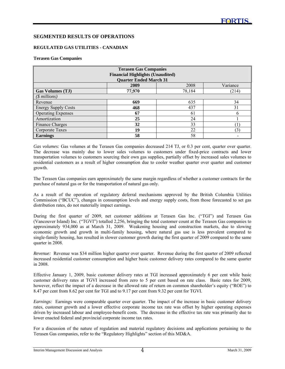#### **SEGMENTED RESULTS OF OPERATIONS**

#### **REGULATED GAS UTILITIES - CANADIAN**

#### **Terasen Gas Companies**

l

| <b>Terasen Gas Companies</b> |                                         |        |          |  |
|------------------------------|-----------------------------------------|--------|----------|--|
|                              | <b>Financial Highlights (Unaudited)</b> |        |          |  |
|                              | <b>Quarter Ended March 31</b>           |        |          |  |
|                              | 2009                                    | 2008   | Variance |  |
| <b>Gas Volumes (TJ)</b>      | 77,970                                  | 78,184 | (214)    |  |
| $(\text{\$millions})$        |                                         |        |          |  |
| Revenue                      | 669                                     | 635    | 34       |  |
| <b>Energy Supply Costs</b>   | 468                                     | 437    | 31       |  |
| <b>Operating Expenses</b>    | 67                                      | 61     | 6        |  |
| Amortization                 | 25                                      | 24     |          |  |
| <b>Finance Charges</b>       | 32                                      | 33     |          |  |
| Corporate Taxes              | 19                                      | 22     | (3)      |  |
| Earnings                     | 58                                      | 58     |          |  |

*Gas volumes:* Gas volumes at the Terasen Gas companies decreased 214 TJ, or 0.3 per cent, quarter over quarter. The decrease was mainly due to lower sales volumes to customers under fixed-price contracts and lower transportation volumes to customers sourcing their own gas supplies, partially offset by increased sales volumes to residential customers as a result of higher consumption due to cooler weather quarter over quarter and customer growth.

The Terasen Gas companies earn approximately the same margin regardless of whether a customer contracts for the purchase of natural gas or for the transportation of natural gas only.

As a result of the operation of regulatory deferral mechanisms approved by the British Columbia Utilities Commission ("BCUC"), changes in consumption levels and energy supply costs, from those forecasted to set gas distribution rates, do not materially impact earnings.

During the first quarter of 2009, net customer additions at Terasen Gas Inc. ("TGI") and Terasen Gas (Vancouver Island) Inc. ("TGVI") totalled 2,256, bringing the total customer count at the Terasen Gas companies to approximately 934,000 as at March 31, 2009. Weakening housing and construction markets, due to slowing economic growth and growth in multi-family housing, where natural gas use is less prevalent compared to single-family housing, has resulted in slower customer growth during the first quarter of 2009 compared to the same quarter in 2008.

*Revenue:* Revenue was \$34 million higher quarter over quarter. Revenue during the first quarter of 2009 reflected increased residential customer consumption and higher basic customer delivery rates compared to the same quarter in 2008.

Effective January 1, 2009, basic customer delivery rates at TGI increased approximately 6 per cent while basic customer delivery rates at TGVI increased from zero to 5 per cent based on rate class. Basic rates for 2009, however, reflect the impact of a decrease in the allowed rate of return on common shareholder's equity ("ROE") to 8.47 per cent from 8.62 per cent for TGI and to 9.17 per cent from 9.32 per cent for TGVI.

*Earnings:* Earnings were comparable quarter over quarter. The impact of the increase in basic customer delivery rates, customer growth and a lower effective corporate income tax rate was offset by higher operating expenses driven by increased labour and employee-benefit costs. The decrease in the effective tax rate was primarily due to lower enacted federal and provincial corporate income tax rates.

For a discussion of the nature of regulation and material regulatory decisions and applications pertaining to the Terasen Gas companies, refer to the "Regulatory Highlights" section of this MD&A.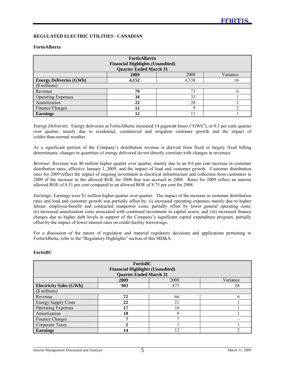#### **REGULATED ELECTRIC UTILITIES - CANADIAN**

#### **FortisAlberta**

l

| <b>FortisAlberta</b><br><b>Financial Highlights (Unaudited)</b> |                               |       |          |
|-----------------------------------------------------------------|-------------------------------|-------|----------|
|                                                                 | <b>Quarter Ended March 31</b> |       |          |
|                                                                 | 2009                          | 2008  | Variance |
| <b>Energy Deliveries (GWh)</b>                                  | 4,152                         | 4,138 | 14       |
| $($$ millions)                                                  |                               |       |          |
| Revenue                                                         | 79                            | 73    |          |
| <b>Operating Expenses</b>                                       | 34                            | 33    |          |
| Amortization                                                    | 22                            | 20    |          |
| Finance Charges                                                 | 11                            |       |          |
| <b>Earnings</b>                                                 | 12                            |       |          |

*Energy Deliveries:* Energy deliveries at FortisAlberta increased 14 gigawatt hours ("GWh"), or 0.3 per cent, quarter over quarter, mainly due to residential, commercial and irrigation customer growth and the impact of colder-than-normal weather.

As a significant portion of the Company's distribution revenue is derived from fixed or largely fixed billing determinants, changes in quantities of energy delivered do not directly correlate with changes in revenues.

*Revenue:* Revenue was \$6 million higher quarter over quarter, mainly due to an 8.6 per cent increase in customer distribution rates, effective January 1, 2009, and the impact of load and customer growth. Customer distribution rates for 2009 reflect the impact of ongoing investment in electrical infrastructure and collection from customers in 2009 of the increase in the allowed ROE for 2008 that was accrued in 2008. Rates for 2009 reflect an interim allowed ROE of 8.51 per cent compared to an allowed ROE of 8.75 per cent for 2008.

*Earnings:* Earnings were \$1 million higher quarter over quarter. The impact of the increase in customer distribution rates and load and customer growth was partially offset by: (i) increased operating expenses mainly due to higher labour, employee-benefit and contracted manpower costs, partially offset by lower general operating costs; (ii) increased amortization costs associated with continued investment in capital assets; and (iii) increased finance charges due to higher debt levels in support of the Company's significant capital expenditure program, partially offset by the impact of lower interest rates on credit-facility borrowings.

For a discussion of the nature of regulation and material regulatory decisions and applications pertaining to FortisAlberta, refer to the "Regulatory Highlights" section of this MD&A.

### **FortisBC**

| <b>FortisBC</b><br><b>Financial Highlights (Unaudited)</b><br><b>Quarter Ended March 31</b> |      |             |          |
|---------------------------------------------------------------------------------------------|------|-------------|----------|
|                                                                                             | 2009 | 2008        | Variance |
| <b>Electricity Sales (GWh)</b>                                                              | 903  | 875         | 28       |
| $($ millions)$                                                                              |      |             |          |
| Revenue                                                                                     | 72   | 66          | h        |
| <b>Energy Supply Costs</b>                                                                  | 22   | 21          |          |
| <b>Operating Expenses</b>                                                                   | 17   | 16          |          |
| Amortization                                                                                | 10   | $\mathbf Q$ |          |
| Finance Charges                                                                             | 7    | п,          |          |
| Corporate Taxes                                                                             | 2    |             |          |
| <b>Earnings</b>                                                                             | 14   | ר ו         |          |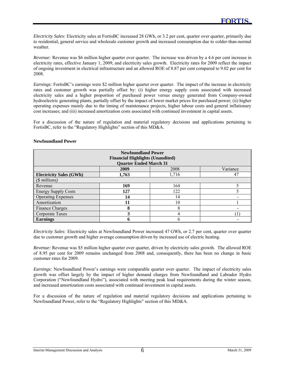*Electricity Sales:* Electricity sales at FortisBC increased 28 GWh, or 3.2 per cent, quarter over quarter, primarily due to residential, general service and wholesale customer growth and increased consumption due to colder-than-normal weather.

*Revenue:* Revenue was \$6 million higher quarter over quarter. The increase was driven by a 4.6 per cent increase in electricity rates, effective January 1, 2009, and electricity sales growth. Electricity rates for 2009 reflect the impact of ongoing investment in electrical infrastructure and an allowed ROE of 8.87 per cent compared to 9.02 per cent for 2008.

*Earnings:* FortisBC's earnings were \$2 million higher quarter over quarter. The impact of the increase in electricity rates and customer growth was partially offset by: (i) higher energy supply costs associated with increased electricity sales and a higher proportion of purchased power versus energy generated from Company-owned hydroelectric generating plants, partially offset by the impact of lower market prices for purchased power; (ii) higher operating expenses mainly due to the timing of maintenance projects, higher labour costs and general inflationary cost increases; and (iii) increased amortization costs associated with continued investment in capital assets.

For a discussion of the nature of regulation and material regulatory decisions and applications pertaining to FortisBC, refer to the "Regulatory Highlights" section of this MD&A.

| <b>Newfoundland Power</b><br><b>Financial Highlights (Unaudited)</b><br><b>Quarter Ended March 31</b> |       |              |          |  |
|-------------------------------------------------------------------------------------------------------|-------|--------------|----------|--|
|                                                                                                       | 2009  | 2008         | Variance |  |
| <b>Electricity Sales (GWh)</b>                                                                        | 1,763 | 1,716        | 47       |  |
| $(\text{\$millions})$                                                                                 |       |              |          |  |
| Revenue                                                                                               | 169   | 164          |          |  |
| <b>Energy Supply Costs</b>                                                                            | 127   | 122          |          |  |
| <b>Operating Expenses</b>                                                                             | 14    | 14           |          |  |
| Amortization                                                                                          | 11    | 10           |          |  |
| Finance Charges                                                                                       | 8     | 8            |          |  |
| Corporate Taxes                                                                                       | 3     | 4            |          |  |
| <b>Earnings</b>                                                                                       | h     | <sub>6</sub> |          |  |

#### **Newfoundland Power**

l

*Electricity Sales:* Electricity sales at Newfoundland Power increased 47 GWh, or 2.7 per cent, quarter over quarter due to customer growth and higher average consumption driven by increased use of electric heating.

*Revenue:* Revenue was \$5 million higher quarter over quarter, driven by electricity sales growth. The allowed ROE of 8.95 per cent for 2009 remains unchanged from 2008 and, consequently, there has been no change in basic customer rates for 2009.

*Earnings:* Newfoundland Power's earnings were comparable quarter over quarter. The impact of electricity sales growth was offset largely by the impact of higher demand charges from Newfoundland and Labrador Hydro Corporation ("Newfoundland Hydro"), associated with meeting peak load requirements during the winter season, and increased amortization costs associated with continued investment in capital assets.

For a discussion of the nature of regulation and material regulatory decisions and applications pertaining to Newfoundland Power, refer to the "Regulatory Highlights" section of this MD&A.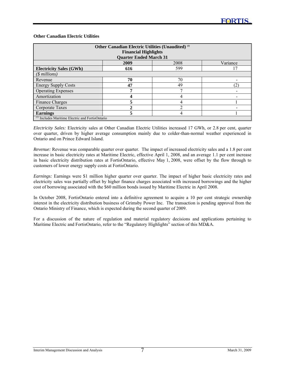#### **Other Canadian Electric Utilities**

l

| Other Canadian Electric Utilities (Unaudited) <sup>(1)</sup> |                               |      |          |
|--------------------------------------------------------------|-------------------------------|------|----------|
|                                                              | <b>Financial Highlights</b>   |      |          |
|                                                              | <b>Quarter Ended March 31</b> |      |          |
|                                                              | 2009                          | 2008 | Variance |
| <b>Electricity Sales (GWh)</b>                               | 616                           | 599  |          |
| $(\text{\$ millions})$                                       |                               |      |          |
| Revenue                                                      | 70                            | 70   |          |
| <b>Energy Supply Costs</b>                                   | 47                            | 49   | (2       |
| <b>Operating Expenses</b>                                    |                               |      |          |
| Amortization                                                 |                               | 4    |          |
| Finance Charges                                              | 5                             |      |          |
| Corporate Taxes                                              |                               |      |          |
| <b>Earnings</b>                                              | 5                             | 4    |          |
| $\mu$ Includes Maritime Electric and FortisOntario           |                               |      |          |

*Electricity Sales:* Electricity sales at Other Canadian Electric Utilities increased 17 GWh, or 2.8 per cent, quarter over quarter, driven by higher average consumption mainly due to colder-than-normal weather experienced in Ontario and on Prince Edward Island.

*Revenue:* Revenue was comparable quarter over quarter. The impact of increased electricity sales and a 1.8 per cent increase in basic electricity rates at Maritime Electric, effective April 1, 2008, and an average 1.1 per cent increase in basic electricity distribution rates at FortisOntario, effective May 1, 2008, were offset by the flow through to customers of lower energy supply costs at FortisOntario.

*Earnings:* Earnings were \$1 million higher quarter over quarter. The impact of higher basic electricity rates and electricity sales was partially offset by higher finance charges associated with increased borrowings and the higher cost of borrowing associated with the \$60 million bonds issued by Maritime Electric in April 2008.

In October 2008, FortisOntario entered into a definitive agreement to acquire a 10 per cent strategic ownership interest in the electricity distribution business of Grimsby Power Inc. The transaction is pending approval from the Ontario Ministry of Finance, which is expected during the second quarter of 2009.

For a discussion of the nature of regulation and material regulatory decisions and applications pertaining to Maritime Electric and FortisOntario, refer to the "Regulatory Highlights" section of this MD&A.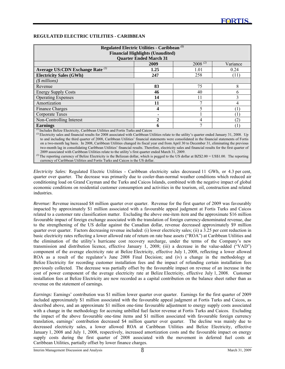#### **REGULATED ELECTRIC UTILITIES - CARIBBEAN**

l

| Regulated Electric Utilities - Caribbean <sup>(1)</sup><br><b>Financial Highlights (Unaudited)</b><br><b>Quarter Ended March 31</b> |               |              |               |  |
|-------------------------------------------------------------------------------------------------------------------------------------|---------------|--------------|---------------|--|
|                                                                                                                                     | 2009          | $2008^{(2)}$ | Variance      |  |
| Average US:CDN Exchange Rate (3)                                                                                                    | 1.25          | 1.01         | 0.24          |  |
| <b>Electricity Sales (GWh)</b>                                                                                                      | 247           | 258          | (11)          |  |
| $(S$ millions)                                                                                                                      |               |              |               |  |
| Revenue                                                                                                                             | 83            | 75           | 8             |  |
| <b>Energy Supply Costs</b>                                                                                                          | 46            | 40           | 6             |  |
| <b>Operating Expenses</b>                                                                                                           | 14            |              | $\mathcal{L}$ |  |
| Amortization                                                                                                                        | 11            |              | 4             |  |
| Finance Charges                                                                                                                     | 4             |              |               |  |
| Corporate Taxes                                                                                                                     |               |              |               |  |
| Non-Controlling Interest                                                                                                            | $\mathcal{D}$ |              | (2)           |  |
| <b>Earnings</b><br>(1) Includes Delige Electricity, Coribbean Utilities and Fortis Turks and Coices                                 | 6             |              |               |  |

<sup>12</sup>Includes Belize Electricity, Caribbean Utilities and Fortis Turks and Caicos<br><sup>(2)</sup>Electricity sales and financial results for 2008 associated with Caribbean Utilities relate to the utility's quarter ended January 31, 2 to and including the third quarter of 2008, Caribbean Utilities' financial statements were consolidated in the financial statements of Fortis on a two-month lag basis. In 2008, Caribbean Utilities changed its fiscal year end from April 30 to December 31, eliminating the previous two-month lag in consolidating Caribbean Utilities' financial results. Therefore, electricity sales and financial results for the first quarter of 2009 associated with Caribbean Utilities relate to the utility's first quarter ended March 31, 2009.

<sup>(3)</sup> The reporting currency of Belize Electricity is the Belizean dollar, which is pegged to the US dollar at BZ\$2.00 = US\$1.00. The reporting currency of Caribbean Utilities and Fortis Turks and Caicos is the US dollar.

*Electricity Sales:* Regulated Electric Utilities - Caribbean electricity sales decreased 11 GWh, or 4.3 per cent, quarter over quarter. The decrease was primarily due to cooler-than-normal weather conditions which reduced air conditioning load on Grand Cayman and the Turks and Caicos Islands, combined with the negative impact of global economic conditions on residential customer consumption and activities in the tourism, oil, construction and related industries.

*Revenue:* Revenue increased \$8 million quarter over quarter. Revenue for the first quarter of 2009 was favourably impacted by approximately \$1 million associated with a favourable appeal judgment at Fortis Turks and Caicos related to a customer rate classification matter. Excluding the above one-item item and the approximate \$16 million favourable impact of foreign exchange associated with the translation of foreign currency-denominated revenue, due to the strengthening of the US dollar against the Canadian dollar, revenue decreased approximately \$9 million quarter over quarter. Factors decreasing revenue included: (i) lower electricity sales; (ii) a 3.25 per cent reduction in basic electricity rates reflecting a lower allowed rate of return on rate base assets ("ROA") at Caribbean Utilities and the elimination of the utility's hurricane cost recovery surcharge, under the terms of the Company's new transmission and distribution licence, effective January 1, 2008; (iii) a decrease in the value-added ("VAD") component of the average electricity rate at Belize Electricity, effective July 1, 2008, reflecting a lower allowed ROA as a result of the regulator's June 2008 Final Decision; and (iv) a change in the methodology at Belize Electricity for recording customer installation fees and the impact of refunding certain installation fees previously collected. The decrease was partially offset by the favourable impact on revenue of an increase in the cost of power component of the average electricity rate at Belize Electricity, effective July 1, 2008. Customer installation fees at Belize Electricity are now recorded as a capital contribution on the balance sheet rather than as revenue on the statement of earnings.

*Earnings:* Earnings' contribution was \$1 million lower quarter over quarter. Earnings for the first quarter of 2009 included approximately \$1 million associated with the favourable appeal judgment at Fortis Turks and Caicos, as described above, and an approximate \$1 million one-time favourable adjustment to energy supply costs associated with a change in the methodology for accruing unbilled fuel factor revenue at Fortis Turks and Caicos. Excluding the impact of the above favourable one-time items and \$1 million associated with favourable foreign currency translation, earnings' contribution decreased \$4 million quarter over quarter. The decline was mainly due to decreased electricity sales, a lower allowed ROA at Caribbean Utilities and Belize Electricity, effective January 1, 2008 and July 1, 2008, respectively, increased amortization costs and the favourable impact on energy supply costs during the first quarter of 2008 associated with the movement in deferred fuel costs at Caribbean Utilities, partially offset by lower finance charges.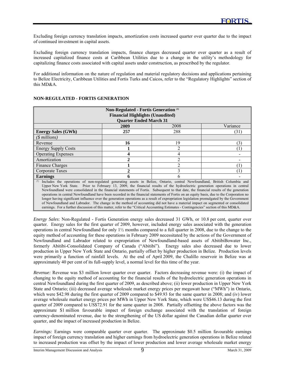Excluding foreign currency translation impacts, amortization costs increased quarter over quarter due to the impact of continued investment in capital assets.

Excluding foreign currency translation impacts, finance charges decreased quarter over quarter as a result of increased capitalized finance costs at Caribbean Utilities due to a change in the utility's methodology for capitalizing finance costs associated with capital assets under construction, as prescribed by the regulator.

For additional information on the nature of regulation and material regulatory decisions and applications pertaining to Belize Electricity, Caribbean Utilities and Fortis Turks and Caicos, refer to the "Regulatory Highlights" section of this MD&A.

| Non-Regulated - Fortis Generation <sup>(1)</sup><br><b>Financial Highlights (Unaudited)</b><br><b>Quarter Ended March 31</b>                                                                                                                                                                                                                                                                                                                                                                                                                                                                                                                                                                                                                                                                                                                                                                                                                                                |                |                |          |
|-----------------------------------------------------------------------------------------------------------------------------------------------------------------------------------------------------------------------------------------------------------------------------------------------------------------------------------------------------------------------------------------------------------------------------------------------------------------------------------------------------------------------------------------------------------------------------------------------------------------------------------------------------------------------------------------------------------------------------------------------------------------------------------------------------------------------------------------------------------------------------------------------------------------------------------------------------------------------------|----------------|----------------|----------|
|                                                                                                                                                                                                                                                                                                                                                                                                                                                                                                                                                                                                                                                                                                                                                                                                                                                                                                                                                                             | 2009           | 2008           | Variance |
| <b>Energy Sales (GWh)</b>                                                                                                                                                                                                                                                                                                                                                                                                                                                                                                                                                                                                                                                                                                                                                                                                                                                                                                                                                   | 257            | 288            | (31)     |
| $($$ millions)                                                                                                                                                                                                                                                                                                                                                                                                                                                                                                                                                                                                                                                                                                                                                                                                                                                                                                                                                              |                |                |          |
| Revenue                                                                                                                                                                                                                                                                                                                                                                                                                                                                                                                                                                                                                                                                                                                                                                                                                                                                                                                                                                     | 16             | 19             | (3)      |
| <b>Energy Supply Costs</b>                                                                                                                                                                                                                                                                                                                                                                                                                                                                                                                                                                                                                                                                                                                                                                                                                                                                                                                                                  |                | 2              | (1       |
| <b>Operating Expenses</b>                                                                                                                                                                                                                                                                                                                                                                                                                                                                                                                                                                                                                                                                                                                                                                                                                                                                                                                                                   | 4              | 4              |          |
| Amortization                                                                                                                                                                                                                                                                                                                                                                                                                                                                                                                                                                                                                                                                                                                                                                                                                                                                                                                                                                | $\mathbf{2}$   | $\overline{c}$ |          |
| Finance Charges                                                                                                                                                                                                                                                                                                                                                                                                                                                                                                                                                                                                                                                                                                                                                                                                                                                                                                                                                             |                | $\overline{2}$ |          |
| Corporate Taxes                                                                                                                                                                                                                                                                                                                                                                                                                                                                                                                                                                                                                                                                                                                                                                                                                                                                                                                                                             | $\mathfrak{D}$ | 3              |          |
| <b>Earnings</b>                                                                                                                                                                                                                                                                                                                                                                                                                                                                                                                                                                                                                                                                                                                                                                                                                                                                                                                                                             |                | 6              |          |
| Includes the operations of non-regulated generating assets in Belize, Ontario, central Newfoundland, British Columbia and<br>Upper New York State. Prior to February 13, 2009, the financial results of the hydroelectric generation operations in central<br>Newfoundland were consolidated in the financial statements of Fortis. Subsequent to that date, the financial results of the generation<br>operations in central Newfoundland have been recorded in the financial statements of Fortis on an equity basis, due to the Corporation no<br>longer having significant influence over the generation operations as a result of expropriation legislation promulgated by the Government<br>of Newfoundland and Labrador. The change in the method of accounting did not have a material impact on segmented or consolidated<br>earnings. For a further discussion of this matter, refer to the "Critical Accounting Estimates - Contingencies" section of this MD&A. |                |                |          |

#### **NON-REGULATED - FORTIS GENERATION**

l

*Energy Sales*: Non-Regulated - Fortis Generation energy sales decreased 31 GWh, or 10.8 per cent, quarter over quarter. Energy sales for the first quarter of 2009, however, included energy sales associated with the generation operations in central Newfoundland for only 1½ months compared to a full quarter in 2008, due to the change to the equity method of accounting for these operations in February 2009 necessitated by the actions of the Government of Newfoundland and Labrador related to expropriation of Newfoundland-based assets of AbitibiBowater Inc., formerly Abitibi-Consolidated Company of Canada ("Abitibi"). Energy sales also decreased due to lower production in Upper New York State and Ontario, partially offset by higher production in Belize. Production levels were primarily a function of rainfall levels. At the end of April 2009, the Chalillo reservoir in Belize was at approximately 40 per cent of its full-supply level, a normal level for this time of the year.

*Revenue:* Revenue was \$3 million lower quarter over quarter. Factors decreasing revenue were: (i) the impact of changing to the equity method of accounting for the financial results of the hydroelectric generation operations in central Newfoundland during the first quarter of 2009, as described above; (ii) lower production in Upper New York State and Ontario; (iii) decreased average wholesale market energy prices per megawatt hour ("MWh") in Ontario, which were \$42.98 during the first quarter of 2009 compared to \$49.93 for the same quarter in 2008; and (iv) lower average wholesale market energy prices per MWh in Upper New York State, which were US\$46.13 during the first quarter of 2009 compared to US\$72.91 for the same quarter in 2008. Partially offsetting the above factors was the approximate \$1 million favourable impact of foreign exchange associated with the translation of foreign currency-denominated revenue, due to the strengthening of the US dollar against the Canadian dollar quarter over quarter, and the impact of increased production in Belize.

*Earnings:* Earnings were comparable quarter over quarter. The approximate \$0.5 million favourable earnings impact of foreign currency translation and higher earnings from hydroelectric generation operations in Belize related to increased production was offset by the impact of lower production and lower average wholesale market energy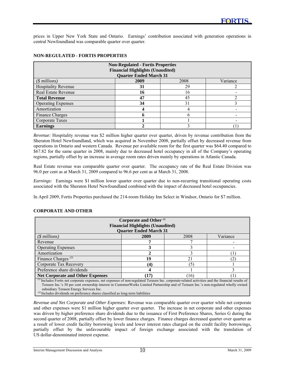prices in Upper New York State and Ontario. Earnings' contribution associated with generation operations in central Newfoundland was comparable quarter over quarter.

| <b>Non-Regulated - Fortis Properties</b><br><b>Financial Highlights (Unaudited)</b><br><b>Quarter Ended March 31</b> |      |      |          |  |
|----------------------------------------------------------------------------------------------------------------------|------|------|----------|--|
| $($$ millions)                                                                                                       | 2009 | 2008 | Variance |  |
| <b>Hospitality Revenue</b>                                                                                           | 31   | 29   |          |  |
| Real Estate Revenue                                                                                                  | 16   | 16   |          |  |
| <b>Total Revenue</b>                                                                                                 | 47   | 45   |          |  |
| <b>Operating Expenses</b>                                                                                            | 34   | 31   |          |  |
| Amortization                                                                                                         |      |      |          |  |
| Finance Charges                                                                                                      |      |      |          |  |
| Corporate Taxes                                                                                                      |      |      |          |  |
| <b>Earnings</b>                                                                                                      |      |      |          |  |

#### **NON-REGULATED - FORTIS PROPERTIES**

l

*Revenue:* Hospitality revenue was \$2 million higher quarter over quarter, driven by revenue contribution from the Sheraton Hotel Newfoundland, which was acquired in November 2008, partially offset by decreased revenue from operations in Ontario and western Canada. Revenue per available room for the first quarter was \$64.40 compared to \$67.82 for the same quarter in 2008, mainly due to decreased hotel occupancy in all of the Company's operating regions, partially offset by an increase in average room rates driven mainly by operations in Atlantic Canada.

Real Estate revenue was comparable quarter over quarter. The occupancy rate of the Real Estate Division was 96.0 per cent as at March 31, 2009 compared to 96.6 per cent as at March 31, 2008.

*Earnings:* Earnings were \$1 million lower quarter over quarter due to non-recurring transitional operating costs associated with the Sheraton Hotel Newfoundland combined with the impact of decreased hotel occupancies.

In April 2009, Fortis Properties purchased the 214-room Holiday Inn Select in Windsor, Ontario for \$7 million.

| Corporate and Other <sup>(1)</sup>                                                                                                                                                                                            |                                         |      |          |  |
|-------------------------------------------------------------------------------------------------------------------------------------------------------------------------------------------------------------------------------|-----------------------------------------|------|----------|--|
|                                                                                                                                                                                                                               | <b>Financial Highlights (Unaudited)</b> |      |          |  |
|                                                                                                                                                                                                                               | <b>Quarter Ended March 31</b>           |      |          |  |
| $(S$ millions)                                                                                                                                                                                                                | 2009                                    | 2008 | Variance |  |
| Revenue                                                                                                                                                                                                                       |                                         |      |          |  |
| <b>Operating Expenses</b>                                                                                                                                                                                                     |                                         |      |          |  |
| Amortization                                                                                                                                                                                                                  |                                         |      |          |  |
| Finance Charges <sup><math>(2)</math></sup>                                                                                                                                                                                   | 19                                      | 21   |          |  |
| Corporate Tax Recovery                                                                                                                                                                                                        | (4)                                     | 15   |          |  |
| Preference share dividends                                                                                                                                                                                                    |                                         |      |          |  |
| (17)<br><b>Net Corporate and Other Expenses</b><br>(16)                                                                                                                                                                       |                                         |      |          |  |
| $\mu$ Includes Fortis net corporate expenses, net expenses of non-regulated Terasen Inc. corporate-related activities and the financial results of                                                                            |                                         |      |          |  |
| Terasen Inc.'s 30 per cent ownership interest in CustomerWorks Limited Partnership and of Terasen Inc.'s non-regulated wholly owned                                                                                           |                                         |      |          |  |
| subsidiary Terasen Energy Services Inc.                                                                                                                                                                                       |                                         |      |          |  |
| $(2)$ To checked the short decay construction of the contract of the contract of the contract of the contract of the contract of the contract of the contract of the contract of the contract of the contract of the contract |                                         |      |          |  |

#### **CORPORATE AND OTHER**

<sup>(2)</sup> Includes dividends on preference shares classified as long-term liabilities

*Revenue and Net Corporate and Other Expenses:* Revenue was comparable quarter over quarter while net corporate and other expenses were \$1 million higher quarter over quarter. The increase in net corporate and other expenses was driven by higher preference share dividends due to the issuance of First Preference Shares, Series G during the second quarter of 2008, partially offset by lower finance charges. Finance charges decreased quarter over quarter as a result of lower credit facility borrowing levels and lower interest rates charged on the credit facility borrowings, partially offset by the unfavourable impact of foreign exchange associated with the translation of US dollar-denominated interest expense.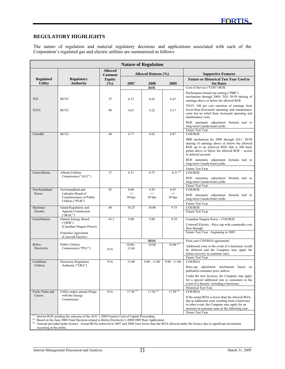#### **REGULATORY HIGHLIGHTS**

l

The nature of regulation and material regulatory decisions and applications associated with each of the Corporation's regulated gas and electric utilities are summarized as follows:

| <b>Nature of Regulation</b>        |                                                                                          |                          |                     |                 |                    |                                                                                                                                                                                                                                        |
|------------------------------------|------------------------------------------------------------------------------------------|--------------------------|---------------------|-----------------|--------------------|----------------------------------------------------------------------------------------------------------------------------------------------------------------------------------------------------------------------------------------|
|                                    |                                                                                          | <b>Allowed</b><br>Common | Allowed Returns (%) |                 |                    | <b>Supportive Features</b>                                                                                                                                                                                                             |
| <b>Regulated</b><br><b>Utility</b> | <b>Regulatory</b><br><b>Authority</b>                                                    | <b>Equity</b><br>(%)     | 2007                | 2008            | 2009               | <b>Future or Historical Test Year Used to</b><br><b>Set Rates</b>                                                                                                                                                                      |
|                                    |                                                                                          |                          |                     | <b>ROE</b>      |                    | Cost of Service ("COS")/ROE                                                                                                                                                                                                            |
| <b>TGI</b>                         | <b>BCUC</b>                                                                              | 35                       | 8.37                | 8.62            | 8.47               | Performance-based rate-setting ("PBR")<br>mechanism through 2009: TGI: 50/50 sharing of<br>earnings above or below the allowed ROE                                                                                                     |
| <b>TGVI</b>                        | <b>BCUC</b>                                                                              | 40                       | 9.07                | 9.32            | 9.17               | TGVI: 100 per cent retention of earnings from<br>lower-than-forecasted operating and maintenance<br>costs but no relief from increased operating and<br>maintenance costs                                                              |
|                                    |                                                                                          |                          |                     |                 |                    | ROE automatic adjustment formula tied to<br>long-term Canada bond yields<br>Future Test Year                                                                                                                                           |
| FortisBC                           | <b>BCUC</b>                                                                              | 40                       | 8.77                | 9.02            | 8.87               | $\overline{\mathrm{COS}/\mathrm{ROE}}$                                                                                                                                                                                                 |
|                                    |                                                                                          |                          |                     |                 |                    | PBR mechanism for 2009 through 2011: 50/50<br>sharing of earnings above or below the allowed<br>ROE up to an achieved ROE that is 200 basis<br>points above or below the allowed ROE – excess<br>to deferral account                   |
|                                    |                                                                                          |                          |                     |                 |                    | ROE automatic adjustment formula tied to<br>long-term Canada bond yields                                                                                                                                                               |
| FortisAlberta                      | Alberta Utilities                                                                        | 37                       | 8.51                | 8.75            | $8.51^{(1)}$       | Future Test Year<br>COS/ROE                                                                                                                                                                                                            |
|                                    | Commission ("AUC")                                                                       |                          |                     |                 |                    | ROE automatic adjustment formula tied to<br>long-term Canada bond yields<br>Future Test Year                                                                                                                                           |
| Newfoundland                       | Newfoundland and                                                                         | 45                       | 8.60                | 8.95            | 8.95               | <b>COS/ROE</b>                                                                                                                                                                                                                         |
| Power                              | Labrador Board of<br>Commissioners of Public<br>Utilities ("PUB")                        |                          | $^{+/-}$<br>50 bps  | $+/-$<br>50 bps | $^{+/-}$<br>50 bps | ROE automatic adjustment formula tied to<br>long-term Canada bond yields                                                                                                                                                               |
|                                    |                                                                                          |                          |                     |                 |                    | Future Test Year                                                                                                                                                                                                                       |
| Maritime<br>Electric               | <b>Island Regulatory and</b><br>Appeals Commission<br>("IRAC")                           | 40                       | 10.25               | 10.00           | 9.75               | COS/ROE<br>Future Test Year                                                                                                                                                                                                            |
| FortisOntario                      | <b>Ontario Energy Board</b>                                                              | 43.3                     | 9.00                | 9.00            | 8.39               | Canadian Niagara Power - COS/ROE                                                                                                                                                                                                       |
|                                    | ("OEB")<br>(Canadian Niagara Power)                                                      |                          |                     |                 |                    | Cornwall Electric - Price cap with commodity cost<br>flow through                                                                                                                                                                      |
|                                    | Franchise Agreement<br>(Cornwall Electric)                                               |                          |                     |                 |                    | Future Test Year - beginning in 2009                                                                                                                                                                                                   |
|                                    |                                                                                          |                          |                     | <b>ROA</b>      |                    | Four-year COS/ROA agreements                                                                                                                                                                                                           |
| <b>Belize</b>                      | <b>Public Utilities</b>                                                                  |                          | $10.00 -$           | 10.00           | $10.00^{(2)}$      | Additional costs in the event of a hurricane would                                                                                                                                                                                     |
| Electricity                        | Commission ("PUC")                                                                       | N/A                      | 15.00               |                 |                    | be deferred and the Company may apply for<br>future recovery in customer rates.                                                                                                                                                        |
| Caribbean                          | <b>Electricity Regulatory</b>                                                            | N/A                      | 15.00               | $9.00 - 11.00$  | $9.00 - 11.00$     | Future Test Year<br>COS/ROA                                                                                                                                                                                                            |
| Utilities                          | Authority ("ERA")                                                                        |                          |                     |                 |                    | Rate-cap adjustment mechanism based on<br>published consumer price indices                                                                                                                                                             |
|                                    |                                                                                          |                          |                     |                 |                    | Under the new licences, the Company may apply<br>for a special additional rate to customers in the<br>event of a disaster, including a hurricane.<br>Historical Test Year                                                              |
| Fortis Turks and                   | Utility makes annual filings                                                             | N/A                      | $17.50^{(3)}$       | $17.50^{(3)}$   | $17.50^{(3)}$      | COS/ROA                                                                                                                                                                                                                                |
| Caicos                             | with the Energy<br>Commission                                                            |                          |                     |                 |                    | If the actual ROA is lower than the allowed ROA,<br>due to additional costs resulting from a hurricane<br>or other event, the Company may apply for an<br>increase in customer rates in the following year.<br><b>Future Test Year</b> |
|                                    | (1) Interim ROE pending the outcome of the AUC's 2009 Generic Cost of Capital Proceeding |                          |                     |                 |                    |                                                                                                                                                                                                                                        |

*(2)* Based on the June 2008 Final Decision related to Belize Electricity's 2008/2009 Rate Application

*(3)* Amount provided under licence. Actual ROAs achieved in 2007 and 2008 were lower than the ROA allowed under the licence due to significant investment occurring at the utility.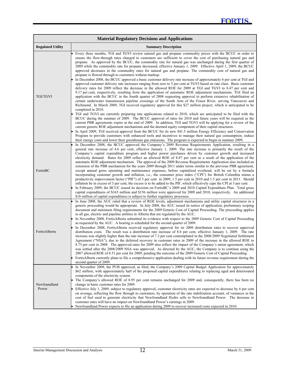|                          | <b>Material Regulatory Decisions and Applications</b>                                                                                                                                                                                                                                                                                                                                                                                                                                                                                                                                                                                                                                                                                                                                                                                                                                                                                                                                                                                                                                                                                                                                                                                                                                                                                                                                                                                                                                                                                                                                                                                                                                                                                                                                                                                                                                                                                                                                                                                                                                                                                                                                                                                |
|--------------------------|--------------------------------------------------------------------------------------------------------------------------------------------------------------------------------------------------------------------------------------------------------------------------------------------------------------------------------------------------------------------------------------------------------------------------------------------------------------------------------------------------------------------------------------------------------------------------------------------------------------------------------------------------------------------------------------------------------------------------------------------------------------------------------------------------------------------------------------------------------------------------------------------------------------------------------------------------------------------------------------------------------------------------------------------------------------------------------------------------------------------------------------------------------------------------------------------------------------------------------------------------------------------------------------------------------------------------------------------------------------------------------------------------------------------------------------------------------------------------------------------------------------------------------------------------------------------------------------------------------------------------------------------------------------------------------------------------------------------------------------------------------------------------------------------------------------------------------------------------------------------------------------------------------------------------------------------------------------------------------------------------------------------------------------------------------------------------------------------------------------------------------------------------------------------------------------------------------------------------------------|
| <b>Regulated Utility</b> | <b>Summary Description</b>                                                                                                                                                                                                                                                                                                                                                                                                                                                                                                                                                                                                                                                                                                                                                                                                                                                                                                                                                                                                                                                                                                                                                                                                                                                                                                                                                                                                                                                                                                                                                                                                                                                                                                                                                                                                                                                                                                                                                                                                                                                                                                                                                                                                           |
| <b>TGI/TGVI</b>          | Every three months, TGI and TGVI review natural gas and propane commodity prices with the BCUC in order to<br>ensure the flow-through rates charged to customers are sufficient to cover the cost of purchasing natural gas and<br>propane. As approved by the BCUC, the commodity rate for natural gas was unchanged during the first quarter of<br>2009 while the commodity rate for propane decreased, effective January 1, 2009. Effective April 1, 2009, the BCUC<br>approved decreases in the commodity rates for natural gas and propane. The commodity cost of natural gas and<br>propane is flowed through to customers without markup.<br>In December 2008, the BCUC approved a basic customer delivery rate increase of approximately 6 per cent at TGI and<br>approved customer delivery rate increases ranging from zero to 5 per cent at TGVI based on rate class. Basic customer<br>delivery rates for 2009 reflect the decrease in the allowed ROE for 2009 at TGI and TGVI to 8.47 per cent and<br>9.17 per cent, respectively, resulting from the application of automatic ROE adjustment mechanisms. TGI filed an<br>application with the BCUC in the fourth quarter of 2008 requesting approval to perform extensive rehabilitation of<br>certain underwater transmission pipeline crossings of the South Arm of the Fraser River, serving Vancouver and<br>Richmond. In March 2009, TGI received regulatory approval for this \$27 million project, which is anticipated to be<br>completed in 2010.<br>TGI and TGVI are currently preparing rate applications related to 2010, which are anticipated to be filed with the<br>BCUC during the summer of 2009. The BCUC approval of rates for 2010 and future years will be required as the<br>current PBR agreements expire at the end of 2009. In addition, TGI and TGVI will be applying for a review of the<br>current generic ROE adjustment mechanisms and the deemed equity component of their capital structures.<br>In April 2009, TGI received approval from the BCUC for its new \$41.5 million Energy Efficiency and Conservation<br>Program to provide customers with enhanced tools and incentives to manage their natural gas consumption, reduce |
| FortisBC                 | their energy costs and lower their greenhouse gas emissions. The program is expected to begin in summer 2009.<br>In December 2008, the BCUC approved the Company's 2009 Revenue Requirements Application, resulting in a<br>general rate increase of 4.6 per cent, effective January 1, 2009. The rate increase is primarily the result of the<br>Company's capital expenditure program and higher power purchases driven by customer growth and increased<br>electricity demand. Rates for 2009 reflect an allowed ROE of 8.87 per cent as a result of the application of the<br>automatic ROE adjustment mechanism. The approval of the 2009 Revenue Requirements Application also included an<br>extension of the PBR mechanism for the years 2009 through 2011 under terms similar to the previous PBR agreement,<br>except annual gross operating and maintenance expenses, before capitalized overhead, will be set by a formula<br>incorporating customer growth and inflation, i.e., the consumer price index ("CPI") for British Columbia minus a<br>productivity improvement factor ("PIF") of 3 per cent in 2009, 1.5 per cent in 2010 and 1.5 per cent in 2011. Should<br>inflation be in excess of 3 per cent, the excess is to be added to the PIF, which effectively caps the CPI at 3 per cent.<br>In February 2009, the BCUC issued its decision on FortisBC's 2009 and 2010 Capital Expenditure Plan. Total gross<br>capital expenditures of \$165 million and \$156 million were approved for 2009 and 2010, respectively. An additional<br>\$16 million of capital expenditures is subject to further regulatory processes.                                                                                                                                                                                                                                                                                                                                                                                                                                                                                                                                                                                      |
| FortisAlberta            | In June 2008, the AUC ruled that a review of ROE levels, adjustment mechanisms and utility capital structures in a<br>generic proceeding would be appropriate. In July 2008, the AUC issued its notice of application, preliminary scoping<br>document and minimum filing requirements for the 2009 Generic Cost of Capital Proceeding. The proceeding applies<br>to all gas, electric and pipeline utilities in Alberta that are regulated by the AUC.<br>In November 2008, FortisAlberta submitted its evidence with respect to the 2009 Generic Cost of Capital Proceeding<br>as requested by the AUC. A hearing is scheduled for the second quarter of 2009.<br>In December 2008, FortisAlberta received regulatory approval for its 2009 distribution rates to recover approved<br>distribution costs. The result was a distribution rate increase of 8.6 per cent, effective January 1, 2009. The rate<br>increase was slightly higher than the rate increase of 7.3 per cent contemplated in the 2008/2009 Negotiated Settlement<br>Agreement ("NSA"), due to the deferred recovery in customer rates in 2009 of the increase in the allowed ROE to<br>8.75 per cent in 2008. The approved rates for 2009 also reflect the impact of the Company's union agreement, which<br>was settled after the 2008/2009 NSA was approved. As directed by the AUC, the Company is to continue using the<br>2007 allowed ROE of 8.51 per cent for 2009, pending the outcome of the 2009 Generic Cost of Capital Proceeding.<br>FortisAlberta currently plans to file a comprehensive application dealing with its future revenue requirement during the<br>second quarter of 2009.                                                                                                                                                                                                                                                                                                                                                                                                                                                                                                                                                         |
| Newfoundland<br>Power    | In November 2008, the PUB approved, as filed, the Company's 2009 Capital Budget Application for approximately<br>\$62 million, with approximately half of the proposed capital expenditures relating to replacing aged and deteriorated<br>components of the electricity system.<br>The Company's allowed ROE of 8.95 per cent remains unchanged for 2009 and, consequently, there has been no<br>change in basic customer rates for 2009.<br>Effective July 1, 2009, subject to regulatory approval, customer electricity rates are expected to decrease by 6 per cent<br>on average, reflecting the flow through to customers, by operation of the rate stabilization account, of variances in the<br>cost of fuel used to generate electricity that Newfoundland Hydro sells to Newfoundland Power. The decrease in<br>customer rates will have no impact on Newfoundland Power's earnings in 2009.<br>Newfoundland Power expects to file an application during 2009 to recover increased costs expected in 2010.                                                                                                                                                                                                                                                                                                                                                                                                                                                                                                                                                                                                                                                                                                                                                                                                                                                                                                                                                                                                                                                                                                                                                                                                                 |

l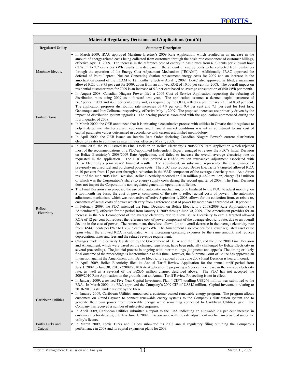| Material Regulatory Decisions and Applications (cont'd) |                                                                                                                                                                                                                                                                                                                                                                                                                                                                                                                                                                                                                                                                                                                                                                                                                                                                                                                                                                                                                                                                                                                                                                                                                                                                                                                                                                                                                                                                                                                                                                                                                                                                                                                                                                                                                                                                                                                                                                                                                                                                                                                                                                                                                                                                                                                                                                                                                                                                                                                                                                                                                                                                                                                                                                                                                                                                                                                                                                                                                                                                                                                                                                                                                                                                                                                                                                                                                                                                                                                                                                                                                                                                                                       |  |  |  |  |  |
|---------------------------------------------------------|-------------------------------------------------------------------------------------------------------------------------------------------------------------------------------------------------------------------------------------------------------------------------------------------------------------------------------------------------------------------------------------------------------------------------------------------------------------------------------------------------------------------------------------------------------------------------------------------------------------------------------------------------------------------------------------------------------------------------------------------------------------------------------------------------------------------------------------------------------------------------------------------------------------------------------------------------------------------------------------------------------------------------------------------------------------------------------------------------------------------------------------------------------------------------------------------------------------------------------------------------------------------------------------------------------------------------------------------------------------------------------------------------------------------------------------------------------------------------------------------------------------------------------------------------------------------------------------------------------------------------------------------------------------------------------------------------------------------------------------------------------------------------------------------------------------------------------------------------------------------------------------------------------------------------------------------------------------------------------------------------------------------------------------------------------------------------------------------------------------------------------------------------------------------------------------------------------------------------------------------------------------------------------------------------------------------------------------------------------------------------------------------------------------------------------------------------------------------------------------------------------------------------------------------------------------------------------------------------------------------------------------------------------------------------------------------------------------------------------------------------------------------------------------------------------------------------------------------------------------------------------------------------------------------------------------------------------------------------------------------------------------------------------------------------------------------------------------------------------------------------------------------------------------------------------------------------------------------------------------------------------------------------------------------------------------------------------------------------------------------------------------------------------------------------------------------------------------------------------------------------------------------------------------------------------------------------------------------------------------------------------------------------------------------------------------------------------|--|--|--|--|--|
| <b>Regulated Utility</b>                                | <b>Summary Description</b>                                                                                                                                                                                                                                                                                                                                                                                                                                                                                                                                                                                                                                                                                                                                                                                                                                                                                                                                                                                                                                                                                                                                                                                                                                                                                                                                                                                                                                                                                                                                                                                                                                                                                                                                                                                                                                                                                                                                                                                                                                                                                                                                                                                                                                                                                                                                                                                                                                                                                                                                                                                                                                                                                                                                                                                                                                                                                                                                                                                                                                                                                                                                                                                                                                                                                                                                                                                                                                                                                                                                                                                                                                                                            |  |  |  |  |  |
| Maritime Electric                                       | In March 2009, IRAC approved Maritime Electric's 2009 Rate Application, which resulted in an increase in the<br>amount of energy-related costs being collected from customers through the basic rate component of customer billings,<br>effective April 1, 2009. The increase in the reference cost of energy in basic rates from 6.73 cents per kilowatt hour<br>("kWh") to 7.7 cents per kWh results in a decrease in the amount of energy costs to be collected from customers<br>through the operation of the Energy Cost Adjustment Mechanism ("ECAM"). Additionally, IRAC approved the<br>deferral of Point Lepreau Nuclear Generating Station replacement energy costs for 2009 and an increase in the<br>amortization period of the ECAM to 12 months, effective April 1, 2009. IRAC also approved, as filed, a maximum<br>allowed ROE of 9.75 per cent for 2009, down from an allowed ROE of 10.00 per cent for 2008. The overall impact on<br>residential customer rates for 2009 is an increase of 5.3 per cent based on average consumption of 650 kWh per month.                                                                                                                                                                                                                                                                                                                                                                                                                                                                                                                                                                                                                                                                                                                                                                                                                                                                                                                                                                                                                                                                                                                                                                                                                                                                                                                                                                                                                                                                                                                                                                                                                                                                                                                                                                                                                                                                                                                                                                                                                                                                                                                                                                                                                                                                                                                                                                                                                                                                                                                                                                                                                         |  |  |  |  |  |
| FortisOntario                                           | In August 2008, Canadian Niagara Power filed a 2009 Cost of Service Application requesting the rebasing of<br>distribution rates using 2009 as a forward test year. The application assumes a deemed capital structure of<br>56.7 per cent debt and 43.3 per cent equity and, as required by the OEB, reflects a preliminary ROE of 8.39 per cent.<br>The application proposes distribution rate increases of 4.9 per cent, 9.4 per cent and 7.1 per cent for Fort Erie,<br>Gananoque and Port Colborne, respectively, effective May 1, 2009. The proposed increases are primarily driven by the<br>impact of distribution system upgrades. The hearing process associated with the application commenced during the<br>fourth quarter of 2008.<br>In March 2009, the OEB announced that it is initiating a consultative process with utilities in Ontario that it regulates to<br>help it determine whether current economic and financial market conditions warrant an adjustment to any cost of<br>capital parameter values determined in accordance with current established methodology.<br>In April 2009, the OEB issued an Interim Rate Order declaring Canadian Niagara Power's current distribution<br>electricity rates to continue as interim rates, effective May 1, 2009.                                                                                                                                                                                                                                                                                                                                                                                                                                                                                                                                                                                                                                                                                                                                                                                                                                                                                                                                                                                                                                                                                                                                                                                                                                                                                                                                                                                                                                                                                                                                                                                                                                                                                                                                                                                                                                                                                                                                                                                                                                                                                                                                                                                                                                                                                                                                                                                                                |  |  |  |  |  |
| Belize<br>Electricity                                   | In June 2008, the PUC issued its Final Decision on Belize Electricity's 2008/2009 Rate Application which rejected<br>most of the recommendations of a PUC-appointed Independent Expert, engaged to review the PUC's Initial Decision<br>on Belize Electricity's 2008/2009 Rate Application, and failed to increase the overall average electricity rate as<br>requested in the application. The PUC also ordered a BZ\$36 million retroactive adjustment associated with<br>Belize Electricity's prior years' financial results. The adjustment, in substance, represented the disallowance of<br>previously incurred fuel and purchased power costs. The PUC also reduced Belize Electricity's targeted allowed ROA<br>to 10 per cent from 12 per cent through a reduction in the VAD component of the average electricity rate. As a direct<br>result of the June 2008 Final Decision, Belize Electricity recorded an \$18 million (BZ\$36 million) charge (\$13 million<br>of which was the Corporation's share) to energy supply costs during the second quarter of 2008. The Final Decision<br>does not impact the Corporation's non-regulated generation operations in Belize.<br>The Final Decision also proposed the use of an automatic mechanism, to be finalized by the PUC, to adjust monthly, on<br>a two-month lag basis, the cost of power component of the rate to reflect actual costs of power. The automatic<br>adjustment mechanism, which was retroactive effective September 1, 2008, allows for the collection from, or rebate to,<br>customers of actual costs of power which vary from a reference cost of power by more than a threshold of 10 per cent.<br>In February 2009, the PUC amended the Final Decision on Belize Electricity's 2008/2009 Rate Application (the<br>"Amendment"), effective for the period from January 1, 2009 through June 30, 2009. The Amendment provides for an<br>increase in the VAD component of the average electricity rate to allow Belize Electricity to earn a targeted allowed<br>ROA of 12 per cent but reduces the reference cost of power component of the average electricity rate, due to an overall<br>decline in the cost of power. The Amendment, therefore, allows for an overall decrease in the average electricity rate<br>from BZ44.1 cents per kWh to BZ37.5 cents per kWh. The Amendment also provides for a lower regulated asset value<br>upon which the allowed ROA is calculated, while increasing operating expenses by the same amount, and reduces<br>depreciation, taxes and fees and the related revenue requirement.<br>Changes made in electricity legislation by the Government of Belize and the PUC, and the June 2008 Final Decision<br>and Amendment, which were based on the changed legislation, have been judicially challenged by Belize Electricity in<br>several proceedings. The judicial process is ongoing with interim rulings, judgments and appeals. The timing or likely<br>final outcome of the proceedings is indeterminable at this time. However, the Supreme Court of Belize has approved an<br>injunction against the Amendment until Belize Electricity's appeal of the June 2008 Final Decision is heard in court.<br>In April 2009, Belize Electricity filed its Annual Tariff Review Application for the annual tariff period from<br>July 1, 2009 to June 30, 2010 ("2009/2010 Rate Application") proposing a 6 per cent decrease in the average electricity<br>rate, as well as a reversal of the BZ\$36 million charge, described above. The PUC has not accepted the<br>2009/2010 Rate Application on the grounds that an Annual Tariff Review Proceeding is not in effect. |  |  |  |  |  |
| Caribbean Utilities                                     | In January 2009, a revised Five-Year Capital Investment Plan ("CIP") totalling US\$246 million was submitted to the<br>ERA. In March 2009, the ERA approved the Company's 2009 CIP of US\$48 million. Capital investment relating to<br>2010-2013 is still under review by the ERA.<br>In January 2009, Caribbean Utilities announced a customer-owned renewable energy program. The program allows<br>customers on Grand Cayman to connect renewable energy systems to the Company's distribution system and to<br>generate their own power from renewable energy while remaining connected to Caribbean Utilities' grid. The<br>Company has received a number of interested enquiries.<br>In April 2009, Caribbean Utilities submitted a report to the ERA indicating an allowable 2.4 per cent increase in<br>customer electricity rates, effective June 1, 2009, in accordance with the rate adjustment mechanism provided under the<br>utility's licence.                                                                                                                                                                                                                                                                                                                                                                                                                                                                                                                                                                                                                                                                                                                                                                                                                                                                                                                                                                                                                                                                                                                                                                                                                                                                                                                                                                                                                                                                                                                                                                                                                                                                                                                                                                                                                                                                                                                                                                                                                                                                                                                                                                                                                                                                                                                                                                                                                                                                                                                                                                                                                                                                                                                                        |  |  |  |  |  |
| Fortis Turks and<br>Caicos                              | In March 2009, Fortis Turks and Caicos submitted its 2008 annual regulatory filing outlining the Company's<br>performance in 2008 and its capital expansion plans for 2009.                                                                                                                                                                                                                                                                                                                                                                                                                                                                                                                                                                                                                                                                                                                                                                                                                                                                                                                                                                                                                                                                                                                                                                                                                                                                                                                                                                                                                                                                                                                                                                                                                                                                                                                                                                                                                                                                                                                                                                                                                                                                                                                                                                                                                                                                                                                                                                                                                                                                                                                                                                                                                                                                                                                                                                                                                                                                                                                                                                                                                                                                                                                                                                                                                                                                                                                                                                                                                                                                                                                           |  |  |  |  |  |

l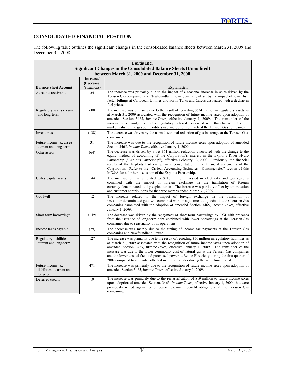## **CONSOLIDATED FINANCIAL POSITION**

l

The following table outlines the significant changes in the consolidated balance sheets between March 31, 2009 and December 31, 2008.

| Fortis Inc.                                                 |                |                                                                                                                                                                                                                                                                                                                                                                                                                                                                                                                                                                                      |  |  |  |  |
|-------------------------------------------------------------|----------------|--------------------------------------------------------------------------------------------------------------------------------------------------------------------------------------------------------------------------------------------------------------------------------------------------------------------------------------------------------------------------------------------------------------------------------------------------------------------------------------------------------------------------------------------------------------------------------------|--|--|--|--|
|                                                             |                | <b>Significant Changes in the Consolidated Balance Sheets (Unaudited)</b><br>between March 31, 2009 and December 31, 2008                                                                                                                                                                                                                                                                                                                                                                                                                                                            |  |  |  |  |
|                                                             | Increase/      |                                                                                                                                                                                                                                                                                                                                                                                                                                                                                                                                                                                      |  |  |  |  |
|                                                             | (Decrease)     |                                                                                                                                                                                                                                                                                                                                                                                                                                                                                                                                                                                      |  |  |  |  |
| <b>Balance Sheet Account</b>                                | $($ millions)$ | <b>Explanation</b><br>The increase was primarily due to the impact of a seasonal increase in sales driven by the                                                                                                                                                                                                                                                                                                                                                                                                                                                                     |  |  |  |  |
| Accounts receivable                                         | 54             | Terasen Gas companies and Newfoundland Power, partially offset by the impact of lower fuel<br>factor billings at Caribbean Utilities and Fortis Turks and Caicos associated with a decline in<br>fuel prices.                                                                                                                                                                                                                                                                                                                                                                        |  |  |  |  |
| Regulatory assets - current<br>and long-term                | 608            | The increase was primarily due to the result of recording \$534 million in regulatory assets as<br>at March 31, 2009 associated with the recognition of future income taxes upon adoption of<br>amended Section 3465, <i>Income Taxes</i> , effective January 1, 2009. The remainder of the<br>increase was mainly due to the regulatory deferral associated with the change in the fair<br>market value of the gas commodity swap and option contracts at the Terasen Gas companies.                                                                                                |  |  |  |  |
| Inventories                                                 | (138)          | The decrease was driven by the normal seasonal reduction of gas in storage at the Terasen Gas<br>companies.                                                                                                                                                                                                                                                                                                                                                                                                                                                                          |  |  |  |  |
| Future income tax assets -<br>current and long-term         | 31             | The increase was due to the recognition of future income taxes upon adoption of amended<br>Section 3465, Income Taxes, effective January 1, 2009.                                                                                                                                                                                                                                                                                                                                                                                                                                    |  |  |  |  |
| Other assets                                                | (64)           | The decrease was driven by a net \$61 million reduction associated with the change to the<br>equity method of accounting of the Corporation's interest in the Exploits River Hydro<br>Partnership ("Exploits Partnership"), effective February 13, 2009. Previously, the financial<br>results of the Exploits Partnership were consolidated in the financial statements of the<br>Corporation. Refer to the "Critical Accounting Estimates - Contingencies" section of this<br>MD&A for a further discussion of the Exploits Partnership.                                            |  |  |  |  |
| Utility capital assets                                      | 144            | The increase primarily related to \$210 million invested in electricity and gas systems<br>combined with the impact of foreign exchange on the translation of foreign<br>currency-denominated utility capital assets. The increase was partially offset by amortization<br>and customer contributions for the three months ended March 31, 2009.                                                                                                                                                                                                                                     |  |  |  |  |
| Goodwill                                                    | 12             | The increase related to the impact of foreign exchange on the translation of<br>US dollar-denominated goodwill combined with an adjustment to goodwill at the Terasen Gas<br>companies associated with the adoption of amended Section 3465, Income Taxes, effective<br>January 1, 2009.                                                                                                                                                                                                                                                                                             |  |  |  |  |
| Short-term borrowings                                       | (149)          | The decrease was driven by the repayment of short-term borrowings by TGI with proceeds<br>from the issuance of long-term debt combined with lower borrowings at the Terasen Gas<br>companies due to seasonality of its operations.                                                                                                                                                                                                                                                                                                                                                   |  |  |  |  |
| Income taxes payable                                        | (29)           | The decrease was mainly due to the timing of income tax payments at the Terasen Gas<br>companies and Newfoundland Power.                                                                                                                                                                                                                                                                                                                                                                                                                                                             |  |  |  |  |
| Regulatory liabilities -<br>current and long-term           | 127            | The increase was primarily due to the result of recording \$56 million in regulatory liabilities as<br>at March 31, 2009 associated with the recognition of future income taxes upon adoption of<br>amended Section 3465, <i>Income Taxes</i> , effective January 1, 2009. The remainder of the<br>increase was due to the lower commodity cost of natural gas at the Terasen Gas companies<br>and the lower cost of fuel and purchased power at Belize Electricity during the first quarter of<br>2009 compared to amounts collected in customer rates during the same time period. |  |  |  |  |
| Future income tax<br>liabilities - current and<br>long-term | 471            | The increase was primarily due to the recognition of future income taxes upon adoption of<br>amended Section 3465, Income Taxes, effective January 1, 2009.                                                                                                                                                                                                                                                                                                                                                                                                                          |  |  |  |  |
| Deferred credits                                            | 19             | The increase was primarily due to the reclassification of \$19 million to future income taxes<br>upon adoption of amended Section, 3465, <i>Income Taxes</i> , effective January 1, 2009, that were<br>previously netted against other post-employment benefit obligations at the Terasen Gas<br>companies.                                                                                                                                                                                                                                                                          |  |  |  |  |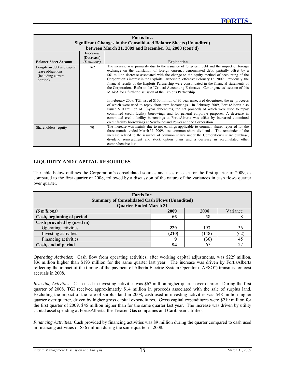| Fortis Inc.<br>Significant Changes in the Consolidated Balance Sheets (Unaudited) |                                           |                                                                                                                                                                                                                                                                                                                                                                                                                                                                                                                                                                                                                                                                                                                                                                                                                                                                                                                                                                                                                                                                                                                                                                                                               |  |  |  |  |
|-----------------------------------------------------------------------------------|-------------------------------------------|---------------------------------------------------------------------------------------------------------------------------------------------------------------------------------------------------------------------------------------------------------------------------------------------------------------------------------------------------------------------------------------------------------------------------------------------------------------------------------------------------------------------------------------------------------------------------------------------------------------------------------------------------------------------------------------------------------------------------------------------------------------------------------------------------------------------------------------------------------------------------------------------------------------------------------------------------------------------------------------------------------------------------------------------------------------------------------------------------------------------------------------------------------------------------------------------------------------|--|--|--|--|
|                                                                                   |                                           | between March 31, 2009 and December 31, 2008 (cont'd)                                                                                                                                                                                                                                                                                                                                                                                                                                                                                                                                                                                                                                                                                                                                                                                                                                                                                                                                                                                                                                                                                                                                                         |  |  |  |  |
| <b>Balance Sheet Account</b>                                                      | Increase/<br>(Decrease)<br>$($$ millions) | <b>Explanation</b>                                                                                                                                                                                                                                                                                                                                                                                                                                                                                                                                                                                                                                                                                                                                                                                                                                                                                                                                                                                                                                                                                                                                                                                            |  |  |  |  |
| Long-term debt and capital<br>lease obligations<br>(including current<br>portion) | 162                                       | The increase was primarily due to the issuance of long-term debt and the impact of foreign<br>exchange on the translation of foreign currency-denominated debt, partially offset by a<br>\$61 million decrease associated with the change to the equity method of accounting of the<br>Corporation's interest in the Exploits Partnership, effective February 13, 2009. Previously, the<br>financial results of the Exploits Partnership were consolidated in the financial statements of<br>the Corporation. Refer to the "Critical Accounting Estimates - Contingencies" section of this<br>MD&A for a further discussion of the Exploits Partnership.<br>In February 2009, TGI issued \$100 million of 30-year unsecured debentures, the net proceeds<br>of which were used to repay short-term borrowings. In February 2009, FortisAlberta also<br>issued \$100 million of 30-year debentures, the net proceeds of which were used to repay<br>committed credit facility borrowings and for general corporate purposes. A decrease in<br>committed credit facility borrowings at FortisAlberta was offset by increased committed<br>credit facility borrowings at Newfoundland Power and the Corporation. |  |  |  |  |
| Shareholders' equity                                                              | 70                                        | The increase was mainly due to net earnings applicable to common shares reported for the<br>three months ended March 31, 2009, less common share dividends. The remainder of the<br>increase related to the issuance of common shares under the Corporation's share purchase,<br>dividend reinvestment and stock option plans and a decrease in accumulated other<br>comprehensive loss.                                                                                                                                                                                                                                                                                                                                                                                                                                                                                                                                                                                                                                                                                                                                                                                                                      |  |  |  |  |

### **LIQUIDITY AND CAPITAL RESOURCES**

l

The table below outlines the Corporation's consolidated sources and uses of cash for the first quarter of 2009, as compared to the first quarter of 2008, followed by a discussion of the nature of the variances in cash flows quarter over quarter.

| Fortis Inc.<br><b>Summary of Consolidated Cash Flows (Unaudited)</b><br><b>Quarter Ended March 31</b> |                  |    |    |  |  |  |  |
|-------------------------------------------------------------------------------------------------------|------------------|----|----|--|--|--|--|
| Variance<br>2008<br>$($$ millions)<br>2009                                                            |                  |    |    |  |  |  |  |
| Cash, beginning of period<br>58<br>66                                                                 |                  |    |    |  |  |  |  |
| Cash provided by (used in)                                                                            |                  |    |    |  |  |  |  |
| Operating activities                                                                                  | 229<br>193<br>36 |    |    |  |  |  |  |
| Investing activities<br>(210)<br>(148)<br>(62)                                                        |                  |    |    |  |  |  |  |
| Financing activities<br>(36)<br>$\bf{o}$<br>45                                                        |                  |    |    |  |  |  |  |
| Cash, end of period                                                                                   | 94               | 67 | 27 |  |  |  |  |

*Operating Activities:* Cash flow from operating activities, after working capital adjustments, was \$229 million, \$36 million higher than \$193 million for the same quarter last year. The increase was driven by FortisAlberta reflecting the impact of the timing of the payment of Alberta Electric System Operator ("AESO") transmission cost accruals in 2008.

*Investing Activities:* Cash used in investing activities was \$62 million higher quarter over quarter. During the first quarter of 2008, TGI received approximately \$14 million in proceeds associated with the sale of surplus land. Excluding the impact of the sale of surplus land in 2008, cash used in investing activities was \$48 million higher quarter over quarter, driven by higher gross capital expenditures. Gross capital expenditures were \$219 million for the first quarter of 2009, \$45 million higher than for the same quarter last year. The increase was driven by utility capital asset spending at FortisAlberta, the Terasen Gas companies and Caribbean Utilities.

*Financing Activities:* Cash provided by financing activities was \$9 million during the quarter compared to cash used in financing activities of \$36 million during the same quarter in 2008.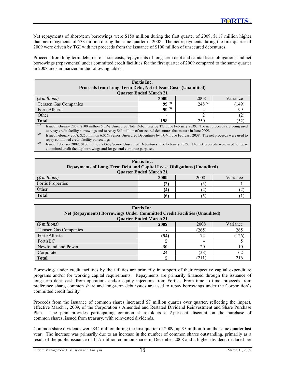Net repayments of short-term borrowings were \$150 million during the first quarter of 2009, \$117 million higher than net repayments of \$33 million during the same quarter in 2008. The net repayments during the first quarter of 2009 were driven by TGI with net proceeds from the issuance of \$100 million of unsecured debentures.

Proceeds from long-term debt, net of issue costs, repayments of long-term debt and capital lease obligations and net borrowings (repayments) under committed credit facilities for the first quarter of 2009 compared to the same quarter in 2008 are summarized in the following tables.

| Fortis Inc.                                                                                                                                                                                                                                                                                                                                                                                                                                                                                                                                                                                                                    |                               |             |          |  |  |  |  |  |
|--------------------------------------------------------------------------------------------------------------------------------------------------------------------------------------------------------------------------------------------------------------------------------------------------------------------------------------------------------------------------------------------------------------------------------------------------------------------------------------------------------------------------------------------------------------------------------------------------------------------------------|-------------------------------|-------------|----------|--|--|--|--|--|
| <b>Proceeds from Long-Term Debt, Net of Issue Costs (Unaudited)</b>                                                                                                                                                                                                                                                                                                                                                                                                                                                                                                                                                            |                               |             |          |  |  |  |  |  |
|                                                                                                                                                                                                                                                                                                                                                                                                                                                                                                                                                                                                                                | <b>Quarter Ended March 31</b> |             |          |  |  |  |  |  |
| $(S$ millions)                                                                                                                                                                                                                                                                                                                                                                                                                                                                                                                                                                                                                 | 2009                          | 2008        | Variance |  |  |  |  |  |
| <b>Terasen Gas Companies</b>                                                                                                                                                                                                                                                                                                                                                                                                                                                                                                                                                                                                   | $99^{(1)}$                    | $248^{(2)}$ | (149     |  |  |  |  |  |
| $99^{(3)}$<br>FortisAlberta<br>99                                                                                                                                                                                                                                                                                                                                                                                                                                                                                                                                                                                              |                               |             |          |  |  |  |  |  |
| Other                                                                                                                                                                                                                                                                                                                                                                                                                                                                                                                                                                                                                          |                               |             |          |  |  |  |  |  |
| <b>Total</b><br>198<br>250<br>$52^\circ$                                                                                                                                                                                                                                                                                                                                                                                                                                                                                                                                                                                       |                               |             |          |  |  |  |  |  |
| (I)<br>Issued February 2009, \$100 million 6.55% Unsecured Note Debentures by TGI, due February 2039. The net proceeds are being used<br>$\mathbf{P} \cdot \mathbf{P} \cdot \mathbf{P} \cdot \mathbf{P} \cdot \mathbf{P} \cdot \mathbf{P} \cdot \mathbf{P} \cdot \mathbf{P} \cdot \mathbf{P} \cdot \mathbf{P} \cdot \mathbf{P} \cdot \mathbf{P} \cdot \mathbf{P} \cdot \mathbf{P} \cdot \mathbf{P} \cdot \mathbf{P} \cdot \mathbf{P} \cdot \mathbf{P} \cdot \mathbf{P} \cdot \mathbf{P} \cdot \mathbf{P} \cdot \mathbf{P} \cdot \mathbf{P} \cdot \mathbf{P} \cdot \mathbf{P} \cdot \mathbf{P} \cdot \mathbf{P} \cdot \mathbf{$ |                               |             |          |  |  |  |  |  |

to repay credit facility borrowings and to repay \$60 million of unsecured debentures that mature in June 2009.

*(2)* Issued February 2008, \$250 million 6.05% Senior Unsecured Debentures by TGVI, due February 2038. The net proceeds were used to repay committed credit facility borrowings.

<sup>(3)</sup> Issued February 2009, \$100 million 7.06% Senior Unsecured Debentures, due February 2039. The net proceeds were used to repay committed credit facility borrowings and for general corporate purposes.

| Fortis Inc.<br><b>Repayments of Long-Term Debt and Capital Lease Obligations (Unaudited)</b><br><b>Quarter Ended March 31</b> |      |      |          |  |  |  |
|-------------------------------------------------------------------------------------------------------------------------------|------|------|----------|--|--|--|
| $(\text{\$ millions})$                                                                                                        | 2009 | 2008 | Variance |  |  |  |
| <b>Fortis Properties</b>                                                                                                      | (2)  |      |          |  |  |  |
| Other                                                                                                                         | (4   | ∠    |          |  |  |  |
| <b>Total</b>                                                                                                                  | (6)  |      |          |  |  |  |

| <b>Fortis</b> Inc.<br><b>Net (Repayments) Borrowings Under Committed Credit Facilities (Unaudited)</b><br><b>Quarter Ended March 31</b> |      |       |          |  |  |  |  |  |
|-----------------------------------------------------------------------------------------------------------------------------------------|------|-------|----------|--|--|--|--|--|
| (\$ millions)                                                                                                                           | 2009 | 2008  | Variance |  |  |  |  |  |
| <b>Terasen Gas Companies</b>                                                                                                            |      | (265) | 265      |  |  |  |  |  |
| FortisAlberta                                                                                                                           | (54) | 72    | (126     |  |  |  |  |  |
| FortisBC                                                                                                                                |      |       |          |  |  |  |  |  |
| Newfoundland Power                                                                                                                      | 30   | 20    |          |  |  |  |  |  |
| (38)<br>24<br>62<br>Corporate                                                                                                           |      |       |          |  |  |  |  |  |
| <b>Total</b>                                                                                                                            |      | (211  | 216      |  |  |  |  |  |

Borrowings under credit facilities by the utilities are primarily in support of their respective capital expenditure programs and/or for working capital requirements. Repayments are primarily financed through the issuance of long-term debt, cash from operations and/or equity injections from Fortis. From time to time, proceeds from preference share, common share and long-term debt issues are used to repay borrowings under the Corporation's committed credit facility.

Proceeds from the issuance of common shares increased \$7 million quarter over quarter, reflecting the impact, effective March 1, 2009, of the Corporation's Amended and Restated Dividend Reinvestment and Share Purchase Plan. The plan provides participating common shareholders a 2 per cent discount on the purchase of common shares, issued from treasury, with reinvested dividends.

Common share dividends were \$44 million during the first quarter of 2009, up \$5 million from the same quarter last year. The increase was primarily due to an increase in the number of common shares outstanding, primarily as a result of the public issuance of 11.7 million common shares in December 2008 and a higher dividend declared per

l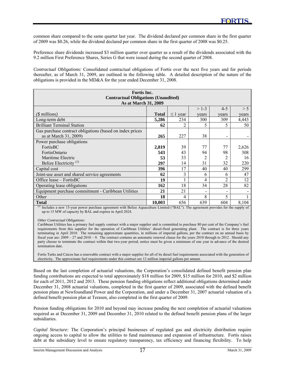common share compared to the same quarter last year. The dividend declared per common share in the first quarter of 2009 was \$0.26, while the dividend declared per common share in the first quarter of 2008 was \$0.25.

Preference share dividends increased \$3 million quarter over quarter as a result of the dividends associated with the 9.2 million First Preference Shares, Series G that were issued during the second quarter of 2008.

*Contractual Obligations:* Consolidated contractual obligations of Fortis over the next five years and for periods thereafter, as of March 31, 2009, are outlined in the following table. A detailed description of the nature of the obligations is provided in the MD&A for the year ended December 31, 2008.

| <b>Fortis</b> Inc.                                       |              |               |       |                          |       |  |  |  |  |  |
|----------------------------------------------------------|--------------|---------------|-------|--------------------------|-------|--|--|--|--|--|
| <b>Contractual Obligations (Unaudited)</b>               |              |               |       |                          |       |  |  |  |  |  |
| As at March 31, 2009                                     |              |               |       |                          |       |  |  |  |  |  |
| $>1-3$<br>$4 - 5$<br>> 5                                 |              |               |       |                          |       |  |  |  |  |  |
| $(S$ millions)                                           | <b>Total</b> | $\leq 1$ year | vears | years                    | years |  |  |  |  |  |
| Long-term debt                                           | 5,286        | 234           | 300   | 309                      | 4,443 |  |  |  |  |  |
| <b>Brilliant Terminal Station</b>                        | 62           |               | 5     | 5                        | 50    |  |  |  |  |  |
| Gas purchase contract obligations (based on index prices |              |               |       |                          |       |  |  |  |  |  |
| as at March 31, 2009)                                    | 265          | 227           | 38    | $\overline{\phantom{0}}$ |       |  |  |  |  |  |
| Power purchase obligations                               |              |               |       |                          |       |  |  |  |  |  |
| FortisBC                                                 | 2,819        | 39            | 77    | 77                       | 2,626 |  |  |  |  |  |
| FortisOntario                                            | 543          | 43            | 94    | 98                       | 308   |  |  |  |  |  |
| Maritime Electric                                        | 53           | 33            | 2     | 2                        | 16    |  |  |  |  |  |
| Belize Electricity <sup><math>(1)</math></sup>           | 297          | 14            | 31    | 32                       | 220   |  |  |  |  |  |
| Capital cost                                             | 396          | 17            | 40    | 40                       | 299   |  |  |  |  |  |
| Joint-use asset and shared service agreements            | 62           | 3             | 6     | 6                        | 47    |  |  |  |  |  |
| Office lease – FortisBC                                  | 19           |               | 4     | $\overline{2}$           | 12    |  |  |  |  |  |
| Operating lease obligations                              | 162          | 18            | 34    | 28                       | 82    |  |  |  |  |  |
| Equipment purchase commitment - Caribbean Utilities      | 21           | 21            |       | -                        |       |  |  |  |  |  |
| Other                                                    | 18           | 4             | 8     | 5                        |       |  |  |  |  |  |
| <b>Total</b>                                             | 10.003       | 656           | 639   | 604                      | 8,104 |  |  |  |  |  |

*(1)* Includes a new 15-year power purchase agreement with Belize Aquaculture Limited ("BAL"). The agreement provides for the supply of up to 15 MW of capacity by BAL and expires in April 2024.

*Other Contractual Obligations:* 

l

Caribbean Utilities has a primary fuel supply contract with a major supplier and is committed to purchase 80 per cent of the Company's fuel requirements from this supplier for the operation of Caribbean Utilities' diesel-fired generating plant. The contract is for three years terminating in April 2010. The remaining approximate quantities, in millions of imperial gallons, per the contract on an annual basis by fiscal year are: 2009 – 27 and 2010 – 9. The contract contains an automatic renewal clause for the years 2010 through to 2012. Should any party choose to terminate the contract within that two-year period, notice must be given a minimum of one year in advance of the desired termination date.

Fortis Turks and Caicos has a renewable contract with a major supplier for all of its diesel fuel requirements associated with the generation of electricity. The approximate fuel requirements under this contract are 12 million imperial gallons per annum.

Based on the last completion of actuarial valuations, the Corporation's consolidated defined benefit pension plan funding contributions are expected to total approximately \$18 million for 2009, \$15 million for 2010, and \$2 million for each of 2011, 2012 and 2013. These pension funding obligations reflect additional obligations determined under December 31, 2008 actuarial valuations, completed in the first quarter of 2009, associated with the defined benefit pension plans at Newfoundland Power and the Corporation, and under a December 31, 2007 actuarial valuation of a defined benefit pension plan at Terasen, also completed in the first quarter of 2009.

Pension funding obligations for 2010 and beyond may increase pending the next completion of actuarial valuations required as at December 31, 2009 and December 31, 2010 related to the defined benefit pension plans of the larger subsidiaries.

*Capital Structure:* The Corporation's principal businesses of regulated gas and electricity distribution require ongoing access to capital to allow the utilities to fund maintenance and expansion of infrastructure. Fortis raises debt at the subsidiary level to ensure regulatory transparency, tax efficiency and financing flexibility. To help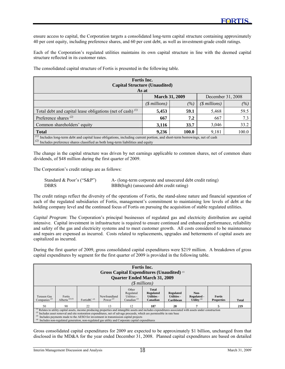ensure access to capital, the Corporation targets a consolidated long-term capital structure containing approximately 40 per cent equity, including preference shares, and 60 per cent debt, as well as investment-grade credit ratings.

Each of the Corporation's regulated utilities maintains its own capital structure in line with the deemed capital structure reflected in its customer rates.

| Fortis Inc.<br><b>Capital Structure (Unaudited)</b><br>As at                                                                                                                                                             |                       |      |                       |      |  |  |  |  |
|--------------------------------------------------------------------------------------------------------------------------------------------------------------------------------------------------------------------------|-----------------------|------|-----------------------|------|--|--|--|--|
| <b>March 31, 2009</b><br>December 31, 2008                                                                                                                                                                               |                       |      |                       |      |  |  |  |  |
|                                                                                                                                                                                                                          | $(\text{\$millions})$ | (%)  | $(\text{\$millions})$ | (%)  |  |  |  |  |
| Total debt and capital lease obligations (net of cash) $^{(1)}$                                                                                                                                                          | 5,453                 | 59.1 | 5,468                 | 59.5 |  |  |  |  |
| Preference shares <sup>(2)</sup>                                                                                                                                                                                         | 667                   | 7.2  | 667                   | 7.3  |  |  |  |  |
| Common shareholders' equity                                                                                                                                                                                              | 3,116                 | 33.7 | 3,046                 | 33.2 |  |  |  |  |
| 100.0<br>9,181<br><b>Total</b><br>9,236<br>100.0                                                                                                                                                                         |                       |      |                       |      |  |  |  |  |
| (I)<br>Includes long-term debt and capital lease obligations, including current portion, and short-term borrowings, net of cash<br>(2)<br>Includes preference shares classified as both long-term liabilities and equity |                       |      |                       |      |  |  |  |  |

The consolidated capital structure of Fortis is presented in the following table.

The change in the capital structure was driven by net earnings applicable to common shares, net of common share dividends, of \$48 million during the first quarter of 2009.

The Corporation's credit ratings are as follows:

l

| Standard & Poor's (" $S\&P$ ") | A- (long-term corporate and unsecured debt credit rating) |
|--------------------------------|-----------------------------------------------------------|
| <b>DBRS</b>                    | BBB(high) (unsecured debt credit rating)                  |

The credit ratings reflect the diversity of the operations of Fortis, the stand-alone nature and financial separation of each of the regulated subsidiaries of Fortis, management's commitment to maintaining low levels of debt at the holding company level and the continued focus of Fortis on pursuing the acquisition of stable regulated utilities.

*Capital Program*: The Corporation's principal businesses of regulated gas and electricity distribution are capital intensive. Capital investment in infrastructure is required to ensure continued and enhanced performance, reliability and safety of the gas and electricity systems and to meet customer growth. All costs considered to be maintenance and repairs are expensed as incurred. Costs related to replacements, upgrades and betterments of capital assets are capitalized as incurred.

During the first quarter of 2009, gross consolidated capital expenditures were \$219 million. A breakdown of gross capital expenditures by segment for the first quarter of 2009 is provided in the following table.

| Fortis Inc.<br>Gross Capital Expenditures (Unaudited) (1)<br>Quarter Ended March 31, 2009<br>(\$millions) |                                                                                                                                                                                                                                                                                                                                                                                                                                                                                                 |    |    |    |     |    |  |  |     |
|-----------------------------------------------------------------------------------------------------------|-------------------------------------------------------------------------------------------------------------------------------------------------------------------------------------------------------------------------------------------------------------------------------------------------------------------------------------------------------------------------------------------------------------------------------------------------------------------------------------------------|----|----|----|-----|----|--|--|-----|
| Terasen Gas<br>Companies $^{(2)}$                                                                         | Other<br><b>Total</b><br>Regulated<br><b>Regulated</b><br>Non-<br><b>Regulated</b><br>Fortis<br>Newfoundland<br>Utilities -<br>Utilities -<br>Utilities -<br>Regulated -<br><b>Fortis</b><br>Alberta $^{(2)(3)}$<br>FortisBC $^{(2)}$<br>Power $^{(2)}$<br>Utility $(4)$<br>Canadian $^{(2)}$<br>Canadian<br><b>Properties</b><br>Caribbean<br><b>Total</b>                                                                                                                                     |    |    |    |     |    |  |  |     |
| 50                                                                                                        | 90                                                                                                                                                                                                                                                                                                                                                                                                                                                                                              | 22 | 13 | 12 | 187 | 20 |  |  | 219 |
|                                                                                                           | $(1)$ Relates to utility capital assets, income producing properties and intangible assets and includes expenditures associated with assets under construction<br><sup>(2)</sup> Includes asset removal and site restoration expenditures, net of salvage proceeds, which are permissible in rate base<br>Includes payments made to the AESO for investment in transmission capital projects<br>Includes non-regulated generation, non-regulated gas utility and Corporate capital expenditures |    |    |    |     |    |  |  |     |

Gross consolidated capital expenditures for 2009 are expected to be approximately \$1 billion, unchanged from that disclosed in the MD&A for the year ended December 31, 2008. Planned capital expenditures are based on detailed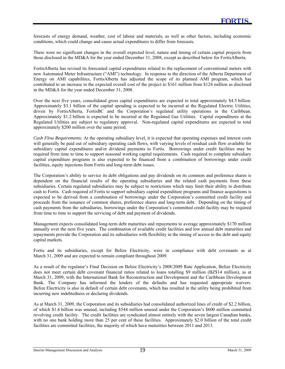forecasts of energy demand, weather, cost of labour and materials, as well as other factors, including economic conditions, which could change and cause actual expenditures to differ from forecasts.

There were no significant changes in the overall expected level, nature and timing of certain capital projects from those disclosed in the MD&A for the year ended December 31, 2008, except as described below for FortisAlberta.

FortisAlberta has revised its forecasted capital expenditures related to the replacement of conventional meters with new Automated Meter Infrastructure ("AMI") technology. In response to the direction of the Alberta Department of Energy on AMI capabilities, FortisAlberta has adjusted the scope of its planned AMI program, which has contributed to an increase in the expected overall cost of the project to \$161 million from \$124 million as disclosed in the MD&A for the year ended December 31, 2008.

Over the next five years, consolidated gross capital expenditures are expected to total approximately \$4.5 billion. Approximately \$3.1 billion of the capital spending is expected to be incurred at the Regulated Electric Utilities, driven by FortisAlberta, FortisBC and the Corporation's regulated utility operations in the Caribbean. Approximately \$1.2 billion is expected to be incurred at the Regulated Gas Utilities. Capital expenditures at the Regulated Utilities are subject to regulatory approval. Non-regulated capital expenditures are expected to total approximately \$200 million over the same period.

*Cash Flow Requirements:* At the operating subsidiary level, it is expected that operating expenses and interest costs will generally be paid out of subsidiary operating cash flows, with varying levels of residual cash flow available for subsidiary capital expenditures and/or dividend payments to Fortis. Borrowings under credit facilities may be required from time to time to support seasonal working capital requirements. Cash required to complete subsidiary capital expenditure programs is also expected to be financed from a combination of borrowings under credit facilities, equity injections from Fortis and long-term debt issues.

The Corporation's ability to service its debt obligations and pay dividends on its common and preference shares is dependent on the financial results of the operating subsidiaries and the related cash payments from these subsidiaries. Certain regulated subsidiaries may be subject to restrictions which may limit their ability to distribute cash to Fortis. Cash required of Fortis to support subsidiary capital expenditure programs and finance acquisitions is expected to be derived from a combination of borrowings under the Corporation's committed credit facility and proceeds from the issuance of common shares, preference shares and long-term debt. Depending on the timing of cash payments from the subsidiaries, borrowings under the Corporation's committed credit facility may be required from time to time to support the servicing of debt and payment of dividends.

Management expects consolidated long-term debt maturities and repayments to average approximately \$170 million annually over the next five years. The combination of available credit facilities and low annual debt maturities and repayments provide the Corporation and its subsidiaries with flexibility in the timing of access to the debt and equity capital markets.

Fortis and its subsidiaries, except for Belize Electricity, were in compliance with debt covenants as at March 31, 2009 and are expected to remain compliant throughout 2009.

As a result of the regulator's Final Decision on Belize Electricity's 2008/2009 Rate Application, Belize Electricity does not meet certain debt covenant financial ratios related to loans totalling \$9 million (BZ\$14 million), as at March 31, 2009, with the International Bank for Reconstruction and Development and the Caribbean Development Bank. The Company has informed the lenders of the defaults and has requested appropriate waivers. Belize Electricity is also in default of certain debt covenants, which has resulted in the utility being prohibited from incurring new indebtedness or declaring dividends.

As at March 31, 2009, the Corporation and its subsidiaries had consolidated authorized lines of credit of \$2.2 billion, of which \$1.6 billion was unused, including \$544 million unused under the Corporation's \$600 million committed revolving credit facility. The credit facilities are syndicated almost entirely with the seven largest Canadian banks, with no one bank holding more than 25 per cent of these facilities. Approximately \$2.0 billion of the total credit facilities are committed facilities, the majority of which have maturities between 2011 and 2013.

l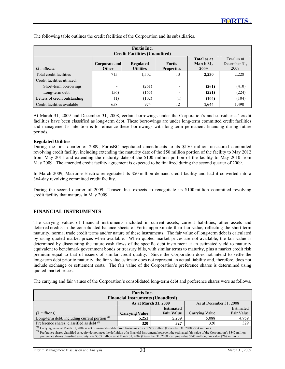| Fortis Inc.                                                                                                                                                                                                                                      |                  |       |                  |       |       |  |  |  |  |  |
|--------------------------------------------------------------------------------------------------------------------------------------------------------------------------------------------------------------------------------------------------|------------------|-------|------------------|-------|-------|--|--|--|--|--|
| <b>Credit Facilities (Unaudited)</b><br>Total as at<br>Total as at<br>December 31.<br>March 31,<br><b>Regulated</b><br><b>Fortis</b><br>Corporate and<br><b>Utilities</b><br>2008<br>$(S$ millions)<br><b>Properties</b><br>2009<br><b>Other</b> |                  |       |                  |       |       |  |  |  |  |  |
| Total credit facilities                                                                                                                                                                                                                          | 715              | 1,502 | 13               | 2,230 | 2,228 |  |  |  |  |  |
| Credit facilities utilized:                                                                                                                                                                                                                      |                  |       |                  |       |       |  |  |  |  |  |
| Short-term borrowings                                                                                                                                                                                                                            | $\overline{a}$   | (261) |                  | (261) | (410) |  |  |  |  |  |
| Long-term debt                                                                                                                                                                                                                                   | (56)             | (165) |                  | (221) | (224) |  |  |  |  |  |
| Letters of credit outstanding                                                                                                                                                                                                                    | $\left(1\right)$ | (102) | $\left(1\right)$ | (104) | (104) |  |  |  |  |  |
| Credit facilities available                                                                                                                                                                                                                      | 658              | 974   | 12               | 1,644 | 1,490 |  |  |  |  |  |

The following table outlines the credit facilities of the Corporation and its subsidiaries.

At March 31, 2009 and December 31, 2008, certain borrowings under the Corporation's and subsidiaries' credit facilities have been classified as long-term debt. These borrowings are under long-term committed credit facilities and management's intention is to refinance these borrowings with long-term permanent financing during future periods.

#### **Regulated Utilities**

l

During the first quarter of 2009, FortisBC negotiated amendments to its \$150 million unsecured committed revolving credit facility, including extending the maturity date of the \$50 million portion of the facility to May 2012 from May 2011 and extending the maturity date of the \$100 million portion of the facility to May 2010 from May 2009. The amended credit facility agreement is expected to be finalized during the second quarter of 2009.

In March 2009, Maritime Electric renegotiated its \$50 million demand credit facility and had it converted into a 364-day revolving committed credit facility.

During the second quarter of 2009, Terasen Inc. expects to renegotiate its \$100 million committed revolving credit facility that matures in May 2009.

#### **FINANCIAL INSTRUMENTS**

The carrying values of financial instruments included in current assets, current liabilities, other assets and deferred credits in the consolidated balance sheets of Fortis approximate their fair value, reflecting the short-term maturity, normal trade credit terms and/or nature of these instruments. The fair value of long-term debt is calculated by using quoted market prices when available. When quoted market prices are not available, the fair value is determined by discounting the future cash flows of the specific debt instrument at an estimated yield to maturity equivalent to benchmark government bonds or treasury bills, with similar terms to maturity, plus a market credit risk premium equal to that of issuers of similar credit quality. Since the Corporation does not intend to settle the long-term debt prior to maturity, the fair value estimate does not represent an actual liability and, therefore, does not include exchange or settlement costs. The fair value of the Corporation's preference shares is determined using quoted market prices.

The carrying and fair values of the Corporation's consolidated long-term debt and preference shares were as follows.

| Fortis Inc.                                                                                                                                                              |                                          |                   |                |            |  |  |  |
|--------------------------------------------------------------------------------------------------------------------------------------------------------------------------|------------------------------------------|-------------------|----------------|------------|--|--|--|
|                                                                                                                                                                          | <b>Financial Instruments (Unaudited)</b> |                   |                |            |  |  |  |
| As at March 31, 2009<br>As at December 31, 2008                                                                                                                          |                                          |                   |                |            |  |  |  |
|                                                                                                                                                                          |                                          | <b>Estimated</b>  |                | Estimated  |  |  |  |
| $(S$ millions)                                                                                                                                                           | <b>Carrying Value</b>                    | <b>Fair Value</b> | Carrying Value | Fair Value |  |  |  |
| Long-term debt, including current portion $\binom{1}{1}$                                                                                                                 | 5,251                                    | 5,239             | 5,088          | 4,959      |  |  |  |
| Preference shares, classified as debt <sup>(2)</sup>                                                                                                                     | 320                                      | 327               | 329<br>320     |            |  |  |  |
| <sup>(1)</sup> Carrying value at March 31, 2009 is net of unamortized deferred financing costs of \$35 million (December 31, 2008 - \$34 million).                       |                                          |                   |                |            |  |  |  |
| (2)<br>Preference shares classified as equity do not meet the definition of a financial instrument; however, the estimated fair value of the Corporation's \$347 million |                                          |                   |                |            |  |  |  |
| preference shares classified as equity was \$303 million as at March 31, 2009 (December 31, 2008: carrying value \$347 million; fair value \$268 million).               |                                          |                   |                |            |  |  |  |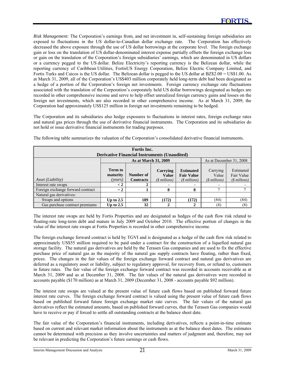*Risk Management:* The Corporation's earnings from, and net investment in, self-sustaining foreign subsidiaries are exposed to fluctuations in the US dollar-to-Canadian dollar exchange rate. The Corporation has effectively decreased the above exposure through the use of US dollar borrowings at the corporate level. The foreign exchange gain or loss on the translation of US dollar-denominated interest expense partially offsets the foreign exchange loss or gain on the translation of the Corporation's foreign subsidiaries' earnings, which are denominated in US dollars or a currency pegged to the US dollar. Belize Electricity's reporting currency is the Belizean dollar, while the reporting currency of Caribbean Utilities, FortisUS Energy Corporation, Belize Electric Company Limited, and Fortis Turks and Caicos is the US dollar. The Belizean dollar is pegged to the US dollar at BZ\$2.00 = US\$1.00. As at March 31, 2009, all of the Corporation's US\$403 million corporately held long-term debt had been designated as a hedge of a portion of the Corporation's foreign net investments. Foreign currency exchange rate fluctuations associated with the translation of the Corporation's corporately held US dollar borrowings designated as hedges are recorded in other comprehensive income and serve to help offset unrealized foreign currency gains and losses on the foreign net investments, which are also recorded in other comprehensive income. As at March 31, 2009, the Corporation had approximately US\$125 million in foreign net investments remaining to be hedged.

The Corporation and its subsidiaries also hedge exposures to fluctuations in interest rates, foreign exchange rates and natural gas prices through the use of derivative financial instruments. The Corporation and its subsidiaries do not hold or issue derivative financial instruments for trading purposes.

| Fortis Inc.<br><b>Derivative Financial Instruments (Unaudited)</b> |                                                 |                               |                                                 |                                                                           |                                     |                                           |  |
|--------------------------------------------------------------------|-------------------------------------------------|-------------------------------|-------------------------------------------------|---------------------------------------------------------------------------|-------------------------------------|-------------------------------------------|--|
|                                                                    | As at March 31, 2009<br>As at December 31, 2008 |                               |                                                 |                                                                           |                                     |                                           |  |
| Asset (Liability)<br>Interest rate swaps                           | Term to<br>maturity<br>(vears)<br>$\lt 2$       | Number of<br><b>Contracts</b> | Carrying<br><b>Value</b><br>$(S$ millions)<br>٠ | <b>Estimated</b><br><b>Fair Value</b><br>$($$ millions)<br>$\blacksquare$ | Carrying<br>Value<br>$(S$ millions) | Estimated<br>Fair Value<br>$($$ millions) |  |
| Foreign exchange forward contract                                  | $\sim$ 2                                        |                               | 8                                               | 8                                                                         |                                     |                                           |  |
| Natural gas derivatives:                                           |                                                 |                               |                                                 |                                                                           |                                     |                                           |  |
| Swaps and options                                                  | Up to $2.5$                                     | 189                           | (172)                                           | (172)                                                                     | (84)                                | (84)                                      |  |
| Gas purchase contract premiums                                     | Up to $2.5$                                     | 32                            |                                                 |                                                                           | (8)                                 | (8)                                       |  |

The following table summarizes the valuation of the Corporation's consolidated derivative financial instruments.

The interest rate swaps are held by Fortis Properties and are designated as hedges of the cash flow risk related to floating-rate long-term debt and mature in July 2009 and October 2010. The effective portion of changes in the value of the interest rate swaps at Fortis Properties is recorded in other comprehensive income.

The foreign exchange forward contract is held by TGVI and is designated as a hedge of the cash flow risk related to approximately US\$55 million required to be paid under a contract for the construction of a liquefied natural gas storage facility. The natural gas derivatives are held by the Terasen Gas companies and are used to fix the effective purchase price of natural gas as the majority of the natural gas supply contracts have floating, rather than fixed, prices. The changes in the fair values of the foreign exchange forward contract and natural gas derivatives are deferred as a regulatory asset or liability, subject to regulatory approval, for recovery from, or refund to, customers in future rates. The fair value of the foreign exchange forward contract was recorded in accounts receivable as at March 31, 2009 and as at December 31, 2008. The fair values of the natural gas derivatives were recorded in accounts payable (\$170 million) as at March 31, 2009 (December 31, 2008 - accounts payable \$92 million).

The interest rate swaps are valued at the present value of future cash flows based on published forward future interest rate curves. The foreign exchange forward contract is valued using the present value of future cash flows based on published forward future foreign exchange market rate curves. The fair values of the natural gas derivatives reflect the estimated amounts, based on published forward curves, that the Terasen Gas companies would have to receive or pay if forced to settle all outstanding contracts at the balance sheet date.

The fair value of the Corporation's financial instruments, including derivatives, reflects a point-in-time estimate based on current and relevant market information about the instruments as at the balance sheet dates. The estimates cannot be determined with precision as they involve uncertainties and matters of judgment and, therefore, may not be relevant in predicting the Corporation's future earnings or cash flows.

l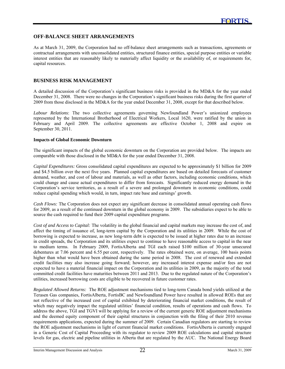#### **OFF-BALANCE SHEET ARRANGEMENTS**

As at March 31, 2009, the Corporation had no off-balance sheet arrangements such as transactions, agreements or contractual arrangements with unconsolidated entities, structured finance entities, special purpose entities or variable interest entities that are reasonably likely to materially affect liquidity or the availability of, or requirements for, capital resources.

#### **BUSINESS RISK MANAGEMENT**

l

A detailed discussion of the Corporation's significant business risks is provided in the MD&A for the year ended December 31, 2008. There were no changes in the Corporation's significant business risks during the first quarter of 2009 from those disclosed in the MD&A for the year ended December 31, 2008, except for that described below.

*Labour Relations*: The two collective agreements governing Newfoundland Power's unionized employees represented by the International Brotherhood of Electrical Workers, Local 1620, were ratified by the union in February and April 2009. The collective agreements are effective October 1, 2008 and expire on September 30, 2011.

#### **Impacts of Global Economic Downturn**

The significant impacts of the global economic downturn on the Corporation are provided below. The impacts are comparable with those disclosed in the MD&A for the year ended December 31, 2008.

*Capital Expenditures:* Gross consolidated capital expenditures are expected to be approximately \$1 billion for 2009 and \$4.5 billion over the next five years. Planned capital expenditures are based on detailed forecasts of customer demand, weather, and cost of labour and materials, as well as other factors, including economic conditions, which could change and cause actual expenditures to differ from forecasts. Significantly reduced energy demand in the Corporation's service territories, as a result of a severe and prolonged downturn in economic conditions, could reduce capital spending which would, in turn, impact rate base and earnings' growth.

*Cash Flows:* The Corporation does not expect any significant decrease in consolidated annual operating cash flows for 2009, as a result of the continued downturn in the global economy in 2009. The subsidiaries expect to be able to source the cash required to fund their 2009 capital expenditure programs.

*Cost of and Access to Capital:* The volatility in the global financial and capital markets may increase the cost of, and affect the timing of issuance of, long-term capital by the Corporation and its utilities in 2009. While the cost of borrowing is expected to increase, as new long-term debt is expected to be issued at higher rates due to an increase in credit spreads, the Corporation and its utilities expect to continue to have reasonable access to capital in the near to medium terms. In February 2009, FortisAlberta and TGI each raised \$100 million of 30-year unsecured debentures at 7.06 percent and 6.55 per cent, respectively. The rates obtained were, on average, 100 basis points higher than what would have been obtained during the same period in 2008. The cost of renewed and extended credit facilities may also increase going forward; however, any increased interest expense and/or fees are not expected to have a material financial impact on the Corporation and its utilities in 2009, as the majority of the total committed credit facilities have maturities between 2011 and 2013. Due to the regulated nature of the Corporation's utilities, increased borrowing costs are eligible to be recovered in future customer rates.

*Regulated Allowed Returns:* The ROE adjustment mechanisms tied to long-term Canada bond yields utilized at the Terasen Gas companies, FortisAlberta, FortisBC and Newfoundland Power have resulted in allowed ROEs that are not reflective of the increased cost of capital exhibited by deteriorating financial market conditions, the result of which may negatively impact the regulated utilities' financial condition, results of operations and cash flows. To address the above, TGI and TGVI will be applying for a review of the current generic ROE adjustment mechanisms and the deemed equity component of their capital structures in conjunction with the filing of their 2010 revenue requirements applications, expected during the summer of 2009. Certain Canadian regulators are starting to review the ROE adjustment mechanisms in light of current financial market conditions. FortisAlberta is currently engaged in a Generic Cost of Capital Proceeding with its regulator to review 2009 ROE calculations and capital structure levels for gas, electric and pipeline utilities in Alberta that are regulated by the AUC. The National Energy Board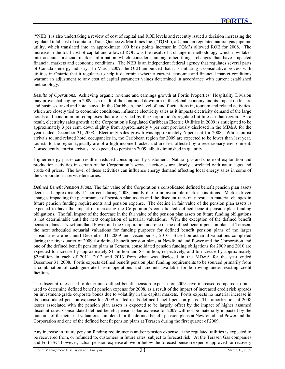("NEB") is also undertaking a review of cost of capital and ROE levels and recently issued a decision increasing the regulated total cost of capital of Trans Quebec & Maritimes Inc. ("TQM"), a Canadian regulated natural gas pipeline utility, which translated into an approximate 100 basis points increase in TQM's allowed ROE for 2008. The increase in the total cost of capital and allowed ROE was the result of a change in methodology which now takes into account financial market information which considers, among other things, changes that have impacted financial markets and economic conditions. The NEB is an independent federal agency that regulates several parts of Canada's energy industry. In March 2009, the OEB announced that it is initiating a consultative process with utilities in Ontario that it regulates to help it determine whether current economic and financial market conditions warrant an adjustment to any cost of capital parameter values determined in accordance with current established methodology.

*Results of Operations:* Achieving organic revenue and earnings growth at Fortis Properties' Hospitality Division may prove challenging in 2009 as a result of the continued downturn in the global economy and its impact on leisure and business travel and hotel stays. In the Caribbean, the level of, and fluctuations in, tourism and related activities, which are closely tied to economic conditions, influence electricity sales as it impacts electricity demand of the large hotels and condominium complexes that are serviced by the Corporation's regulated utilities in that region. As a result, electricity sales growth at the Corporation's Regulated Caribbean Electric Utilities in 2009 is anticipated to be approximately 3 per cent, down slightly from approximately 4 per cent previously disclosed in the MD&A for the year ended December 31, 2008. Electricity sales growth was approximately 6 per cent for 2008. While tourist arrivals to, and related hotel occupancies in, the Caribbean region for 2009 are expected to be lower than last year, tourists to the region typically are of a high-income bracket and are less affected by a recessionary environment. Consequently, tourist arrivals are expected to persist in 2009; albeit diminished in quantity.

Higher energy prices can result in reduced consumption by customers. Natural gas and crude oil exploration and production activities in certain of the Corporation's service territories are closely correlated with natural gas and crude oil prices. The level of these activities can influence energy demand affecting local energy sales in some of the Corporation's service territories.

*Defined Benefit Pension Plans:* The fair value of the Corporation's consolidated defined benefit pension plan assets decreased approximately 14 per cent during 2008, mainly due to unfavourable market conditions. Market-driven changes impacting the performance of pension plan assets and the discount rates may result in material changes in future pension funding requirements and pension expense. The decline in fair value of the pension plan assets is expected to have the impact of increasing the Corporation's consolidated defined benefit pension plan funding obligations. The full impact of the decrease in the fair value of the pension plan assets on future funding obligations is not determinable until the next completion of actuarial valuations. With the exception of the defined benefit pension plans at Newfoundland Power and the Corporation and one of the defined benefit pension plans at Terasen, the next scheduled actuarial valuations for funding purposes for defined benefit pension plans of the larger subsidiaries are not until December 31, 2009 and December 31, 2010. Based on actuarial valuations completed during the first quarter of 2009 for defined benefit pension plans at Newfoundland Power and the Corporation and one of the defined benefit pension plans at Terasen, consolidated pension funding obligations for 2009 and 2010 are expected to increase by approximately \$1 million and \$3 million, respectively, and to increase by approximately \$2 million in each of 2011, 2012 and 2013 from what was disclosed in the MD&A for the year ended December 31, 2008. Fortis expects defined benefit pension plan funding requirements to be sourced primarily from a combination of cash generated from operations and amounts available for borrowing under existing credit facilities.

The discount rates used to determine defined benefit pension expense for 2009 have increased compared to rates used to determine defined benefit pension expense for 2008, as a result of the impact of increased credit risk spreads on investment-grade corporate bonds due to volatility in the capital markets. Fortis expects no material increase in its consolidated pension expense for 2009 related to its defined benefit pension plans. The amortization of 2008 losses associated with the pension plan assets is expected to be largely offset by the impact of higher assumed discount rates. Consolidated defined benefit pension plan expense for 2009 will not be materially impacted by the outcome of the actuarial valuations completed for the defined benefit pension plans at Newfoundland Power and the Corporation and one of the defined benefit pension plans at Terasen during the first quarter of 2009.

Any increase in future pension funding requirements and/or pension expense at the regulated utilities is expected to be recovered from, or refunded to, customers in future rates, subject to forecast risk. At the Terasen Gas companies and FortisBC, however, actual pension expense above or below the forecast pension expense approved for recovery

l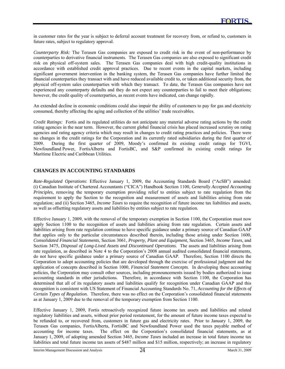in customer rates for the year is subject to deferral account treatment for recovery from, or refund to, customers in future rates, subject to regulatory approval.

*Counterparty Risk:* The Terasen Gas companies are exposed to credit risk in the event of non-performance by counterparties to derivative financial instruments. The Terasen Gas companies are also exposed to significant credit risk on physical off-system sales. The Terasen Gas companies deal with high credit-quality institutions in accordance with established credit approval practices. Due to recent events in the capital markets, including significant government intervention in the banking system, the Terasen Gas companies have further limited the financial counterparties they transact with and have reduced available credit to, or taken additional security from, the physical off-system sales counterparties with which they transact. To date, the Terasen Gas companies have not experienced any counterparty defaults and they do not expect any counterparties to fail to meet their obligations; however, the credit quality of counterparties, as recent events have indicated, can change rapidly.

An extended decline in economic conditions could also impair the ability of customers to pay for gas and electricity consumed, thereby affecting the aging and collection of the utilities' trade receivables.

*Credit Ratings:* Fortis and its regulated utilities do not anticipate any material adverse rating actions by the credit rating agencies in the near term. However, the current global financial crisis has placed increased scrutiny on rating agencies and rating agency criteria which may result in changes to credit rating practices and policies. There were no changes in the credit ratings for the Corporation and its currently rated subsidiaries during the first quarter of 2009. During the first quarter of 2009, Moody's confirmed its existing credit ratings for TGVI, Newfoundland Power, FortisAlberta and FortisBC, and S&P confirmed its existing credit ratings for Maritime Electric and Caribbean Utilities.

#### **CHANGES IN ACCOUNTING STANDARDS**

l

*Rate-Regulated Operations*: Effective January 1, 2009, the Accounting Standards Board ("AcSB") amended: (i) Canadian Institute of Chartered Accountants ("CICA") Handbook Section 1100, *Generally Accepted Accounting Principles*, removing the temporary exemption providing relief to entities subject to rate regulation from the requirement to apply the Section to the recognition and measurement of assets and liabilities arising from rate regulation; and (ii) Section 3465, *Income Taxes* to require the recognition of future income tax liabilities and assets, as well as offsetting regulatory assets and liabilities by entities subject to rate regulation.

Effective January 1, 2009, with the removal of the temporary exemption in Section 1100, the Corporation must now apply Section 1100 to the recognition of assets and liabilities arising from rate regulation. Certain assets and liabilities arising from rate regulation continue to have specific guidance under a primary source of Canadian GAAP that applies only to the particular circumstances described therein, including those arising under Section 1600, *Consolidated Financial Statements*, Section 3061, *Property, Plant and Equipment*, Section 3465*, Income Taxes*, and Section 3475, *Disposal of Long-Lived Assets and Discontinued Operations*. The assets and liabilities arising from rate regulation, as described in Note 4 to the Corporation's 2008 annual audited consolidated financial statements, do not have specific guidance under a primary source of Canadian GAAP. Therefore, Section 1100 directs the Corporation to adopt accounting policies that are developed through the exercise of professional judgment and the application of concepts described in Section 1000, *Financial Statement Concepts*. In developing these accounting policies, the Corporation may consult other sources, including pronouncements issued by bodies authorized to issue accounting standards in other jurisdictions. Therefore, in accordance with Section 1100, the Corporation has determined that all of its regulatory assets and liabilities qualify for recognition under Canadian GAAP and this recognition is consistent with US Statement of Financial Accounting Standards No. 71, *Accounting for the Effects of Certain Types of Regulation*. Therefore, there was no effect on the Corporation's consolidated financial statements as at January 1, 2009 due to the removal of the temporary exemption from Section 1100.

Effective January 1, 2009, Fortis retroactively recognized future income tax assets and liabilities and related regulatory liabilities and assets, without prior period restatement, for the amount of future income taxes expected to be refunded to, or recovered from, customers in future gas and electricity rates. Prior to January 1, 2009, the Terasen Gas companies, FortisAlberta, FortisBC and Newfoundland Power used the taxes payable method of accounting for income taxes. The effect on the Corporation's consolidated financial statements, as at January 1, 2009, of adopting amended Section 3465, *Income Taxes* included an increase in total future income tax liabilities and total future income tax assets of \$487 million and \$15 million, respectively; an increase in regulatory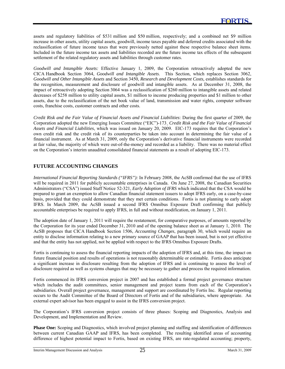assets and regulatory liabilities of \$531 million and \$50 million, respectively; and a combined net \$9 million increase in other assets, utility capital assets, goodwill, income taxes payable and deferred credits associated with the reclassification of future income taxes that were previously netted against these respective balance sheet items. Included in the future income tax assets and liabilities recorded are the future income tax effects of the subsequent settlement of the related regulatory assets and liabilities through customer rates.

*Goodwill and Intangible Assets:* Effective January 1, 2009, the Corporation retroactively adopted the new CICA Handbook Section 3064, *Goodwill and Intangible Assets*. This Section, which replaces Section 3062, *Goodwill and Other Intangible Assets* and Section 3450, *Research and Development Costs,* establishes standards for the recognition, measurement and disclosure of goodwill and intangible assets. As at December 31, 2008, the impact of retroactively adopting Section 3064 was a reclassification of \$260 million to intangible assets and related decreases of \$258 million to utility capital assets, \$1 million to income producing properties and \$1 million to other assets, due to the reclassification of the net book value of land, transmission and water rights, computer software costs, franchise costs, customer contracts and other costs.

*Credit Risk and the Fair Value of Financial Assets and Financial Liabilities*: During the first quarter of 2009, the Corporation adopted the new Emerging Issues Committee ("EIC")-173¸ *Credit Risk and the Fair Value of Financial Assets and Financial Liabilities*, which was issued on January 20, 2009. EIC-173 requires that the Corporation's own credit risk and the credit risk of its counterparties be taken into account in determining the fair value of a financial instrument. As at March 31, 2009, only the Corporation's derivative financial instruments were recorded at fair value, the majority of which were out-of-the-money and recorded as a liability. There was no material effect on the Corporation's interim unaudited consolidated financial statements as a result of adopting EIC-173.

### **FUTURE ACCOUNTING CHANGES**

l

*International Financial Reporting Standards ("IFRS"):* In February 2008, the AcSB confirmed that the use of IFRS will be required in 2011 for publicly accountable enterprises in Canada. On June 27, 2008, the Canadian Securities Administrators ("CSA") issued Staff Notice 52-321, *Early Adoption of IFRS* which indicated that the CSA would be prepared to grant an exemption to allow Canadian financial statement issuers to adopt IFRS early, on a case-by-case basis, provided that they could demonstrate that they met certain conditions. Fortis is not planning to early adopt IFRS. In March 2009, the AcSB issued a second IFRS Omnibus Exposure Draft confirming that publicly accountable enterprises be required to apply IFRS, in full and without modification, on January 1, 2011.

The adoption date of January 1, 2011 will require the restatement, for comparative purposes, of amounts reported by the Corporation for its year ended December 31, 2010 and of the opening balance sheet as at January 1, 2010. The AcSB proposes that CICA Handbook Section 1506, *Accounting Changes*, paragraph 30, which would require an entity to disclose information relating to a new primary source of GAAP that has been issued, but is not yet effective and that the entity has not applied, not be applied with respect to the IFRS Omnibus Exposure Drafts.

Fortis is continuing to assess the financial reporting impacts of the adoption of IFRS and, at this time, the impact on future financial position and results of operations is not reasonably determinable or estimable. Fortis does anticipate a significant increase in disclosure resulting from the adoption of IFRS and is continuing to assess the level of disclosure required as well as systems changes that may be necessary to gather and process the required information.

Fortis commenced its IFRS conversion project in 2007 and has established a formal project governance structure which includes the audit committees, senior management and project teams from each of the Corporation's subsidiaries. Overall project governance, management and support are coordinated by Fortis Inc. Regular reporting occurs to the Audit Committee of the Board of Directors of Fortis and of the subsidiaries, where appropriate. An external expert advisor has been engaged to assist in the IFRS conversion project.

The Corporation's IFRS conversion project consists of three phases: Scoping and Diagnostics, Analysis and Development, and Implementation and Review.

**Phase One:** Scoping and Diagnostics, which involved project planning and staffing and identification of differences between current Canadian GAAP and IFRS, has been completed. The resulting identified areas of accounting difference of highest potential impact to Fortis, based on existing IFRS, are rate-regulated accounting; property,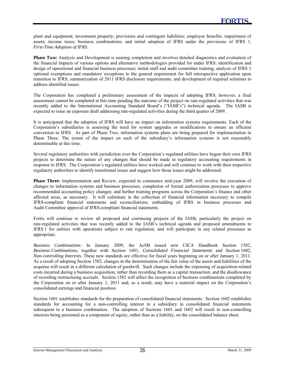plant and equipment; investment property; provisions and contingent liabilities; employee benefits; impairment of assets; income taxes; business combinations; and initial adoption of IFRS under the provisions of IFRS 1, *First-Time Adoption of IFRS*.

**Phase Two:** Analysis and Development is nearing completion and involves detailed diagnostics and evaluation of the financial impacts of various options and alternative methodologies provided for under IFRS; identification and design of operational and financial business processes; initial staff and audit committee training; analysis of IFRS 1 optional exemptions and mandatory exceptions to the general requirement for full retrospective application upon transition to IFRS; summarization of 2011 IFRS disclosure requirements; and development of required solutions to address identified issues.

The Corporation has completed a preliminary assessment of the impacts of adopting IFRS; however, a final assessment cannot be completed at this time pending the outcome of the project on rate-regulated activities that was recently added to the International Accounting Standard Board's ("IASB's") technical agenda. The IASB is expected to issue an exposure draft addressing rate-regulated activities during the third quarter of 2009.

It is anticipated that the adoption of IFRS will have an impact on information systems requirements. Each of the Corporation's subsidiaries is assessing the need for system upgrades or modifications to ensure an efficient conversion to IFRS. As part of Phase Two, information systems plans are being prepared for implementation in Phase Three. The extent of the impact on each of the subsidiary's information systems is not reasonably determinable at this time.

Several regulatory authorities with jurisdiction over the Corporation's regulated utilities have begun their own IFRS projects to determine the nature of any changes that should be made in regulatory accounting requirements in response to IFRS. The Corporation's regulated utilities have worked and will continue to work with their respective regulatory authorities to identify transitional issues and suggest how those issues might be addressed.

**Phase Three:** Implementation and Review, expected to commence mid-year 2009, will involve the execution of changes to information systems and business processes; completion of formal authorization processes to approve recommended accounting policy changes; and further training programs across the Corporation's finance and other affected areas, as necessary. It will culminate in the collection of financial information necessary to compile IFRS-compliant financial statements and reconciliations; embedding of IFRS in business processes and Audit Committee approval of IFRS-compliant financial statements.

Fortis will continue to review all proposed and continuing projects of the IASB, particularly the project on rate-regulated activities that was recently added to the IASB's technical agenda and proposed amendments to IFRS 1 for entities with operations subject to rate regulation, and will participate in any related processes as appropriate.

*Business Combinations:* In January 2009, the AcSB issued new CICA Handbook Section 1582, *Business Combinations,* together with Section 1601, *Consolidated Financial Statements* and Section 1602, *Non-controlling Interests.* These new standards are effective for fiscal years beginning on or after January 1, 2011. As a result of adopting Section 1582, changes in the determination of the fair value of the assets and liabilities of the acquiree will result in a different calculation of goodwill. Such changes include the expensing of acquisition-related costs incurred during a business acquisition, rather than recording them as a capital transaction, and the disallowance of recording restructuring accruals. Section 1582 will affect the recognition of business combinations completed by the Corporation on or after January 1, 2011 and, as a result, may have a material impact on the Corporation's consolidated earnings and financial position.

Section 1601 establishes standards for the preparation of consolidated financial statements. Section 1602 establishes standards for accounting for a non-controlling interest in a subsidiary in consolidated financial statements subsequent to a business combination. The adoption of Sections 1601 and 1602 will result in non-controlling interests being presented as a component of equity, rather than as a liability, on the consolidated balance sheet.

l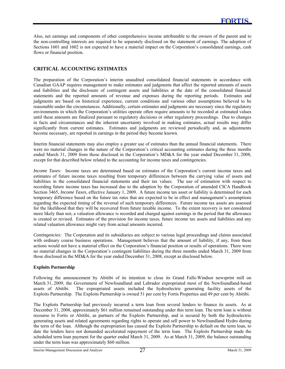Also, net earnings and components of other comprehensive income attributable to the owners of the parent and to the non-controlling interests are required to be separately disclosed on the statement of earnings. The adoption of Sections 1601 and 1602 is not expected to have a material impact on the Corporation's consolidated earnings, cash flows or financial position.

### **CRITICAL ACCOUNTING ESTIMATES**

l

The preparation of the Corporation's interim unaudited consolidated financial statements in accordance with Canadian GAAP requires management to make estimates and judgments that affect the reported amounts of assets and liabilities and the disclosure of contingent assets and liabilities at the date of the consolidated financial statements and the reported amounts of revenue and expenses during the reporting periods. Estimates and judgments are based on historical experience, current conditions and various other assumptions believed to be reasonable under the circumstances. Additionally, certain estimates and judgments are necessary since the regulatory environments in which the Corporation's utilities operate often require amounts to be recorded at estimated values until these amounts are finalized pursuant to regulatory decisions or other regulatory proceedings. Due to changes in facts and circumstances and the inherent uncertainty involved in making estimates, actual results may differ significantly from current estimates. Estimates and judgments are reviewed periodically and, as adjustments become necessary, are reported in earnings in the period they become known.

Interim financial statements may also employ a greater use of estimates than the annual financial statements. There were no material changes in the nature of the Corporation's critical accounting estimates during the three months ended March 31, 2009 from those disclosed in the Corporation's MD&A for the year ended December 31, 2008, except for that described below related to the accounting for income taxes and contingencies.

*Income Taxes:* Income taxes are determined based on estimates of the Corporation's current income taxes and estimates of future income taxes resulting from temporary differences between the carrying value of assets and liabilities in the consolidated financial statements and their tax values. The use of estimation with respect to recording future income taxes has increased due to the adoption by the Corporation of amended CICA Handbook Section 3465, *Income Taxes*, effective January 1, 2009. A future income tax asset or liability is determined for each temporary difference based on the future tax rates that are expected to be in effect and management's assumptions regarding the expected timing of the reversal of such temporary differences. Future income tax assets are assessed for the likelihood that they will be recovered from future taxable income. To the extent recovery is not considered more likely than not, a valuation allowance is recorded and charged against earnings in the period that the allowance is created or revised. Estimates of the provision for income taxes, future income tax assets and liabilities and any related valuation allowance might vary from actual amounts incurred.

*Contingencies:* The Corporation and its subsidiaries are subject to various legal proceedings and claims associated with ordinary course business operations. Management believes that the amount of liability, if any, from these actions would not have a material effect on the Corporation's financial position or results of operations. There were no material changes in the Corporation's contingent liabilities during the three months ended March 31, 2009 from those disclosed in the MD&A for the year ended December 31, 2008, except as disclosed below.

#### **Exploits Partnership**

Following the announcement by Abitibi of its intention to close its Grand Falls-Windsor newsprint mill on March 31, 2009, the Government of Newfoundland and Labrador expropriated most of the Newfoundland-based assets of Abitibi. The expropriated assets included the hydroelectric generating facility assets of the Exploits Partnership. The Exploits Partnership is owned 51 per cent by Fortis Properties and 49 per cent by Abitibi.

The Exploits Partnership had previously incurred a term loan from several lenders to finance its assets. As at December 31, 2008, approximately \$61 million remained outstanding under this term loan. The term loan is without recourse to Fortis or Abitibi, as partners of the Exploits Partnership, and is secured by both the hydroelectric generating assets and related agreements regarding rights to operate and sell power to Newfoundland Hydro during the term of the loan. Although the expropriation has caused the Exploits Partnership to default on the term loan, to date the lenders have not demanded accelerated repayment of the term loan. The Exploits Partnership made the scheduled term loan payment for the quarter ended March 31, 2009. As at March 31, 2009, the balance outstanding under the term loan was approximately \$60 million.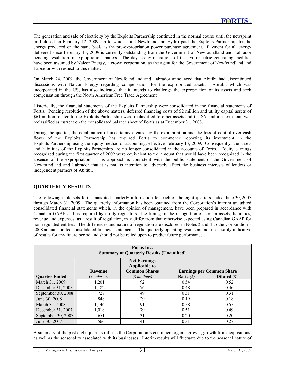The generation and sale of electricity by the Exploits Partnership continued in the normal course until the newsprint mill closed on February 12, 2009, up to which point Newfoundland Hydro paid the Exploits Partnership for the energy produced on the same basis as the pre-expropriation power purchase agreement. Payment for all energy delivered since February 13, 2009 is currently outstanding from the Government of Newfoundland and Labrador pending resolution of expropriation matters. The day-to-day operations of the hydroelectric generating facilities have been assumed by Nalcor Energy, a crown corporation, as the agent for the Government of Newfoundland and Labrador with respect to this matter.

On March 24, 2009, the Government of Newfoundland and Labrador announced that Abitibi had discontinued discussions with Nalcor Energy regarding compensation for the expropriated assets. Abitibi, which was incorporated in the US, has also indicated that it intends to challenge the expropriation of its assets and seek compensation through the North American Free Trade Agreement.

Historically, the financial statements of the Exploits Partnership were consolidated in the financial statements of Fortis. Pending resolution of the above matters, deferred financing costs of \$2 million and utility capital assets of \$61 million related to the Exploits Partnership were reclassified to other assets and the \$61 million term loan was reclassified as current on the consolidated balance sheet of Fortis as at December 31, 2008.

During the quarter, the combination of uncertainty created by the expropriation and the loss of control over cash flows of the Exploits Partnership has required Fortis to commence reporting its investment in the Exploits Partnership using the equity method of accounting, effective February 13, 2009. Consequently, the assets and liabilities of the Exploits Partnership are no longer consolidated in the accounts of Fortis. Equity earnings recognized during the first quarter of 2009 were equivalent to the amount that would have been recognized in the absence of the expropriation. This approach is consistent with the public statement of the Government of Newfoundland and Labrador that it is not its intention to adversely affect the business interests of lenders or independent partners of Abitibi.

#### **QUARTERLY RESULTS**

l

The following table sets forth unaudited quarterly information for each of the eight quarters ended June 30, 2007 through March 31, 2009. The quarterly information has been obtained from the Corporation's interim unaudited consolidated financial statements which, in the opinion of management, have been prepared in accordance with Canadian GAAP and as required by utility regulators. The timing of the recognition of certain assets, liabilities, revenue and expenses, as a result of regulation, may differ from that otherwise expected using Canadian GAAP for non-regulated entities. The differences and nature of regulation are disclosed in Notes 2 and 4 to the Corporation's 2008 annual audited consolidated financial statements. The quarterly operating results are not necessarily indicative of results for any future period and should not be relied upon to predict future performance.

| <b>Fortis</b> Inc.<br><b>Summary of Quarterly Results (Unaudited)</b> |                |                                                                     |                     |                                  |  |  |
|-----------------------------------------------------------------------|----------------|---------------------------------------------------------------------|---------------------|----------------------------------|--|--|
|                                                                       | <b>Revenue</b> | <b>Net Earnings</b><br><b>Applicable to</b><br><b>Common Shares</b> |                     | <b>Earnings per Common Share</b> |  |  |
| <b>Ouarter Ended</b>                                                  | $($$ millions) | $($$ millions)                                                      | <b>Basic</b> $(\$)$ | <b>Diluted</b> $(s)$             |  |  |
| March 31, 2009                                                        | 1,201          | 92                                                                  | 0.54                | 0.52                             |  |  |
| December 31, 2008                                                     | 1,182          | 76                                                                  | 0.48                | 0.46                             |  |  |
| September 30, 2008                                                    | 727            | 49                                                                  | 0.31                | 0.31                             |  |  |
| June 30, 2008                                                         | 848            | 29                                                                  | 0.19                | 0.18                             |  |  |
| March 31, 2008                                                        | 1,146          | 91                                                                  | 0.58                | 0.55                             |  |  |
| December 31, 2007                                                     | 1,018          | 79                                                                  | 0.51                | 0.49                             |  |  |
| September 30, 2007                                                    | 651            | 31                                                                  | 0.20                | 0.20                             |  |  |
| June 30, 2007                                                         | 566            | 41                                                                  | 0.31                | 0.27                             |  |  |

A summary of the past eight quarters reflects the Corporation's continued organic growth, growth from acquisitions, as well as the seasonality associated with its businesses. Interim results will fluctuate due to the seasonal nature of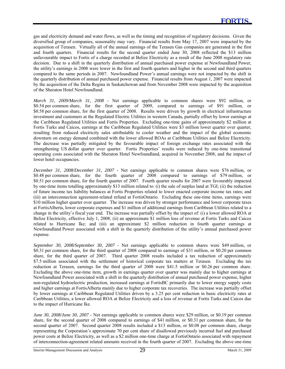gas and electricity demand and water flows, as well as the timing and recognition of regulatory decisions. Given the diversified group of companies, seasonality may vary. Financial results from May 17, 2007 were impacted by the acquisition of Terasen. Virtually all of the annual earnings of the Terasen Gas companies are generated in the first and fourth quarters. Financial results for the second quarter ended June 30, 2008 reflected the \$13 million unfavourable impact to Fortis of a charge recorded at Belize Electricity as a result of the June 2008 regulatory rate decision. Due to a shift in the quarterly distribution of annual purchased power expense at Newfoundland Power, the utility's earnings in 2008 were lower in the first and fourth quarters and higher in the second and third quarters compared to the same periods in 2007. Newfoundland Power's annual earnings were not impacted by the shift in the quarterly distribution of annual purchased power expense. Financial results from August 1, 2007 were impacted by the acquisition of the Delta Regina in Saskatchewan and from November 2008 were impacted by the acquisition of the Sheraton Hotel Newfoundland.

*March 31, 2009/March 31, 2008 -* Net earnings applicable to common shares were \$92 million, or \$0.54 per common share, for the first quarter of 2009, compared to earnings of \$91 million, or \$0.58 per common share, for the first quarter of 2008. Results were driven by growth in electrical infrastructure investment and customers at the Regulated Electric Utilities in western Canada, partially offset by lower earnings at the Caribbean Regulated Utilities and Fortis Properties. Excluding one-time gains of approximately \$2 million at Fortis Turks and Caicos, earnings at the Caribbean Regulated Utilities were \$3 million lower quarter over quarter, resulting from reduced electricity sales attributable to cooler weather and the impact of the global economic downturn on energy demand combined with the lower allowed ROAs at Caribbean Utilities and Belize Electricity. The decrease was partially mitigated by the favourable impact of foreign exchange rates associated with the strengthening US dollar quarter over quarter. Fortis Properties' results were reduced by one-time transitional operating costs associated with the Sheraton Hotel Newfoundland, acquired in November 2008, and the impact of lower hotel occupancies.

*December 31, 2008/December 31, 2007 -* Net earnings applicable to common shares were \$76 million, or \$0.48 per common share, for the fourth quarter of 2008 compared to earnings of \$79 million, or \$0.51 per common share, for the fourth quarter of 2007. Fourth quarter results for 2007 were favourably impacted by one-time items totalling approximately \$13 million related to: (i) the sale of surplus land at TGI; (ii) the reduction of future income tax liability balances at Fortis Properties related to lower enacted corporate income tax rates; and (iii) an interconnection agreement-related refund at FortisOntario. Excluding these one-time items, earnings were \$10 million higher quarter over quarter. The increase was driven by stronger performance and lower corporate taxes at FortisAlberta, lower corporate expenses and \$1 million of additional earnings from Caribbean Utilities related to a change in the utility's fiscal year end. The increase was partially offset by the impact of: (i) a lower allowed ROA at Belize Electricity, effective July 1, 2008; (ii) an approximate \$1 million loss of revenue at Fortis Turks and Caicos related to Hurricane Ike; and (iii) an approximate \$2 million reduction in fourth quarter earnings at Newfoundland Power associated with a shift in the quarterly distribution of the utility's annual purchased power expense.

*September 30, 2008/September 30, 2007 -* Net earnings applicable to common shares were \$49 million, or \$0.31 per common share, for the third quarter of 2008 compared to earnings of \$31 million, or \$0.20 per common share, for the third quarter of 2007. Third quarter 2008 results included a tax reduction of approximately \$7.5 million associated with the settlement of historical corporate tax matters at Terasen. Excluding the tax reduction at Terasen, earnings for the third quarter of 2008 were \$41.5 million or \$0.26 per common share. Excluding the above one-time item, growth in earnings quarter over quarter was mainly due to higher earnings at Newfoundland Power associated with a shift in the quarterly distribution of annual purchased power expense, higher non-regulated hydroelectric production, increased earnings at FortisBC primarily due to lower energy supply costs and higher earnings at FortisAlberta mainly due to higher corporate tax recoveries. The increase was partially offset by lower earnings at Caribbean Regulated Utilities driven by a 3.25 per cent reduction in basic electricity rates at Caribbean Utilities, a lower allowed ROA at Belize Electricity and a loss of revenue at Fortis Turks and Caicos due to the impact of Hurricane Ike.

*June 30, 2008/June 30, 2007 - Net earnings applicable to common shares were \$29 million, or \$0.19 per common* share, for the second quarter of 2008 compared to earnings of \$41 million, or \$0.31 per common share, for the second quarter of 2007. Second quarter 2008 results included a \$13 million, or \$0.08 per common share, charge representing the Corporation's approximate 70 per cent share of disallowed previously incurred fuel and purchased power costs at Belize Electricity, as well as a \$2 million one-time charge at FortisOntario associated with repayment of interconnection-agreement related amounts received in the fourth quarter of 2007. Excluding the above one-time

l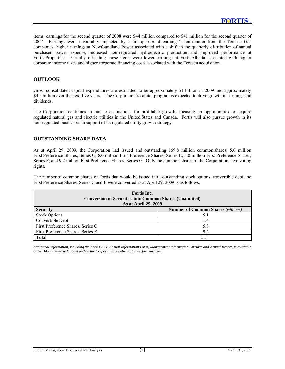items, earnings for the second quarter of 2008 were \$44 million compared to \$41 million for the second quarter of 2007. Earnings were favourably impacted by a full quarter of earnings' contribution from the Terasen Gas companies, higher earnings at Newfoundland Power associated with a shift in the quarterly distribution of annual purchased power expense, increased non-regulated hydroelectric production and improved performance at Fortis Properties. Partially offsetting those items were lower earnings at FortisAlberta associated with higher corporate income taxes and higher corporate financing costs associated with the Terasen acquisition.

#### **OUTLOOK**

l

Gross consolidated capital expenditures are estimated to be approximately \$1 billion in 2009 and approximately \$4.5 billion over the next five years. The Corporation's capital program is expected to drive growth in earnings and dividends.

The Corporation continues to pursue acquisitions for profitable growth, focusing on opportunities to acquire regulated natural gas and electric utilities in the United States and Canada. Fortis will also pursue growth in its non-regulated businesses in support of its regulated utility growth strategy.

#### **OUTSTANDING SHARE DATA**

As at April 29, 2009, the Corporation had issued and outstanding 169.8 million common shares; 5.0 million First Preference Shares, Series C; 8.0 million First Preference Shares, Series E; 5.0 million First Preference Shares, Series F; and 9.2 million First Preference Shares, Series G. Only the common shares of the Corporation have voting rights.

The number of common shares of Fortis that would be issued if all outstanding stock options, convertible debt and First Preference Shares, Series C and E were converted as at April 29, 2009 is as follows:

| <b>Fortis</b> Inc.<br><b>Conversion of Securities into Common Shares (Unaudited)</b><br>As at April 29, 2009 |                                           |  |  |  |
|--------------------------------------------------------------------------------------------------------------|-------------------------------------------|--|--|--|
| <b>Security</b>                                                                                              | <b>Number of Common Shares (millions)</b> |  |  |  |
| <b>Stock Options</b>                                                                                         |                                           |  |  |  |
| Convertible Debt                                                                                             | I.4                                       |  |  |  |
| First Preference Shares, Series C                                                                            | 5.8                                       |  |  |  |
| First Preference Shares, Series E                                                                            | 9.2                                       |  |  |  |
| <b>Total</b>                                                                                                 | 21.5                                      |  |  |  |

*Additional information, including the Fortis 2008 Annual Information Form, Management Information Circular and Annual Report, is available on SEDAR at www.sedar.com and on the Corporation's website at www.fortisinc.com.*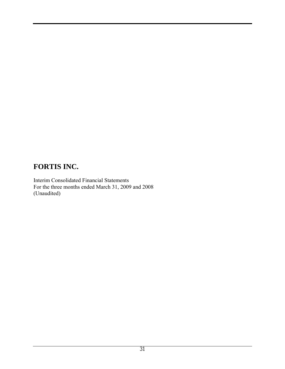Interim Consolidated Financial Statements For the three months ended March 31, 2009 and 2008 (Unaudited)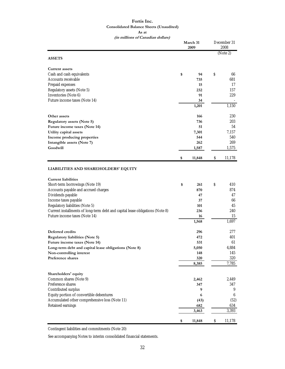#### **Fortis Inc. Consolidated Balance Sheets (Unaudited) As at (in millions of Canadian dollars)**

|                                                                               | March 31<br>2009 |        | December 31<br>2008 |          |
|-------------------------------------------------------------------------------|------------------|--------|---------------------|----------|
|                                                                               |                  |        |                     | (Note 2) |
| <b>ASSETS</b>                                                                 |                  |        |                     |          |
| <b>Current assets</b>                                                         |                  |        |                     |          |
| Cash and cash equivalents                                                     | \$               | 94     | S                   | 66       |
| Accounts receivable                                                           |                  | 735    |                     | 681      |
| Prepaid expenses                                                              |                  | 15     |                     | 17       |
| Regulatory assets (Note 5)                                                    |                  | 232    |                     | 157      |
| Inventories (Note 6)                                                          |                  | 91     |                     | 229      |
| Future income taxes (Note 14)                                                 |                  | 34     |                     |          |
|                                                                               |                  | 1,201  |                     | 1,150    |
| Other assets                                                                  |                  | 166    |                     | 230      |
| <b>Regulatory assets (Note 5)</b>                                             |                  | 736    |                     | 203      |
| Future income taxes (Note 14)                                                 |                  | 51     |                     | 54       |
| Utility capital assets                                                        |                  | 7,301  |                     | 7,157    |
| Income producing properties                                                   |                  | 544    |                     | 540      |
| Intangible assets (Note 7)                                                    |                  | 262    |                     | 269      |
| Goodwill                                                                      |                  | 1,587  |                     | 1,575    |
|                                                                               | \$               | 11,848 | \$                  | 11,178   |
|                                                                               |                  |        |                     |          |
| LIABILITIES AND SHAREHOLDERS' EQUITY                                          |                  |        |                     |          |
| <b>Current liabilities</b>                                                    |                  |        |                     |          |
| Short-term borrowings (Note 19)                                               | \$               | 261    | \$                  | 410      |
| Accounts payable and accrued charges                                          |                  | 870    |                     | 874      |
| Dividends payable                                                             |                  | 47     |                     | 47       |
| Income taxes payable                                                          |                  | 37     |                     | 66       |
| Regulatory liabilities (Note 5)                                               |                  | 101    |                     | 45       |
| Current installments of long-term debt and capital lease obligations (Note 8) |                  | 236    |                     | 240      |
| Future income taxes (Note 14)                                                 |                  | 16     |                     | 15       |
|                                                                               |                  | 1,568  |                     | 1,697    |
| Deferred credits                                                              |                  | 296    |                     | 277      |
| Regulatory liabilities (Note 5)                                               |                  | 472    |                     | 401      |
| Future income taxes (Note 14)                                                 |                  | 531    |                     | 61       |
| Long-term debt and capital lease obligations (Note 8)                         |                  | 5,050  |                     | 4,884    |
| Non-controlling interest                                                      |                  | 148    |                     | 145      |
| Preference shares                                                             |                  | 320    |                     | 320      |
|                                                                               |                  | 8,385  |                     | 7,785    |
| Shareholders' equity                                                          |                  |        |                     |          |
| Common shares (Note 9)                                                        |                  | 2,462  |                     | 2,449    |
| Preference shares                                                             |                  | 347    |                     | 347      |
| Contributed surplus                                                           |                  | 9      |                     | 9        |
| Equity portion of convertible debentures                                      |                  | 6      |                     | 6        |
| Accumulated other comprehensive loss (Note 11)                                |                  | (43)   |                     | (52)     |
| Retained earnings                                                             |                  | 682    |                     | 634      |
|                                                                               |                  | 3,463  |                     | 3,393    |
|                                                                               | \$               | 11,848 | \$                  | 11,178   |

Contingent liabilities and commitments (Note 20)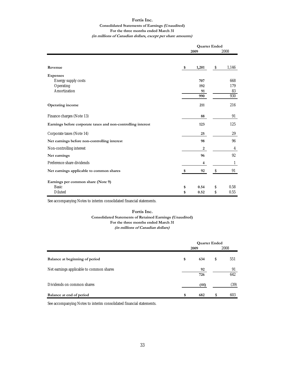### **Fortis Inc. Consolidated Statements of Earnings (Unaudited) For the three months ended March 31**

| (in millions of Canadian dollars, except per share amounts) |  |
|-------------------------------------------------------------|--|
|-------------------------------------------------------------|--|

|                                                              | <b>Quarter Ended</b> |       |    |       |
|--------------------------------------------------------------|----------------------|-------|----|-------|
|                                                              |                      | 2009  |    | 2008  |
|                                                              |                      |       |    |       |
| Revenue                                                      | \$                   | 1,201 | \$ | 1,146 |
| <b>Expenses</b>                                              |                      |       |    |       |
| Energy supply costs                                          |                      | 707   |    | 668   |
| Operating                                                    |                      | 192   |    | 179   |
| Amortization                                                 |                      | 91    |    | 83    |
|                                                              |                      | 990   |    | 930   |
| <b>Operating income</b>                                      |                      | 211   |    | 216   |
| Finance charges (Note 13)                                    |                      | 88    |    | 91    |
| Earnings before corporate taxes and non-controlling interest |                      | 123   |    | 125   |
| Corporate taxes (Note 14)                                    |                      | 25    |    | 29    |
| Net earnings before non-controlling interest                 |                      | 98    |    | 96    |
| Non-controlling interest                                     |                      | 2     |    | 4     |
| Net earnings                                                 |                      | 96    |    | 92    |
| Preference share dividends                                   |                      | 4     |    | 1     |
| Net earnings applicable to common shares                     | \$                   | 92    | \$ | 91    |
| Earnings per common share (Note 9)                           |                      |       |    |       |
| <b>Basic</b>                                                 | \$                   | 0.54  | \$ | 0.58  |
| Diluted                                                      | \$                   | 0.52  | \$ | 0.55  |

See accompanying Notes to interim consolidated financial statements.

#### **Fortis Inc.**

**Consolidated Statements of Retained Earnings (Unaudited) For the three months ended March 31**

#### **(in millions of Canadian dollars)**

|                                          | 2009      | <b>Quarter Ended</b><br>2008 |           |  |
|------------------------------------------|-----------|------------------------------|-----------|--|
| Balance at beginning of period           | \$<br>634 | S                            | 551       |  |
| Net earnings applicable to common shares | 92<br>726 |                              | 91<br>642 |  |
| Dividends on common shares               | (44)      |                              | (39)      |  |
| Balance at end of period                 | \$<br>682 |                              | 603       |  |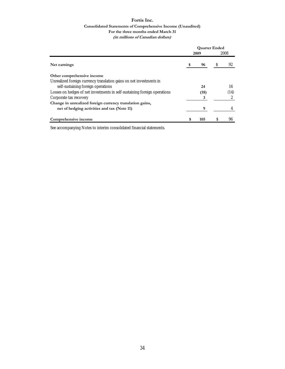#### **Fortis Inc. Consolidated Statements of Comprehensive Income (Unaudited) For the three months ended March 31 (in millions of Canadian dollars)**

|                                                                           | <b>Quarter Ended</b> |      |   |      |
|---------------------------------------------------------------------------|----------------------|------|---|------|
|                                                                           |                      | 2009 |   | 2008 |
| Net earnings                                                              | \$                   | 96   | S | 92   |
| Other comprehensive income                                                |                      |      |   |      |
| Unrealized foreign currency translation gains on net investments in       |                      |      |   |      |
| self-sustaining foreign operations                                        |                      | 24   |   | 16   |
| Losses on hedges of net investments in self-sustaining foreign operations |                      | (18) |   | (14) |
| Corporate tax recovery                                                    |                      | 3    |   |      |
| Change in unrealized foreign currency translation gains,                  |                      |      |   |      |
| net of hedging activities and tax (Note 11)                               |                      | 9    |   |      |
| Comprehensive income                                                      | S                    | 105  |   | 96   |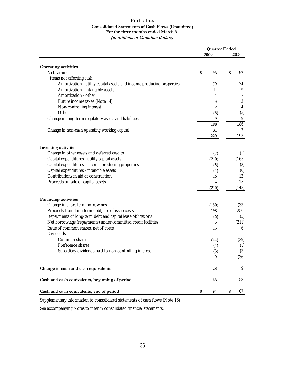#### **Fortis Inc. Consolidated Statements of Cash Flows (Unaudited) For the three months ended March 31 (in millions of Canadian dollars)**

|                                                                       | <b>Quarter Ended</b> |       |                  |  |
|-----------------------------------------------------------------------|----------------------|-------|------------------|--|
|                                                                       |                      | 2009  | 2008             |  |
| Operating activities                                                  |                      |       |                  |  |
| Net earnings                                                          | \$                   | 96    | \$<br>92         |  |
| Items not affecting cash                                              |                      |       |                  |  |
| Amortization - utility capital assets and income producing properties |                      | 79    | 74               |  |
| Amortization - intangible assets                                      |                      | 11    | 9                |  |
| Amortization - other                                                  |                      | 1     |                  |  |
| Future income taxes (Note 14)                                         |                      | 3     | 3                |  |
| Non-controlling interest                                              |                      | 2     | 4                |  |
| Other                                                                 |                      | (3)   | (5)              |  |
| Change in long-term regulatory assets and liabilities                 |                      | 9     | $\boldsymbol{9}$ |  |
|                                                                       |                      | 198   | 186              |  |
| Change in non-cash operating working capital                          |                      | 31    | 7                |  |
|                                                                       |                      | 229   | 193              |  |
|                                                                       |                      |       |                  |  |
| Investing activities                                                  |                      |       |                  |  |
| Change in other assets and deferred credits                           |                      | (7)   | (1)              |  |
| Capital expenditures - utility capital assets                         |                      | (210) | (165)            |  |
| Capital expenditures - income producing properties                    |                      | (5)   | (3)              |  |
| Capital expenditures - intangible assets                              |                      | (4)   | (6)              |  |
| Contributions in aid of construction                                  |                      | 16    | 12<br>15         |  |
| Proceeds on sale of capital assets                                    |                      | (210) | (148)            |  |
|                                                                       |                      |       |                  |  |
| <b>Financing activities</b>                                           |                      |       |                  |  |
| Change in short-term borrowings                                       |                      | (150) | (33)             |  |
| Proceeds from long-term debt, net of issue costs                      |                      | 198   | 250              |  |
| Repayments of long-term debt and capital lease obligations            |                      | (6)   | (5)              |  |
| Net borrowings (repayments) under committed credit facilities         |                      | 5     | (211)            |  |
| Issue of common shares, net of costs                                  |                      | 13    | 6                |  |
| <b>Dividends</b>                                                      |                      |       |                  |  |
| Common shares                                                         |                      | (44)  | (39)             |  |
| Preference shares                                                     |                      | (4)   | (1)              |  |
| Subsidiary dividends paid to non-controlling interest                 |                      | (3)   | (3)<br>(36)      |  |
|                                                                       |                      | 9     |                  |  |
| Change in cash and cash equivalents                                   |                      | 28    | 9                |  |
| Cash and cash equivalents, beginning of period                        |                      | 66    | 58               |  |
| Cash and cash equivalents, end of period                              | \$                   | 94    | \$<br>67         |  |

Supplementary information to consolidated statements of cash flows (Note 16)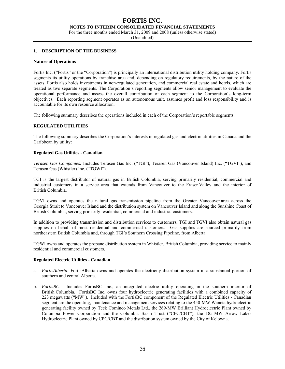**NOTES TO INTERIM CONSOLIDATED FINANCIAL STATEMENTS** 

For the three months ended March 31, 2009 and 2008 (unless otherwise stated)

(Unaudited)

#### **1. DESCRIPTION OF THE BUSINESS**

#### **Nature of Operations**

Fortis Inc. ("Fortis" or the "Corporation") is principally an international distribution utility holding company. Fortis segments its utility operations by franchise area and, depending on regulatory requirements, by the nature of the assets. Fortis also holds investments in non-regulated generation, and commercial real estate and hotels, which are treated as two separate segments. The Corporation's reporting segments allow senior management to evaluate the operational performance and assess the overall contribution of each segment to the Corporation's long-term objectives. Each reporting segment operates as an autonomous unit, assumes profit and loss responsibility and is accountable for its own resource allocation.

The following summary describes the operations included in each of the Corporation's reportable segments.

#### **REGULATED UTILITIES**

The following summary describes the Corporation's interests in regulated gas and electric utilities in Canada and the Caribbean by utility:

#### **Regulated Gas Utilities - Canadian**

*Terasen Gas Companies:* Includes Terasen Gas Inc. ("TGI"), Terasen Gas (Vancouver Island) Inc. ("TGVI"), and Terasen Gas (Whistler) Inc. ("TGWI").

TGI is the largest distributor of natural gas in British Columbia, serving primarily residential, commercial and industrial customers in a service area that extends from Vancouver to the Fraser Valley and the interior of British Columbia.

TGVI owns and operates the natural gas transmission pipeline from the Greater Vancouver area across the Georgia Strait to Vancouver Island and the distribution system on Vancouver Island and along the Sunshine Coast of British Columbia, serving primarily residential, commercial and industrial customers.

In addition to providing transmission and distribution services to customers, TGI and TGVI also obtain natural gas supplies on behalf of most residential and commercial customers. Gas supplies are sourced primarily from northeastern British Columbia and, through TGI's Southern Crossing Pipeline, from Alberta.

TGWI owns and operates the propane distribution system in Whistler, British Columbia, providing service to mainly residential and commercial customers.

#### **Regulated Electric Utilities - Canadian**

- a. *FortisAlberta:* FortisAlberta owns and operates the electricity distribution system in a substantial portion of southern and central Alberta.
- b. *FortisBC*: Includes FortisBC Inc., an integrated electric utility operating in the southern interior of British Columbia. FortisBC Inc. owns four hydroelectric generating facilities with a combined capacity of 223 megawatts ("MW"). Included with the FortisBC component of the Regulated Electric Utilities - Canadian segment are the operating, maintenance and management services relating to the 450-MW Waneta hydroelectric generating facility owned by Teck Cominco Metals Ltd., the 269-MW Brilliant Hydroelectric Plant owned by Columbia Power Corporation and the Columbia Basin Trust ("CPC/CBT"), the 185-MW Arrow Lakes Hydroelectric Plant owned by CPC/CBT and the distribution system owned by the City of Kelowna.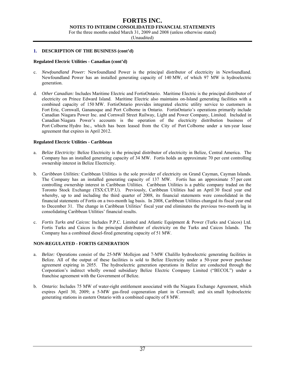#### **FORTIS INC. NOTES TO INTERIM CONSOLIDATED FINANCIAL STATEMENTS**

For the three months ended March 31, 2009 and 2008 (unless otherwise stated)

(Unaudited)

#### **1. DESCRIPTION OF THE BUSINESS (cont'd)**

#### **Regulated Electric Utilities - Canadian (cont'd)**

- c. *Newfoundland Power:* Newfoundland Power is the principal distributor of electricity in Newfoundland. Newfoundland Power has an installed generating capacity of 140 MW, of which 97 MW is hydroelectric generation.
- d. *Other Canadian:* Includes Maritime Electric and FortisOntario. Maritime Electric is the principal distributor of electricity on Prince Edward Island. Maritime Electric also maintains on-Island generating facilities with a combined capacity of 150 MW. FortisOntario provides integrated electric utility service to customers in Fort Erie, Cornwall, Gananoque and Port Colborne in Ontario. FortisOntario's operations primarily include Canadian Niagara Power Inc. and Cornwall Street Railway, Light and Power Company, Limited. Included in Canadian Niagara Power's accounts is the operation of the electricity distribution business of Port Colborne Hydro Inc., which has been leased from the City of Port Colborne under a ten-year lease agreement that expires in April 2012.

#### **Regulated Electric Utilities - Caribbean**

- a. *Belize Electricity:* Belize Electricity is the principal distributor of electricity in Belize, Central America. The Company has an installed generating capacity of 34 MW. Fortis holds an approximate 70 per cent controlling ownership interest in Belize Electricity.
- b. *Caribbean Utilities:* Caribbean Utilities is the sole provider of electricity on Grand Cayman, Cayman Islands. The Company has an installed generating capacity of 137 MW. Fortis has an approximate 57 per cent controlling ownership interest in Caribbean Utilities. Caribbean Utilities is a public company traded on the Toronto Stock Exchange (TSX:CUP.U). Previously, Caribbean Utilities had an April 30 fiscal year end whereby, up to and including the third quarter of 2008, its financial statements were consolidated in the financial statements of Fortis on a two-month lag basis. In 2008, Caribbean Utilities changed its fiscal year end to December 31. The change in Caribbean Utilities' fiscal year end eliminates the previous two-month lag in consolidating Caribbean Utilities' financial results.
- c. *Fortis Turks and Caicos:* Includes P.P.C. Limited and Atlantic Equipment & Power (Turks and Caicos) Ltd. Fortis Turks and Caicos is the principal distributor of electricity on the Turks and Caicos Islands. The Company has a combined diesel-fired generating capacity of 51 MW.

#### **NON-REGULATED - FORTIS GENERATION**

- a. *Belize:* Operations consist of the 25-MW Mollejon and 7-MW Chalillo hydroelectric generating facilities in Belize. All of the output of these facilities is sold to Belize Electricity under a 50-year power purchase agreement expiring in 2055. The hydroelectric generation operations in Belize are conducted through the Corporation's indirect wholly owned subsidiary Belize Electric Company Limited ("BECOL") under a franchise agreement with the Government of Belize.
- b. *Ontario:* Includes 75 MW of water-right entitlement associated with the Niagara Exchange Agreement, which expires April 30, 2009; a 5-MW gas-fired cogeneration plant in Cornwall; and six small hydroelectric generating stations in eastern Ontario with a combined capacity of 8 MW.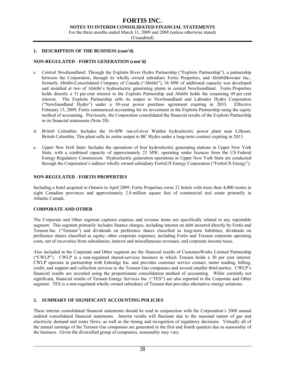**NOTES TO INTERIM CONSOLIDATED FINANCIAL STATEMENTS** 

For the three months ended March 31, 2009 and 2008 (unless otherwise stated)

(Unaudited)

#### **1. DESCRIPTION OF THE BUSINESS (cont'd)**

#### **NON-REGULATED - FORTIS GENERATION (cont'd)**

- c. *Central Newfoundland:* Through the Exploits River Hydro Partnership ("Exploits Partnership"), a partnership between the Corporation, through its wholly owned subsidiary Fortis Properties, and AbitibiBowater Inc., formerly Abitibi-Consolidated Company of Canada ("Abitibi"), 36 MW of additional capacity was developed and installed at two of Abitibi's hydroelectric generating plants in central Newfoundland. Fortis Properties holds directly a 51 per cent interest in the Exploits Partnership and Abitibi holds the remaining 49 per cent interest. The Exploits Partnership sells its output to Newfoundland and Labrador Hydro Corporation ("Newfoundland Hydro") under a 30-year power purchase agreement expiring in 2033. Effective February 13, 2009, Fortis commenced accounting for its investment in the Exploits Partnership using the equity method of accounting. Previously, the Corporation consolidated the financial results of the Exploits Partnership in its financial statements (Note 20).
- d. *British Columbia*: Includes the 16-MW run-of-river Walden hydroelectric power plant near Lillooet, British Columbia. This plant sells its entire output to BC Hydro under a long-term contract expiring in 2013.
- e. *Upper New York State*: Includes the operations of four hydroelectric generating stations in Upper New York State, with a combined capacity of approximately 23 MW, operating under licences from the US Federal Energy Regulatory Commission. Hydroelectric generation operations in Upper New York State are conducted through the Corporation's indirect wholly owned subsidiary FortisUS Energy Corporation ("FortisUS Energy").

#### **NON-REGULATED - FORTIS PROPERTIES**

Including a hotel acquired in Ontario in April 2009, Fortis Properties owns 21 hotels with more than 4,000 rooms in eight Canadian provinces and approximately 2.8 million square feet of commercial real estate primarily in Atlantic Canada.

#### **CORPORATE AND OTHER**

The Corporate and Other segment captures expense and revenue items not specifically related to any reportable segment. This segment primarily includes finance charges, including interest on debt incurred directly by Fortis and Terasen Inc. ("Terasen") and dividends on preference shares classified as long-term liabilities; dividends on preference shares classified as equity; other corporate expenses, including Fortis and Terasen corporate operating costs, net of recoveries from subsidiaries; interest and miscellaneous revenues; and corporate income taxes.

Also included in the Corporate and Other segment are the financial results of CustomerWorks Limited Partnership ("CWLP"). CWLP is a non-regulated shared-services business in which Terasen holds a 30 per cent interest. CWLP operates in partnership with Enbridge Inc. and provides customer service contact, meter reading, billing, credit, and support and collection services to the Terasen Gas companies and several smaller third parties. CWLP's financial results are recorded using the proportionate consolidation method of accounting. While currently not significant, financial results of Terasen Energy Services Inc. ("TES") are also reported in the Corporate and Other segment. TES is a non-regulated wholly owned subsidiary of Terasen that provides alternative energy solutions.

#### **2. SUMMARY OF SIGNIFICANT ACCOUNTING POLICIES**

These interim consolidated financial statements should be read in conjunction with the Corporation's 2008 annual audited consolidated financial statements. Interim results will fluctuate due to the seasonal nature of gas and electricity demand and water flows, as well as the timing and recognition of regulatory decisions. Virtually all of the annual earnings of the Terasen Gas companies are generated in the first and fourth quarters due to seasonality of the business. Given the diversified group of companies, seasonality may vary.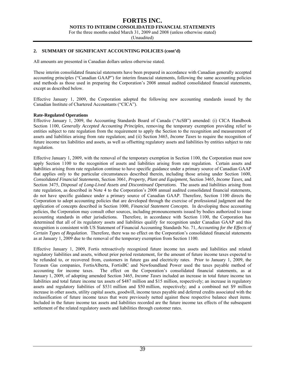#### **FORTIS INC. NOTES TO INTERIM CONSOLIDATED FINANCIAL STATEMENTS**

For the three months ended March 31, 2009 and 2008 (unless otherwise stated)

(Unaudited)

#### **2. SUMMARY OF SIGNIFICANT ACCOUNTING POLICIES (cont'd)**

All amounts are presented in Canadian dollars unless otherwise stated.

These interim consolidated financial statements have been prepared in accordance with Canadian generally accepted accounting principles ("Canadian GAAP") for interim financial statements, following the same accounting policies and methods as those used in preparing the Corporation's 2008 annual audited consolidated financial statements, except as described below.

Effective January 1, 2009, the Corporation adopted the following new accounting standards issued by the Canadian Institute of Chartered Accountants ("CICA").

#### **Rate-Regulated Operations**

Effective January 1, 2009, the Accounting Standards Board of Canada ("AcSB") amended: (i) CICA Handbook Section 1100, *Generally Accepted Accounting Principles,* removing the temporary exemption providing relief to entities subject to rate regulation from the requirement to apply the Section to the recognition and measurement of assets and liabilities arising from rate regulation; and (ii) Section 3465, *Income Taxes* to require the recognition of future income tax liabilities and assets, as well as offsetting regulatory assets and liabilities by entities subject to rate regulation.

Effective January 1, 2009, with the removal of the temporary exemption in Section 1100, the Corporation must now apply Section 1100 to the recognition of assets and liabilities arising from rate regulation. Certain assets and liabilities arising from rate regulation continue to have specific guidance under a primary source of Canadian GAAP that applies only to the particular circumstances described therein, including those arising under Section 1600, *Consolidated Financial Statements*, Section 3061, *Property, Plant and Equipment*, Section 3465*, Income Taxes*, and Section 3475, *Disposal of Long-Lived Assets and Discontinued Operations*. The assets and liabilities arising from rate regulation, as described in Note 4 to the Corporation's 2008 annual audited consolidated financial statements, do not have specific guidance under a primary source of Canadian GAAP. Therefore, Section 1100 directs the Corporation to adopt accounting policies that are developed through the exercise of professional judgment and the application of concepts described in Section 1000, *Financial Statement Concepts*. In developing these accounting policies, the Corporation may consult other sources, including pronouncements issued by bodies authorized to issue accounting standards in other jurisdictions. Therefore, in accordance with Section 1100, the Corporation has determined that all of its regulatory assets and liabilities qualify for recognition under Canadian GAAP and this recognition is consistent with US Statement of Financial Accounting Standards No. 71, *Accounting for the Effects of Certain Types of Regulation*. Therefore, there was no effect on the Corporation's consolidated financial statements as at January 1, 2009 due to the removal of the temporary exemption from Section 1100.

Effective January 1, 2009, Fortis retroactively recognized future income tax assets and liabilities and related regulatory liabilities and assets, without prior period restatement, for the amount of future income taxes expected to be refunded to, or recovered from, customers in future gas and electricity rates. Prior to January 1, 2009, the Terasen Gas companies, FortisAlberta, FortisBC and Newfoundland Power used the taxes payable method of accounting for income taxes. The effect on the Corporation's consolidated financial statements, as at January 1, 2009, of adopting amended Section 3465, *Income Taxes* included an increase in total future income tax liabilities and total future income tax assets of \$487 million and \$15 million, respectively; an increase in regulatory assets and regulatory liabilities of \$531 million and \$50 million, respectively; and a combined net \$9 million increase in other assets, utility capital assets, goodwill, income taxes payable and deferred credits associated with the reclassification of future income taxes that were previously netted against these respective balance sheet items. Included in the future income tax assets and liabilities recorded are the future income tax effects of the subsequent settlement of the related regulatory assets and liabilities through customer rates.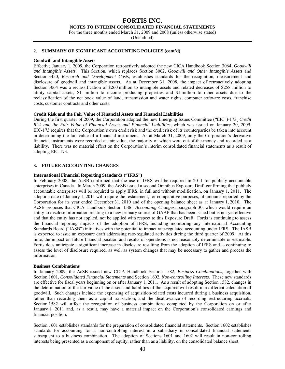#### **NOTES TO INTERIM CONSOLIDATED FINANCIAL STATEMENTS**

For the three months ended March 31, 2009 and 2008 (unless otherwise stated)

(Unaudited)

#### **2. SUMMARY OF SIGNIFICANT ACCOUNTING POLICIES (cont'd)**

#### **Goodwill and Intangible Assets**

Effective January 1, 2009, the Corporation retroactively adopted the new CICA Handbook Section 3064, *Goodwill and Intangible Assets*. This Section, which replaces Section 3062, *Goodwill and Other Intangible Assets* and Section 3450, *Research and Development Costs,* establishes standards for the recognition, measurement and disclosure of goodwill and intangible assets. As at December 31, 2008, the impact of retroactively adopting Section 3064 was a reclassification of \$260 million to intangible assets and related decreases of \$258 million to utility capital assets, \$1 million to income producing properties and \$1 million to other assets due to the reclassification of the net book value of land, transmission and water rights, computer software costs, franchise costs, customer contracts and other costs.

#### **Credit Risk and the Fair Value of Financial Assets and Financial Liabilities**

During the first quarter of 2009, the Corporation adopted the new Emerging Issues Committee ("EIC")-173¸ *Credit Risk and the Fair Value of Financial Assets and Financial Liabilities*, which was issued on January 20, 2009. EIC-173 requires that the Corporation's own credit risk and the credit risk of its counterparties be taken into account in determining the fair value of a financial instrument. As at March 31, 2009, only the Corporation's derivative financial instruments were recorded at fair value, the majority of which were out-of-the-money and recorded as a liability. There was no material effect on the Corporation's interim consolidated financial statements as a result of adopting EIC-173.

#### **3. FUTURE ACCOUNTING CHANGES**

#### **International Financial Reporting Standards ("IFRS")**

In February 2008, the AcSB confirmed that the use of IFRS will be required in 2011 for publicly accountable enterprises in Canada. In March 2009, the AcSB issued a second Omnibus Exposure Draft confirming that publicly accountable enterprises will be required to apply IFRS, in full and without modification, on January 1, 2011. The adoption date of January 1, 2011 will require the restatement, for comparative purposes, of amounts reported by the Corporation for its year ended December 31, 2010 and of the opening balance sheet as at January 1, 2010. The AcSB proposes that CICA Handbook Section 1506, *Accounting Changes,* paragraph 30, which would require an entity to disclose information relating to a new primary source of GAAP that has been issued but is not yet effective and that the entity has not applied, not be applied with respect to this Exposure Draft. Fortis is continuing to assess the financial reporting impacts of the adoption of IFRS, including monitoring any International Accounting Standards Board ("IASB") initiatives with the potential to impact rate-regulated accounting under IFRS. The IASB is expected to issue an exposure draft addressing rate-regulated activities during the third quarter of 2009. At this time, the impact on future financial position and results of operations is not reasonably determinable or estimable. Fortis does anticipate a significant increase in disclosure resulting from the adoption of IFRS and is continuing to assess the level of disclosure required, as well as system changes that may be necessary to gather and process the information.

#### **Business Combinations**

In January 2009, the AcSB issued new CICA Handbook Section 1582, *Business Combinations,* together with Section 1601, *Consolidated Financial Statements* and Section 1602, *Non-controlling Interests.* These new standards are effective for fiscal years beginning on or after January 1, 2011. As a result of adopting Section 1582, changes in the determination of the fair value of the assets and liabilities of the acquiree will result in a different calculation of goodwill. Such changes include the expensing of acquisition-related costs incurred during a business acquisition, rather than recording them as a capital transaction, and the disallowance of recording restructuring accruals. Section 1582 will affect the recognition of business combinations completed by the Corporation on or after January 1, 2011 and, as a result, may have a material impact on the Corporation's consolidated earnings and financial position.

Section 1601 establishes standards for the preparation of consolidated financial statements. Section 1602 establishes standards for accounting for a non-controlling interest in a subsidiary in consolidated financial statements subsequent to a business combination. The adoption of Sections 1601 and 1602 will result in non-controlling interests being presented as a component of equity, rather than as a liability, on the consolidated balance sheet.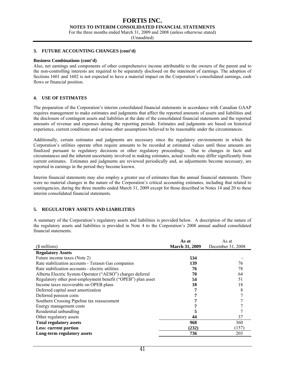**NOTES TO INTERIM CONSOLIDATED FINANCIAL STATEMENTS** 

For the three months ended March 31, 2009 and 2008 (unless otherwise stated)

(Unaudited)

#### **3. FUTURE ACCOUNTING CHANGES (cont'd)**

#### **Business Combinations (cont'd)**

Also, net earnings and components of other comprehensive income attributable to the owners of the parent and to the non-controlling interests are required to be separately disclosed on the statement of earnings. The adoption of Sections 1601 and 1602 is not expected to have a material impact on the Corporation's consolidated earnings, cash flows or financial position.

#### **4. USE OF ESTIMATES**

The preparation of the Corporation's interim consolidated financial statements in accordance with Canadian GAAP requires management to make estimates and judgments that affect the reported amounts of assets and liabilities and the disclosure of contingent assets and liabilities at the date of the consolidated financial statements and the reported amounts of revenue and expenses during the reporting periods. Estimates and judgments are based on historical experience, current conditions and various other assumptions believed to be reasonable under the circumstances.

Additionally, certain estimates and judgments are necessary since the regulatory environments in which the Corporation's utilities operate often require amounts to be recorded at estimated values until these amounts are finalized pursuant to regulatory decisions or other regulatory proceedings. Due to changes in facts and circumstances and the inherent uncertainty involved in making estimates, actual results may differ significantly from current estimates. Estimates and judgments are reviewed periodically and, as adjustments become necessary, are reported in earnings in the period they become known.

Interim financial statements may also employ a greater use of estimates than the annual financial statements. There were no material changes in the nature of the Corporation's critical accounting estimates, including that related to contingencies, during the three months ended March 31, 2009 except for those described in Notes 14 and 20 to these interim consolidated financial statements.

#### **5. REGULATORY ASSETS AND LIABILITIES**

A summary of the Corporation's regulatory assets and liabilities is provided below. A description of the nature of the regulatory assets and liabilities is provided in Note 4 to the Corporation's 2008 annual audited consolidated financial statements.

|                                                              | As at                 | As at             |
|--------------------------------------------------------------|-----------------------|-------------------|
| (\$ millions)                                                | <b>March 31, 2009</b> | December 31, 2008 |
| <b>Regulatory Assets</b>                                     |                       |                   |
| Future income taxes (Note 2)                                 | 534                   |                   |
| Rate stabilization accounts - Terasen Gas companies          | 139                   | 76                |
| Rate stabilization accounts - electric utilities             | 76                    | 78                |
| Alberta Electric System Operator ("AESO") charges deferral   | 70                    | 64                |
| Regulatory other post-employment benefit ("OPEB") plan asset | 54                    | 51                |
| Income taxes recoverable on OPEB plans                       | 18                    | 18                |
| Deferred capital asset amortization                          |                       | 8                 |
| Deferred pension costs                                       |                       |                   |
| Southern Crossing Pipeline tax reassessment                  |                       |                   |
| Energy management costs                                      |                       |                   |
| Residential unbundling                                       |                       |                   |
| Other regulatory assets                                      | 44                    | 37                |
| <b>Total regulatory assets</b>                               | 968                   | 360               |
| Less: current portion                                        | (232)                 | (157)             |
| Long-term regulatory assets                                  | 736                   | 203               |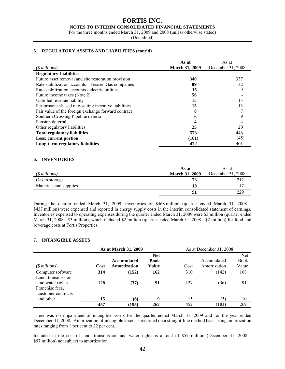#### **FORTIS INC. NOTES TO INTERIM CONSOLIDATED FINANCIAL STATEMENTS**

For the three months ended March 31, 2009 and 2008 (unless otherwise stated)

(Unaudited)

#### **5. REGULATORY ASSETS AND LIABILITIES (cont'd)**

|                                                      | As at                 | As at             |
|------------------------------------------------------|-----------------------|-------------------|
| $(\text{\$millions})$                                | <b>March 31, 2009</b> | December 31, 2008 |
| <b>Regulatory Liabilities</b>                        |                       |                   |
| Future asset removal and site restoration provision  | 340                   | 337               |
| Rate stabilization accounts - Terasen Gas companies  | 89                    | 32                |
| Rate stabilization accounts - electric utilities     | 15                    |                   |
| Future income taxes (Note 2)                         | 56                    |                   |
| Unbilled revenue liability                           | 15                    | 15                |
| Performance-based rate-setting incentive liabilities | 15                    | 13                |
| Fair value of the foreign exchange forward contract  |                       |                   |
| Southern Crossing Pipeline deferral                  |                       |                   |
| Pension deferral                                     |                       |                   |
| Other regulatory liabilities                         | 25                    | 20                |
| <b>Total regulatory liabilities</b>                  | 573                   | 446               |
| Less: current portion                                | (101)                 | (45)              |
| Long-term regulatory liabilities                     | 472                   | 401               |

#### **6. INVENTORIES**

|                        | As at                 | As at             |
|------------------------|-----------------------|-------------------|
| $(S$ millions)         | <b>March 31, 2009</b> | December 31, 2008 |
| Gas in storage         | 73                    | 212               |
| Materials and supplies | 18                    |                   |
|                        |                       | 229               |

During the quarter ended March 31, 2009, inventories of \$468 million (quarter ended March 31, 2008 - \$437 million) were expensed and reported in energy supply costs in the interim consolidated statement of earnings. Inventories expensed to operating expenses during the quarter ended March 31, 2009 were \$3 million (quarter ended March 31, 2008 - \$3 million), which included \$2 million (quarter ended March 31, 2008 - \$2 million) for food and beverage costs at Fortis Properties.

#### **7. INTANGIBLE ASSETS**

|                                                                                 |      | As at March 31, 2009 | As at December 31, 2008 |      |              |       |
|---------------------------------------------------------------------------------|------|----------------------|-------------------------|------|--------------|-------|
|                                                                                 |      |                      | <b>Net</b>              |      |              | Net   |
|                                                                                 |      | <b>Accumulated</b>   | <b>Book</b>             |      | Accumulated  | Book  |
| $($$ millions $)$                                                               | Cost | Amortization         | Value                   | Cost | Amortization | Value |
| Computer software                                                               | 314  | (152)                | 162                     | 310  | (142)        | 168   |
| Land, transmission<br>and water rights<br>Franchise fees,<br>customer contracts | 128  | (37)                 | 91                      | 127  | (36)         | 91    |
| and other                                                                       | 15   | (6)                  | 9                       | 15   | (5)          | 10    |
|                                                                                 | 457  | (195)                | 262                     | 452  | (183)        | 269   |

There was no impairment of intangible assets for the quarter ended March 31, 2009 and for the year ended December 31, 2008. Amortization of intangible assets is recorded on a straight-line method basis using amortization rates ranging from 1 per cent to 22 per cent.

Included in the cost of land, transmission and water rights is a total of \$57 million (December 31, 2008 - \$57 million) not subject to amortization.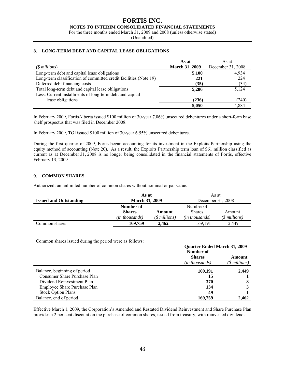#### **FORTIS INC. NOTES TO INTERIM CONSOLIDATED FINANCIAL STATEMENTS**

For the three months ended March 31, 2009 and 2008 (unless otherwise stated)

(Unaudited)

#### **8. LONG-TERM DEBT AND CAPITAL LEASE OBLIGATIONS**

|                                                                   | As at                 | As at             |
|-------------------------------------------------------------------|-----------------------|-------------------|
| $(S$ millions)                                                    | <b>March 31, 2009</b> | December 31, 2008 |
| Long-term debt and capital lease obligations                      | 5,100                 | 4.934             |
| Long-term classification of committed credit facilities (Note 19) | 221                   | 224               |
| Deferred debt financing costs                                     | (35)                  | (34)              |
| Total long-term debt and capital lease obligations                | 5,286                 | 5,124             |
| Less: Current installments of long-term debt and capital          |                       |                   |
| lease obligations                                                 | (236)                 | (240)             |
|                                                                   | 5,050                 | 4.884             |

In February 2009, FortisAlberta issued \$100 million of 30-year 7.06% unsecured debentures under a short-form base shelf prospectus that was filed in December 2008.

In February 2009, TGI issued \$100 million of 30-year 6.55% unsecured debentures.

During the first quarter of 2009, Fortis began accounting for its investment in the Exploits Partnership using the equity method of accounting (Note 20). As a result, the Exploits Partnership term loan of \$61 million classified as current as at December 31, 2008 is no longer being consolidated in the financial statements of Fortis, effective February 13, 2009.

#### **9. COMMON SHARES**

Authorized: an unlimited number of common shares without nominal or par value.

|                               | As at                 |                | As at             |                |
|-------------------------------|-----------------------|----------------|-------------------|----------------|
| <b>Issued and Outstanding</b> | <b>March 31, 2009</b> |                | December 31, 2008 |                |
|                               | Number of             |                | Number of         |                |
|                               | <b>Shares</b>         | Amount         | <b>Shares</b>     | Amount         |
|                               | (in thousands)        | $(S$ millions) | (in thousands)    | $(S$ millions) |
| Common shares                 | 169,759               | 2.462          | 169.191           | 2.449          |

Common shares issued during the period were as follows:

|                              | <b>Quarter Ended March 31, 2009</b><br>Number of |                          |  |
|------------------------------|--------------------------------------------------|--------------------------|--|
|                              | <b>Shares</b><br>(in thousands)                  | Amount<br>$(S$ millions) |  |
| Balance, beginning of period | 169,191                                          | 2,449                    |  |
| Consumer Share Purchase Plan | 15                                               |                          |  |
| Dividend Reinvestment Plan   | 370                                              | 8                        |  |
| Employee Share Purchase Plan | 134                                              |                          |  |
| <b>Stock Option Plans</b>    | 49                                               |                          |  |
| Balance, end of period       | 169,759                                          | 2.462                    |  |

Effective March 1, 2009, the Corporation's Amended and Restated Dividend Reinvestment and Share Purchase Plan provides a 2 per cent discount on the purchase of common shares, issued from treasury, with reinvested dividends.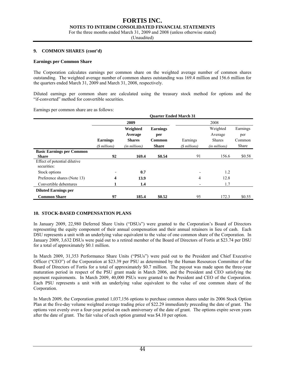#### **NOTES TO INTERIM CONSOLIDATED FINANCIAL STATEMENTS**

For the three months ended March 31, 2009 and 2008 (unless otherwise stated)

(Unaudited)

#### **9. COMMON SHARES (cont'd)**

#### **Earnings per Common Share**

The Corporation calculates earnings per common share on the weighted average number of common shares outstanding. The weighted average number of common shares outstanding was 169.4 million and 156.6 million for the quarters ended March 31, 2009 and March 31, 2008, respectively.

Diluted earnings per common share are calculated using the treasury stock method for options and the "if-converted" method for convertible securities.

Earnings per common share are as follows:

|                                             |                 |                   | <b>Ouarter Ended March 31</b> |                          |               |          |
|---------------------------------------------|-----------------|-------------------|-------------------------------|--------------------------|---------------|----------|
|                                             |                 | 2009              |                               |                          | 2008          |          |
|                                             |                 | Weighted          | <b>Earnings</b>               |                          | Weighted      | Earnings |
|                                             |                 | Average           | per                           |                          | Average       | per      |
|                                             | <b>Earnings</b> | <b>Shares</b>     | Common                        | Earnings                 | <b>Shares</b> | Common   |
|                                             | $(S$ millions)  | $(in\, millions)$ | <b>Share</b>                  | $(S$ millions)           | (in millions) | Share    |
| <b>Basic Earnings per Common</b>            |                 |                   |                               |                          |               |          |
| <b>Share</b>                                | 92              | 169.4             | \$0.54                        | 91                       | 156.6         | \$0.58   |
| Effect of potential dilutive<br>securities: |                 |                   |                               |                          |               |          |
| Stock options                               |                 | 0.7               |                               | $\overline{\phantom{a}}$ | 1.2           |          |
| Preference shares (Note 13)                 | 4               | 13.9              |                               | 4                        | 12.8          |          |
| Convertible debentures                      |                 | 1.4               |                               | $\overline{\phantom{a}}$ | 1.7           |          |
| <b>Diluted Earnings per</b>                 |                 |                   |                               |                          |               |          |
| <b>Common Share</b>                         | 97              | 185.4             | \$0.52                        | 95                       | 172.3         | \$0.55   |

#### **10. STOCK-BASED COMPENSATION PLANS**

In January 2009, 22,980 Deferred Share Units ("DSUs") were granted to the Corporation's Board of Directors representing the equity component of their annual compensation and their annual retainers in lieu of cash. Each DSU represents a unit with an underlying value equivalent to the value of one common share of the Corporation. In January 2009, 3,632 DSUs were paid out to a retired member of the Board of Directors of Fortis at \$23.74 per DSU for a total of approximately \$0.1 million.

In March 2009, 31,353 Performance Share Units ("PSUs") were paid out to the President and Chief Executive Officer ("CEO") of the Corporation at \$23.39 per PSU as determined by the Human Resources Committee of the Board of Directors of Fortis for a total of approximately \$0.7 million. The payout was made upon the three-year maturation period in respect of the PSU grant made in March 2006, and the President and CEO satisfying the payment requirements. In March 2009, 40,000 PSUs were granted to the President and CEO of the Corporation. Each PSU represents a unit with an underlying value equivalent to the value of one common share of the Corporation.

In March 2009, the Corporation granted 1,037,156 options to purchase common shares under its 2006 Stock Option Plan at the five-day volume weighted average trading price of \$22.29 immediately preceding the date of grant. The options vest evenly over a four-year period on each anniversary of the date of grant. The options expire seven years after the date of grant. The fair value of each option granted was \$4.10 per option.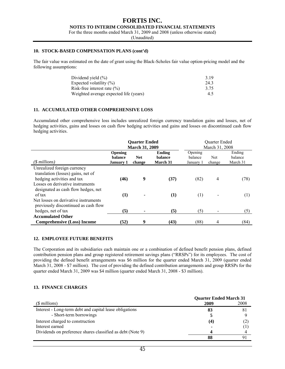#### **FORTIS INC. NOTES TO INTERIM CONSOLIDATED FINANCIAL STATEMENTS**

For the three months ended March 31, 2009 and 2008 (unless otherwise stated)

(Unaudited)

#### **10. STOCK-BASED COMPENSATION PLANS (cont'd)**

The fair value was estimated on the date of grant using the Black-Scholes fair value option-pricing model and the following assumptions:

| Dividend yield $(\% )$                 | 3.19 |
|----------------------------------------|------|
| Expected volatility $(\% )$            | 243  |
| Risk-free interest rate $(\% )$        | 3.75 |
| Weighted average expected life (years) | 4.5  |

#### **11. ACCUMULATED OTHER COMPREHENSIVE LOSS**

Accumulated other comprehensive loss includes unrealized foreign currency translation gains and losses, net of hedging activities, gains and losses on cash flow hedging activities and gains and losses on discontinued cash flow hedging activities.

|                                                                              |                                                      | <b>Quarter Ended</b>  |                                      |                                 | Quarter Ended |                               |
|------------------------------------------------------------------------------|------------------------------------------------------|-----------------------|--------------------------------------|---------------------------------|---------------|-------------------------------|
|                                                                              |                                                      | <b>March 31, 2009</b> |                                      | March 31, 2008                  |               |                               |
| (\$ millions)                                                                | <b>Opening</b><br><b>balance</b><br><b>January 1</b> | <b>Net</b><br>change  | Ending<br><b>balance</b><br>March 31 | Opening<br>balance<br>January 1 | Net<br>change | Ending<br>balance<br>March 31 |
| Unrealized foreign currency                                                  |                                                      |                       |                                      |                                 |               |                               |
| translation (losses) gains, net of<br>hedging activities and tax             | (46)                                                 | 9                     | (37)                                 | (82)                            | 4             | (78)                          |
| Losses on derivative instruments<br>designated as cash flow hedges, net      |                                                      |                       |                                      |                                 |               |                               |
| of tax                                                                       | (1)                                                  | ٠                     | (1)                                  | (1)                             |               | (1)                           |
| Net losses on derivative instruments<br>previously discontinued as cash flow |                                                      |                       |                                      |                                 |               |                               |
| hedges, net of tax                                                           | (5)                                                  |                       | (5)                                  | (5)                             |               | (5)                           |
| <b>Accumulated Other</b>                                                     |                                                      |                       |                                      |                                 |               |                               |
| <b>Comprehensive (Loss) Income</b>                                           | (52)                                                 | 9                     | (43)                                 | (88)                            | 4             | (84)                          |

#### **12. EMPLOYEE FUTURE BENEFITS**

The Corporation and its subsidiaries each maintain one or a combination of defined benefit pension plans, defined contribution pension plans and group registered retirement savings plans ("RRSPs") for its employees. The cost of providing the defined benefit arrangements was \$6 million for the quarter ended March 31, 2009 (quarter ended March 31, 2008 - \$7 million). The cost of providing the defined contribution arrangements and group RRSPs for the quarter ended March 31, 2009 was \$4 million (quarter ended March 31, 2008 - \$3 million).

#### **13. FINANCE CHARGES**

|                                                            | <b>Quarter Ended March 31</b> |      |  |
|------------------------------------------------------------|-------------------------------|------|--|
| $(S$ millions)                                             | 2009                          | 2008 |  |
| Interest - Long-term debt and capital lease obligations    | 83                            | 81   |  |
| - Short-term borrowings                                    |                               |      |  |
| Interest charged to construction                           | (4)                           | (2,  |  |
| Interest earned                                            |                               |      |  |
| Dividends on preference shares classified as debt (Note 9) |                               |      |  |
|                                                            | 88                            |      |  |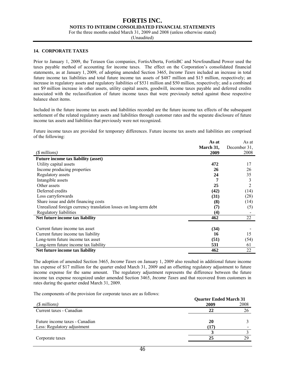#### **NOTES TO INTERIM CONSOLIDATED FINANCIAL STATEMENTS**

For the three months ended March 31, 2009 and 2008 (unless otherwise stated)

(Unaudited)

#### **14. CORPORATE TAXES**

Prior to January 1, 2009, the Terasen Gas companies, FortisAlberta, FortisBC and Newfoundland Power used the taxes payable method of accounting for income taxes. The effect on the Corporation's consolidated financial statements, as at January 1, 2009, of adopting amended Section 3465, *Income Taxes* included an increase in total future income tax liabilities and total future income tax assets of \$487 million and \$15 million, respectively; an increase in regulatory assets and regulatory liabilities of \$531 million and \$50 million, respectively; and a combined net \$9 million increase in other assets, utility capital assets, goodwill, income taxes payable and deferred credits associated with the reclassification of future income taxes that were previously netted against these respective balance sheet items.

Included in the future income tax assets and liabilities recorded are the future income tax effects of the subsequent settlement of the related regulatory assets and liabilities through customer rates and the separate disclosure of future income tax assets and liabilities that previously were not recognized.

Future income taxes are provided for temporary differences. Future income tax assets and liabilities are comprised of the following:

|                                                                  | As at     | As at        |
|------------------------------------------------------------------|-----------|--------------|
|                                                                  | March 31, | December 31, |
| (\$ millions)                                                    | 2009      | 2008         |
| <b>Future income tax liability (asset)</b>                       |           |              |
| Utility capital assets                                           | 472       | 17           |
| Income producing properties                                      | 26        | 26           |
| Regulatory assets                                                | 24        | 35           |
| Intangible assets                                                |           | 3            |
| Other assets                                                     | 25        | 2            |
| Deferred credits                                                 | (42)      | (14)         |
| Loss carryforwards                                               | (31)      | (28)         |
| Share issue and debt financing costs                             | (8)       | (14)         |
| Unrealized foreign currency translation losses on long-term debt | (7)       | (5)          |
| Regulatory liabilities                                           | (4)       |              |
| Net future income tax liability                                  | 462       | 22           |
|                                                                  |           |              |
| Current future income tax asset                                  | (34)      |              |
| Current future income tax liability                              | 16        | 15           |
| Long-term future income tax asset                                | (51)      | (54)         |
| Long-term future income tax liability                            | 531       | 61           |
| Net future income tax liability                                  | 462       | 22           |

The adoption of amended Section 3465, *Income Taxes* on January 1, 2009 also resulted in additional future income tax expense of \$17 million for the quarter ended March 31, 2009 and an offsetting regulatory adjustment to future income expense for the same amount. The regulatory adjustment represents the difference between the future income tax expense recognized under amended Section 3465, *Income Taxes* and that recovered from customers in rates during the quarter ended March 31, 2009.

The components of the provision for corporate taxes are as follows:

|                                | <b>Quarter Ended March 31</b> |      |  |  |
|--------------------------------|-------------------------------|------|--|--|
| $($$ millions)                 | 2009                          | 2008 |  |  |
| Current taxes - Canadian       | 22                            | 26   |  |  |
| Future income taxes - Canadian | 20                            |      |  |  |
| Less: Regulatory adjustment    | (17)                          |      |  |  |
|                                |                               |      |  |  |
| Corporate taxes                | 25                            | 29   |  |  |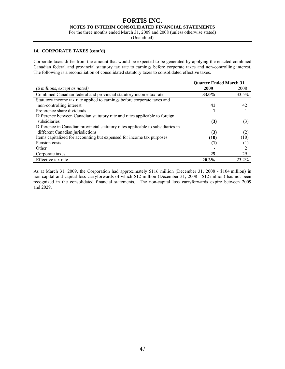**NOTES TO INTERIM CONSOLIDATED FINANCIAL STATEMENTS** 

For the three months ended March 31, 2009 and 2008 (unless otherwise stated)

(Unaudited)

#### **14. CORPORATE TAXES (cont'd)**

Corporate taxes differ from the amount that would be expected to be generated by applying the enacted combined Canadian federal and provincial statutory tax rate to earnings before corporate taxes and non-controlling interest. The following is a reconciliation of consolidated statutory taxes to consolidated effective taxes.

|                                                                                 | <b>Quarter Ended March 31</b> |                  |
|---------------------------------------------------------------------------------|-------------------------------|------------------|
| $(\text{\$ millions, except as noted})$                                         | 2009                          | 2008             |
| Combined Canadian federal and provincial statutory income tax rate              | 33.0%                         | 33.5%            |
| Statutory income tax rate applied to earnings before corporate taxes and        |                               |                  |
| non-controlling interest                                                        | 41                            | 42               |
| Preference share dividends                                                      |                               |                  |
| Difference between Canadian statutory rate and rates applicable to foreign      |                               |                  |
| subsidiaries                                                                    | (3)                           | (3)              |
| Difference in Canadian provincial statutory rates applicable to subsidiaries in |                               |                  |
| different Canadian jurisdictions                                                | (3)                           | (2)              |
| Items capitalized for accounting but expensed for income tax purposes           | (10)                          | (10)             |
| Pension costs                                                                   | (1)                           | $\left(1\right)$ |
| Other                                                                           |                               | 2                |
| Corporate taxes                                                                 | 25                            | 29               |
| Effective tax rate                                                              | 20.3%                         | 23 2%            |

As at March 31, 2009, the Corporation had approximately \$116 million (December 31, 2008 - \$104 million) in non-capital and capital loss carryforwards of which \$12 million (December 31, 2008 - \$12 million) has not been recognized in the consolidated financial statements. The non-capital loss carryforwards expire between 2009 and 2029.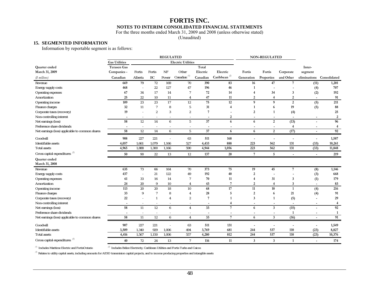#### **NOTES TO INTERIM CONSOLIDATED FINANCIAL STATEMENTS**

For the three months ended March 31, 2009 and 2008 (unless otherwise stated)

(Unaudited)

#### **15. SEGMENTED INFORMATION**

Information by reportable segment is as follows:

|                                                 |                          |                          |                     | <b>REGULATED</b> |                           |                |                 |                          | <b>NON-REGULATED</b>     |                          |                          |              |
|-------------------------------------------------|--------------------------|--------------------------|---------------------|------------------|---------------------------|----------------|-----------------|--------------------------|--------------------------|--------------------------|--------------------------|--------------|
|                                                 | <b>Gas Utilities</b>     |                          |                     |                  | <b>Electric Utilities</b> |                |                 |                          |                          |                          |                          |              |
| Quarter ended                                   | <b>Terasen Gas</b>       |                          |                     |                  |                           | Total          |                 |                          |                          |                          | Inter-                   |              |
| March 31, 2009                                  | Companies -              | Fortis                   | Fortis              | NF               | Other                     | Electric       | Electric        | Fortis                   | Fortis                   | Corporate                | segment                  |              |
| (§ millions)                                    | Canadian                 | Alberta                  | $\operatorname{BC}$ | Power            | Canadian <sup>(1)</sup>   | Canadian       | Caribbean $(2)$ | Generation               | Properties               | and Other                | eliminations             | Consolidated |
| Revenue                                         | 669                      | 79                       | $72\,$              | 169              | 70                        | 390            | 83              | 16                       | 47                       | 7                        | (11)                     | 1,201        |
| Energy supply costs                             | 468                      | $\sim$                   | 22                  | 127              | 47                        | 196            | 46              | $\mathbf{1}$             |                          |                          | (4)                      | 707          |
| Operating expenses                              | 67                       | 34                       | 17                  | 14               |                           | 72             | 14              | $\overline{4}$           | 34                       | 3                        | (2)                      | 192          |
| Amortization                                    | 25                       | $22\,$                   | 10                  | 11               | $\overline{4}$            | 47             | 11              | $\overline{2}$           | $\overline{4}$           | $\boldsymbol{2}$         | $\blacksquare$           | 91           |
| Operating income                                | 109                      | 23                       | 23                  | 17               | $12\,$                    | 75             | 12              | $\boldsymbol{9}$         | 9                        | $\overline{2}$           | (5)                      | 211          |
| Finance charges                                 | 32                       | 11                       | $\overline{7}$      | 8                | 5                         | 31             | $\overline{4}$  | $\mathbf{1}$             | 6                        | 19                       | (5)                      | 88           |
| Corporate taxes (recovery)                      | 19                       | $\overline{a}$           | $\overline{2}$      | 3                | $\overline{2}$            | $\overline{7}$ |                 | $\overline{2}$           | 1                        | (4)                      |                          | 25           |
| Non-controlling interest                        | $\overline{\phantom{a}}$ | ÷,                       |                     |                  | $\sim$                    | $\overline{a}$ | $\overline{2}$  | $\overline{a}$           | $\overline{\phantom{a}}$ |                          |                          | $\mathbf{2}$ |
| Net earnings (loss)                             | 58                       | 12                       | 14                  | 6                | 5                         | 37             | 6               | 6                        | 2                        | (13)                     |                          | 96           |
| Preference share dividends                      |                          |                          |                     |                  |                           |                |                 |                          |                          | $\overline{4}$           |                          | 4            |
| Net earnings (loss) applicable to common shares | 58                       | 12                       | $\overline{14}$     | 6                | 5                         | 37             | 6               | 6                        | $\overline{2}$           | (17)                     | $\overline{\phantom{a}}$ | 92           |
| Goodwill                                        | 908                      | 227                      | 221                 |                  | 63                        | 511            | 168             | $\overline{\phantom{a}}$ | L,                       |                          | $\blacksquare$           | 1,587        |
| Identifiable assets                             | 4,057                    | 1,661                    | 1,079               | 1,166            | 527                       | 4,433          | 888             | 223                      | 562                      | 131                      | (33)                     | 10,261       |
| Total assets                                    | 4,965                    | 1,888                    | 1,300               | 1,166            | 590                       | 4,944          | 1,056           | 223                      | 562                      | 131                      | (33)                     | 11,848       |
| Gross capital expenditures $(3)$                | 50                       | 90                       | 22                  | 13               | 12                        | 137            | 20              | 7                        | 5                        | $\overline{\phantom{a}}$ | $\overline{\phantom{a}}$ | 219          |
| Quarter ended                                   |                          |                          |                     |                  |                           |                |                 |                          |                          |                          |                          |              |
| March 31, 2008                                  |                          |                          |                     |                  |                           |                |                 |                          |                          |                          |                          |              |
| Revenue                                         | 635                      | 73                       | 66                  | 164              | 70                        | 373            | 75              | 19                       | 45                       | $\overline{7}$           | (8)                      | 1,146        |
| Energy supply costs                             | 437                      | ÷,                       | $21\,$              | 122              | 49                        | 192            | 40              | $\overline{2}$           |                          |                          | (3)                      | 668          |
| Operating expenses                              | 61                       | 33                       | 16                  | 14               | $\overline{7}$            | 70             | 11              | $\overline{4}$           | 31                       | 3                        | (1)                      | 179          |
| Amortization                                    | 24                       | 20                       | 9                   | 10               | $\overline{4}$            | 43             | $\overline{7}$  | $\overline{2}$           | $\overline{4}$           | $\overline{3}$           |                          | 83           |
| Operating income                                | 113                      | 20                       | 20                  | 18               | 10                        | 68             | 17              | 11                       | 10                       | $\mathbf{1}$             | (4)                      | 216          |
| Finance charges                                 | 33                       | 9                        |                     | 8                | $\overline{4}$            | 28             | 5               | $\overline{2}$           | 6                        | 21                       | (4)                      | 91           |
| Corporate taxes (recovery)                      | 22                       | $\bar{a}$                |                     | 4                | $\overline{2}$            | 7              | 1               | 3                        | 1                        | (5)                      |                          | 29           |
| Non-controlling interest                        | $\overline{\phantom{a}}$ | $\sim$                   |                     |                  | $\sim$                    | $\blacksquare$ | $\overline{4}$  | $\overline{\phantom{a}}$ | $\blacksquare$           | $\overline{\phantom{a}}$ | $\overline{\phantom{a}}$ | 4            |
| Net earnings (loss)                             | 58                       | 11                       | $\overline{12}$     | 6                | $\overline{4}$            | 33             | $7\phantom{.0}$ | 6                        | $\mathbf{3}$             | (15)                     | $\blacksquare$           | 92           |
| Preference share dividends                      |                          | $\overline{\phantom{a}}$ |                     |                  | $\sim$                    | ٠              | $\overline{a}$  |                          | $\overline{\phantom{a}}$ | $\mathbf{1}$             |                          | 1            |
| Net earnings (loss) applicable to common shares | 58                       | 11                       | $\overline{12}$     | 6                | $\overline{4}$            | 33             | $\overline{7}$  | 6                        | $\mathbf{3}$             | (16)                     | $\blacksquare$           | 91           |
| Goodwill                                        | 907                      | 227                      | 221                 |                  | 63                        | 511            | 131             | $\overline{\phantom{a}}$ | L,                       |                          |                          | 1,549        |
| Identifiable assets                             | 3,509                    | 1,340                    | 929                 | 1,006            | 494                       | 3,769          | 681             | 244                      | 537                      | 110                      | (23)                     | 8,827        |
| <b>Total assets</b>                             | 4,416                    | 1,567                    | 1,150               | 1,006            | 557                       | 4,280          | 812             | 244                      | 537                      | 110                      | (23)                     | 10,376       |
| Gross capital expenditures <sup>(3)</sup>       | 40                       | 72                       | 24                  | 13               | $\overline{7}$            | 116            | 11              | 3                        | 3                        | 1                        |                          | 174          |
|                                                 |                          |                          |                     |                  |                           |                |                 |                          |                          |                          |                          |              |

*(1)* Includes Maritime Electric and FortisOntario

 $\,^{(2)}$  Includes Belize Electricity, Caribbean Utilities and Fortis Turks and Caicos

*(3)* Relates to utility capital assets, including amounts for AESO transmision capital projects, and to income producing properties and intangible assets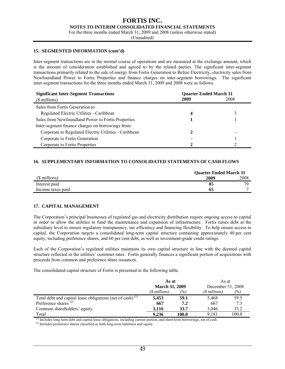#### **FORTIS INC. NOTES TO INTERIM CONSOLIDATED FINANCIAL STATEMENTS**

For the three months ended March 31, 2009 and 2008 (unless otherwise stated)

(Unaudited)

#### **15. SEGMENTED INFORMATION (cont'd)**

Inter-segment transactions are in the normal course of operations and are measured at the exchange amount, which is the amount of consideration established and agreed to by the related parties. The significant inter-segment transactions primarily related to the sale of energy from Fortis Generation to Belize Electricity, electricity sales from Newfoundland Power to Fortis Properties and finance charges on inter-segment borrowings. The significant inter-segment transactions for the three months ended March 31, 2009 and 2008 were as follows.

| <b>Significant Inter-Segment Transactions</b>         | <b>Quarter Ended March 31</b> |      |
|-------------------------------------------------------|-------------------------------|------|
| $(S$ millions)                                        | 2009                          | 2008 |
| Sales from Fortis Generation to                       |                               |      |
| Regulated Electric Utilities - Caribbean              |                               |      |
| Sales from Newfoundland Power to Fortis Properties    |                               |      |
| Inter-segment finance charges on borrowings from:     |                               |      |
| Corporate to Regulated Electric Utilities - Caribbean |                               |      |
| Corporate to Fortis Generation                        |                               |      |
| Corporate to Fortis Properties                        |                               |      |

#### **16. SUPPLEMENTARY INFORMATION TO CONSOLIDATED STATEMENTS OF CASH FLOWS**

|                   | <b>Quarter Ended March 31</b> |      |
|-------------------|-------------------------------|------|
| $(S$ millions)    | 2009                          | 2008 |
| Interest paid     | 85                            | 70   |
| Income taxes paid | 65                            | -    |

#### **17. CAPITAL MANAGEMENT**

The Corporation's principal businesses of regulated gas and electricity distribution require ongoing access to capital in order to allow the utilities to fund the maintenance and expansion of infrastructure. Fortis raises debt at the subsidiary level to ensure regulatory transparency, tax efficiency and financing flexibility. To help ensure access to capital, the Corporation targets a consolidated long-term capital structure containing approximately 40 per cent equity, including preference shares, and 60 per cent debt, as well as investment-grade credit ratings.

Each of the Corporation's regulated utilities maintains its own capital structure in line with the deemed capital structure reflected in the utilities' customer rates. Fortis generally finances a significant portion of acquisitions with proceeds from common and preference share issuances.

The consolidated capital structure of Fortis is presented in the following table.

|                                                              | As at<br><b>March 31, 2009</b> |       | As at             |       |
|--------------------------------------------------------------|--------------------------------|-------|-------------------|-------|
|                                                              |                                |       | December 31, 2008 |       |
|                                                              | $($$ millions $)$              | (9/6) | (\$ millions)     | (%)   |
| Total debt and capital lease obligations (net of cash) $(1)$ | 5.453                          | 59.1  | 5,468             | 59.5  |
| Preference shares $^{(2)}$                                   | 667                            | 7.2   | 667               | 73    |
| Common shareholders' equity                                  | 3.116                          | 33.7  | 3.046             | 33.2  |
| Total                                                        | 9.236                          | 100.0 | 9.181             | 100.0 |

*(1)* Includes long-term debt and capital lease obligations, including current portion, and short-term borrowings, net of cash

*(2)* Includes preference shares classified as both long-term liabilities and equity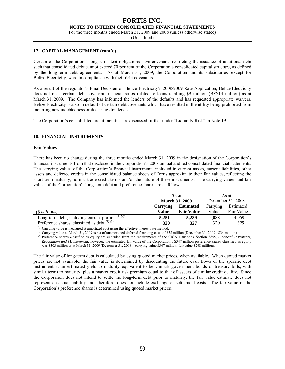**NOTES TO INTERIM CONSOLIDATED FINANCIAL STATEMENTS** 

For the three months ended March 31, 2009 and 2008 (unless otherwise stated)

(Unaudited)

#### **17. CAPITAL MANAGEMENT (cont'd)**

Certain of the Corporation's long-term debt obligations have covenants restricting the issuance of additional debt such that consolidated debt cannot exceed 70 per cent of the Corporation's consolidated capital structure, as defined by the long-term debt agreements. As at March 31, 2009, the Corporation and its subsidiaries, except for Belize Electricity, were in compliance with their debt covenants.

As a result of the regulator's Final Decision on Belize Electricity's 2008/2009 Rate Application, Belize Electricity does not meet certain debt covenant financial ratios related to loans totalling \$9 million (BZ\$14 million) as at March 31, 2009. The Company has informed the lenders of the defaults and has requested appropriate waivers. Belize Electricity is also in default of certain debt covenants which have resulted in the utility being prohibited from incurring new indebtedness or declaring dividends.

The Corporation's consolidated credit facilities are discussed further under "Liquidity Risk" in Note 19.

#### **18. FINANCIAL INSTRUMENTS**

#### **Fair Values**

There has been no change during the three months ended March 31, 2009 in the designation of the Corporation's financial instruments from that disclosed in the Corporation's 2008 annual audited consolidated financial statements. The carrying values of the Corporation's financial instruments included in current assets, current liabilities, other assets and deferred credits in the consolidated balance sheets of Fortis approximate their fair values, reflecting the short-term maturity, normal trade credit terms and/or the nature of these instruments. The carrying values and fair values of the Corporation's long-term debt and preference shares are as follows:

|                                                    | As at                 |                   |          | As at             |
|----------------------------------------------------|-----------------------|-------------------|----------|-------------------|
|                                                    | <b>March 31, 2009</b> |                   |          | December 31, 2008 |
|                                                    | Carrying              | <b>Estimated</b>  | Carrying | Estimated         |
| $(S$ millions)                                     | Value                 | <b>Fair Value</b> | Value    | Fair Value        |
| Long-term debt, including current portion $(1)(2)$ | 5,251                 | 5.239             | 5,088    | 4,959             |
| Preference shares, classified as debt $^{(1)(3)}$  | 320                   | 327               | 320      | 329               |

*(1)* Carrying value is measured at amortized cost using the effective interest rate method.

*(2)* Carrying value at March 31, 2009 is net of unamortized deferred financing costs of \$35 million (December 31, 2008 - \$34 million).

*(3)* Preference shares classified as equity are excluded from the requirements of the CICA Handbook Section 3855, *Financial Instrument, Recognition and Measurement*; however, the estimated fair value of the Corporation's \$347 million preference shares classified as equity was \$303 million as at March 31, 2009 (December 31, 2008 – carrying value \$347 million; fair value \$268 million).

The fair value of long-term debt is calculated by using quoted market prices, when available. When quoted market prices are not available, the fair value is determined by discounting the future cash flows of the specific debt instrument at an estimated yield to maturity equivalent to benchmark government bonds or treasury bills, with similar terms to maturity, plus a market credit risk premium equal to that of issuers of similar credit quality. Since the Corporation does not intend to settle the long-term debt prior to maturity, the fair value estimate does not represent an actual liability and, therefore, does not include exchange or settlement costs. The fair value of the Corporation's preference shares is determined using quoted market prices.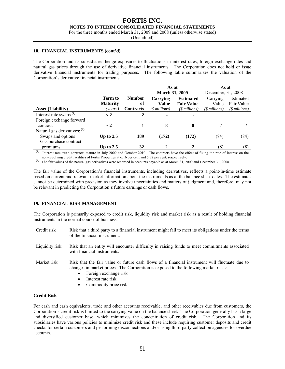#### **FORTIS INC. NOTES TO INTERIM CONSOLIDATED FINANCIAL STATEMENTS**

For the three months ended March 31, 2009 and 2008 (unless otherwise stated)

(Unaudited)

#### **18. FINANCIAL INSTRUMENTS (cont'd)**

The Corporation and its subsidiaries hedge exposures to fluctuations in interest rates, foreign exchange rates and natural gas prices through the use of derivative financial instruments. The Corporation does not hold or issue derivative financial instruments for trading purposes. The following table summarizes the valuation of the Corporation's derivative financial instruments.

|                                |                 |                  | As at                 |                   | As at                 |                |
|--------------------------------|-----------------|------------------|-----------------------|-------------------|-----------------------|----------------|
|                                |                 |                  | <b>March 31, 2009</b> |                   | December, 31, 2008    |                |
|                                | Term to         | <b>Number</b>    | Carrying              | <b>Estimated</b>  | Carrying              | Estimated      |
|                                | <b>Maturity</b> | of               | <b>Value</b>          | <b>Fair Value</b> | Value                 | Fair Value     |
| <b>Asset (Liability)</b>       | (years)         | <b>Contracts</b> | (\$ millions)         | $(S$ millions)    | ( <i>sinillions</i> ) | $($$ millions) |
| Interest rate swaps $^{(1)}$   | $\lt 2$         | 2                |                       |                   |                       |                |
| Foreign exchange forward       |                 |                  |                       |                   |                       |                |
| contract                       | $\sim 2$        |                  | 8                     | 8                 |                       |                |
| Natural gas derivatives: $(2)$ |                 |                  |                       |                   |                       |                |
| Swaps and options              | Up to $2.5$     | 189              | (172)                 | (172)             | (84)                  | (84)           |
| Gas purchase contract          |                 |                  |                       |                   |                       |                |
| premiums                       | Up to $2.5$     | 32               | $\mathbf{2}$          |                   | (8)                   | (8)            |

*(1)* Interest rate swap contracts mature in July 2009 and October 2010. The contracts have the effect of fixing the rate of interest on the non-revolving credit facilities of Fortis Properties at 6.16 per cent and 5.32 per cent, respectively.

<sup>(2)</sup> The fair values of the natural gas derivatives were recorded in accounts payable as at March 31, 2009 and December 31, 2008.

The fair value of the Corporation's financial instruments, including derivatives, reflects a point-in-time estimate based on current and relevant market information about the instruments as at the balance sheet dates. The estimates cannot be determined with precision as they involve uncertainties and matters of judgment and, therefore, may not be relevant in predicting the Corporation's future earnings or cash flows.

#### **19. FINANCIAL RISK MANAGEMENT**

The Corporation is primarily exposed to credit risk, liquidity risk and market risk as a result of holding financial instruments in the normal course of business.

- Credit risk Risk that a third party to a financial instrument might fail to meet its obligations under the terms of the financial instrument.
- Liquidity risk Risk that an entity will encounter difficulty in raising funds to meet commitments associated with financial instruments.
- Market risk Risk that the fair value or future cash flows of a financial instrument will fluctuate due to changes in market prices. The Corporation is exposed to the following market risks:
	- Foreign exchange risk
	- Interest rate risk
	- Commodity price risk

#### **Credit Risk**

For cash and cash equivalents, trade and other accounts receivable, and other receivables due from customers, the Corporation's credit risk is limited to the carrying value on the balance sheet. The Corporation generally has a large and diversified customer base, which minimizes the concentration of credit risk. The Corporation and its subsidiaries have various policies to minimize credit risk and these include requiring customer deposits and credit checks for certain customers and performing disconnections and/or using third-party collection agencies for overdue accounts.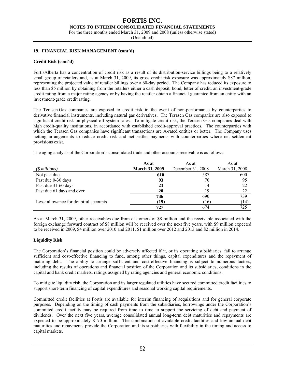**NOTES TO INTERIM CONSOLIDATED FINANCIAL STATEMENTS** 

For the three months ended March 31, 2009 and 2008 (unless otherwise stated)

(Unaudited)

#### **19. FINANCIAL RISK MANAGEMENT (cont'd)**

#### **Credit Risk (cont'd)**

FortisAlberta has a concentration of credit risk as a result of its distribution-service billings being to a relatively small group of retailers and, as at March 31, 2009, its gross credit risk exposure was approximately \$87 million, representing the projected value of retailer billings over a 60-day period. The Company has reduced its exposure to less than \$5 million by obtaining from the retailers either a cash deposit, bond, letter of credit, an investment-grade credit rating from a major rating agency or by having the retailer obtain a financial guarantee from an entity with an investment-grade credit rating.

The Terasen Gas companies are exposed to credit risk in the event of non-performance by counterparties to derivative financial instruments, including natural gas derivatives. The Terasen Gas companies are also exposed to significant credit risk on physical off-system sales. To mitigate credit risk, the Terasen Gas companies deal with high credit-quality institutions, in accordance with established credit-approval practices. The counterparties with which the Terasen Gas companies have significant transactions are A-rated entities or better. The Company uses netting arrangements to reduce credit risk and net settles payments with counterparties where net settlement provisions exist.

The aging analysis of the Corporation's consolidated trade and other accounts receivable is as follows:

|                                       | As at                 | As at             | As at          |
|---------------------------------------|-----------------------|-------------------|----------------|
| $(S$ millions)                        | <b>March 31, 2009</b> | December 31, 2008 | March 31, 2008 |
| Not past due                          | 610                   | 587               | 600            |
| Past due 0-30 days                    | 93                    | 70                | 95             |
| Past due 31-60 days                   | 23                    | 14                | 22             |
| Past due 61 days and over             | 20                    | 19                | 22             |
|                                       | 746                   | 690               | 739            |
| Less: allowance for doubtful accounts | (19)                  | (16)              | (14)           |
|                                       | 727                   | 674               | 725            |

As at March 31, 2009, other receivables due from customers of \$8 million and the receivable associated with the foreign exchange forward contract of \$8 million will be received over the next five years, with \$9 million expected to be received in 2009, \$4 million over 2010 and 2011, \$1 million over 2012 and 2013 and \$2 million in 2014.

#### **Liquidity Risk**

The Corporation's financial position could be adversely affected if it, or its operating subsidiaries, fail to arrange sufficient and cost-effective financing to fund, among other things, capital expenditures and the repayment of maturing debt. The ability to arrange sufficient and cost-effective financing is subject to numerous factors, including the results of operations and financial position of the Corporation and its subsidiaries, conditions in the capital and bank credit markets, ratings assigned by rating agencies and general economic conditions.

To mitigate liquidity risk, the Corporation and its larger regulated utilities have secured committed credit facilities to support short-term financing of capital expenditures and seasonal working capital requirements.

Committed credit facilities at Fortis are available for interim financing of acquisitions and for general corporate purposes. Depending on the timing of cash payments from the subsidiaries, borrowings under the Corporation's committed credit facility may be required from time to time to support the servicing of debt and payment of dividends. Over the next five years, average consolidated annual long-term debt maturities and repayments are expected to be approximately \$170 million. The combination of available credit facilities and low annual debt maturities and repayments provide the Corporation and its subsidiaries with flexibility in the timing and access to capital markets.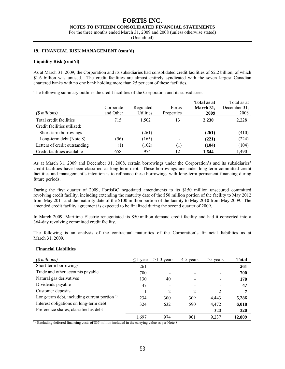#### **FORTIS INC. NOTES TO INTERIM CONSOLIDATED FINANCIAL STATEMENTS**

For the three months ended March 31, 2009 and 2008 (unless otherwise stated)

(Unaudited)

#### **19. FINANCIAL RISK MANAGEMENT (cont'd)**

#### **Liquidity Risk (cont'd)**

As at March 31, 2009, the Corporation and its subsidiaries had consolidated credit facilities of \$2.2 billion, of which \$1.6 billion was unused. The credit facilities are almost entirely syndicated with the seven largest Canadian chartered banks with no one bank holding more than 25 per cent of these facilities.

The following summary outlines the credit facilities of the Corporation and its subsidiaries.

| $(S$ millions)                | Corporate<br>and Other | Regulated<br>Utilities | Fortis<br>Properties | Total as at<br>March 31,<br>2009 | Total as at<br>December 31,<br>2008 |
|-------------------------------|------------------------|------------------------|----------------------|----------------------------------|-------------------------------------|
| Total credit facilities       | 715                    | 1,502                  | 13                   | 2,230                            | 2,228                               |
| Credit facilities utilized:   |                        |                        |                      |                                  |                                     |
| Short-term borrowings         |                        | (261)                  |                      | (261)                            | (410)                               |
| Long-term debt (Note 8)       | (56)                   | (165)                  |                      | (221)                            | (224)                               |
| Letters of credit outstanding |                        | (102)                  |                      | (104)                            | (104)                               |
| Credit facilities available   | 658                    | 974                    | 12                   | 1,644                            | 1,490                               |

As at March 31, 2009 and December 31, 2008, certain borrowings under the Corporation's and its subsidiaries' credit facilities have been classified as long-term debt. These borrowings are under long-term committed credit facilities and management's intention is to refinance these borrowings with long-term permanent financing during future periods.

During the first quarter of 2009, FortisBC negotiated amendments to its \$150 million unsecured committed revolving credit facility, including extending the maturity date of the \$50 million portion of the facility to May 2012 from May 2011 and the maturity date of the \$100 million portion of the facility to May 2010 from May 2009. The amended credit facility agreement is expected to be finalized during the second quarter of 2009.

In March 2009, Maritime Electric renegotiated its \$50 million demand credit facility and had it converted into a 364-day revolving committed credit facility.

The following is an analysis of the contractual maturities of the Corporation's financial liabilities as at March 31, 2009.

#### **Financial Liabilities**

| $($$ millions)                                     | $\leq$ 1 year | $>1-3$ years   | 4-5 years | $>5$ years | <b>Total</b> |
|----------------------------------------------------|---------------|----------------|-----------|------------|--------------|
| Short-term borrowings                              | 261           |                |           |            | 261          |
| Trade and other accounts payable                   | 700           | ۰              |           |            | 700          |
| Natural gas derivatives                            | 130           | 40             |           |            | 170          |
| Dividends payable                                  | 47            |                |           |            | 47           |
| Customer deposits                                  |               | $\mathfrak{D}$ | 2         |            | 7            |
| Long-term debt, including current portion $\alpha$ | 234           | 300            | 309       | 4,443      | 5,286        |
| Interest obligations on long-term debt             | 324           | 632            | 590       | 4,472      | 6,018        |
| Preference shares, classified as debt              |               |                |           | 320        | 320          |
|                                                    | 1.697         | 974            | 901       | 9,237      | 12,809       |

 $\overline{p}$  Excluding deferred financing costs of \$35 million included in the carrying value as per Note 8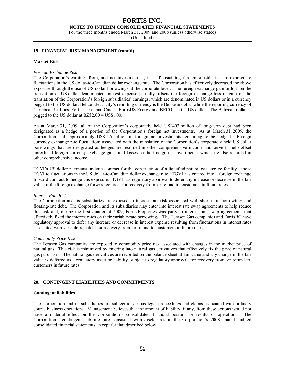**NOTES TO INTERIM CONSOLIDATED FINANCIAL STATEMENTS** 

For the three months ended March 31, 2009 and 2008 (unless otherwise stated)

(Unaudited)

#### **19. FINANCIAL RISK MANAGEMENT (cont'd)**

#### **Market Risk**

#### *Foreign Exchange Risk*

The Corporation's earnings from, and net investment in, its self-sustaining foreign subsidiaries are exposed to fluctuations in the US dollar-to-Canadian dollar exchange rate. The Corporation has effectively decreased the above exposure through the use of US dollar borrowings at the corporate level. The foreign exchange gain or loss on the translation of US dollar-denominated interest expense partially offsets the foreign exchange loss or gain on the translation of the Corporation's foreign subsidiaries' earnings, which are denominated in US dollars or in a currency pegged to the US dollar. Belize Electricity's reporting currency is the Belizean dollar while the reporting currency of Caribbean Utilities, Fortis Turks and Caicos, FortisUS Energy and BECOL is the US dollar. The Belizean dollar is pegged to the US dollar at BZ\$2.00 = US\$1.00.

As at March 31, 2009, all of the Corporation's corporately held US\$403 million of long-term debt had been designated as a hedge of a portion of the Corporation's foreign net investments. As at March 31, 2009, the Corporation had approximately US\$125 million in foreign net investments remaining to be hedged. Foreign currency exchange rate fluctuations associated with the translation of the Corporation's corporately held US dollar borrowings that are designated as hedges are recorded in other comprehensive income and serve to help offset unrealized foreign currency exchange gains and losses on the foreign net investments, which are also recorded in other comprehensive income.

TGVI's US dollar payments under a contract for the construction of a liquefied natural gas storage facility expose TGVI to fluctuations in the US dollar-to-Canadian dollar exchange rate. TGVI has entered into a foreign exchange forward contract to hedge this exposure. TGVI has regulatory approval to defer any increase or decrease in the fair value of the foreign exchange forward contract for recovery from, or refund to, customers in future rates.

#### *Interest Rate Risk*

The Corporation and its subsidiaries are exposed to interest rate risk associated with short-term borrowings and floating-rate debt. The Corporation and its subsidiaries may enter into interest rate swap agreements to help reduce this risk and, during the first quarter of 2009, Fortis Properties was party to interest rate swap agreements that effectively fixed the interest rates on their variable-rate borrowings. The Terasen Gas companies and FortisBC have regulatory approval to defer any increase or decrease in interest expense resulting from fluctuations in interest rates associated with variable-rate debt for recovery from, or refund to, customers in future rates.

#### *Commodity Price Risk*

The Terasen Gas companies are exposed to commodity price risk associated with changes in the market price of natural gas. This risk is minimized by entering into natural gas derivatives that effectively fix the price of natural gas purchases. The natural gas derivatives are recorded on the balance sheet at fair value and any change in the fair value is deferred as a regulatory asset or liability, subject to regulatory approval, for recovery from, or refund to, customers in future rates.

#### **20. CONTINGENT LIABILITIES AND COMMITMENTS**

#### **Contingent liabilities**

The Corporation and its subsidiaries are subject to various legal proceedings and claims associated with ordinary course business operations. Management believes that the amount of liability, if any, from these actions would not have a material effect on the Corporation's consolidated financial position or results of operations. The Corporation's contingent liabilities are consistent with disclosures in the Corporation's 2008 annual audited consolidated financial statements, except for that described below.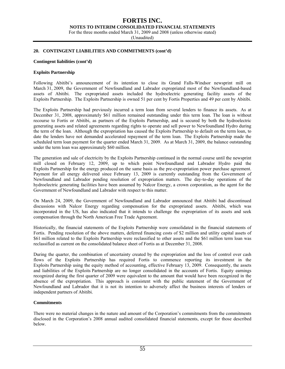**NOTES TO INTERIM CONSOLIDATED FINANCIAL STATEMENTS** 

For the three months ended March 31, 2009 and 2008 (unless otherwise stated)

(Unaudited)

#### **20. CONTINGENT LIABILITIES AND COMMITMENTS (cont'd)**

#### **Contingent liabilities (cont'd)**

#### **Exploits Partnership**

Following Abitibi's announcement of its intention to close its Grand Falls-Windsor newsprint mill on March 31, 2009, the Government of Newfoundland and Labrador expropriated most of the Newfoundland-based assets of Abitibi. The expropriated assets included the hydroelectric generating facility assets of the Exploits Partnership. The Exploits Partnership is owned 51 per cent by Fortis Properties and 49 per cent by Abitibi.

The Exploits Partnership had previously incurred a term loan from several lenders to finance its assets. As at December 31, 2008, approximately \$61 million remained outstanding under this term loan. The loan is without recourse to Fortis or Abitibi, as partners of the Exploits Partnership, and is secured by both the hydroelectric generating assets and related agreements regarding rights to operate and sell power to Newfoundland Hydro during the term of the loan. Although the expropriation has caused the Exploits Partnership to default on the term loan, to date the lenders have not demanded accelerated repayment of the term loan. The Exploits Partnership made the scheduled term loan payment for the quarter ended March 31, 2009. As at March 31, 2009, the balance outstanding under the term loan was approximately \$60 million.

The generation and sale of electricity by the Exploits Partnership continued in the normal course until the newsprint mill closed on February 12, 2009, up to which point Newfoundland and Labrador Hydro paid the Exploits Partnership for the energy produced on the same basis as the pre-expropriation power purchase agreement. Payment for all energy delivered since February 13, 2009 is currently outstanding from the Government of Newfoundland and Labrador pending resolution of expropriation matters. The day-to-day operations of the hydroelectric generating facilities have been assumed by Nalcor Energy, a crown corporation, as the agent for the Government of Newfoundland and Labrador with respect to this matter.

On March 24, 2009, the Government of Newfoundland and Labrador announced that Abitibi had discontinued discussions with Nalcor Energy regarding compensation for the expropriated assets. Abitibi, which was incorporated in the US, has also indicated that it intends to challenge the expropriation of its assets and seek compensation through the North American Free Trade Agreement.

Historically, the financial statements of the Exploits Partnership were consolidated in the financial statements of Fortis. Pending resolution of the above matters, deferred financing costs of \$2 million and utility capital assets of \$61 million related to the Exploits Partnership were reclassified to other assets and the \$61 million term loan was reclassified as current on the consolidated balance sheet of Fortis as at December 31, 2008.

During the quarter, the combination of uncertainty created by the expropriation and the loss of control over cash flows of the Exploits Partnership has required Fortis to commence reporting its investment in the Exploits Partnership using the equity method of accounting, effective February 13, 2009. Consequently, the assets and liabilities of the Exploits Partnership are no longer consolidated in the accounts of Fortis. Equity earnings recognized during the first quarter of 2009 were equivalent to the amount that would have been recognized in the absence of the expropriation. This approach is consistent with the public statement of the Government of Newfoundland and Labrador that it is not its intention to adversely affect the business interests of lenders or independent partners of Abitibi.

#### **Commitments**

There were no material changes in the nature and amount of the Corporation's commitments from the commitments disclosed in the Corporation's 2008 annual audited consolidated financial statements, except for those described below.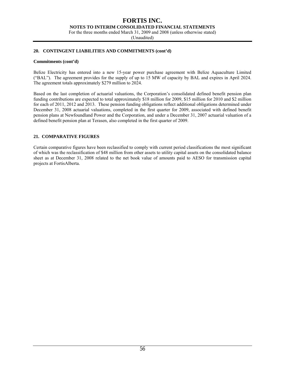**NOTES TO INTERIM CONSOLIDATED FINANCIAL STATEMENTS** 

For the three months ended March 31, 2009 and 2008 (unless otherwise stated)

(Unaudited)

#### **20. CONTINGENT LIABILITIES AND COMMITMENTS (cont'd)**

#### **Commitments (cont'd)**

Belize Electricity has entered into a new 15-year power purchase agreement with Belize Aquaculture Limited ("BAL"). The agreement provides for the supply of up to 15 MW of capacity by BAL and expires in April 2024. The agreement totals approximately \$279 million to 2024.

Based on the last completion of actuarial valuations, the Corporation's consolidated defined benefit pension plan funding contributions are expected to total approximately \$18 million for 2009, \$15 million for 2010 and \$2 million for each of 2011, 2012 and 2013. These pension funding obligations reflect additional obligations determined under December 31, 2008 actuarial valuations, completed in the first quarter for 2009, associated with defined benefit pension plans at Newfoundland Power and the Corporation, and under a December 31, 2007 actuarial valuation of a defined benefit pension plan at Terasen, also completed in the first quarter of 2009.

#### **21. COMPARATIVE FIGURES**

Certain comparative figures have been reclassified to comply with current period classifications the most significant of which was the reclassification of \$48 million from other assets to utility capital assets on the consolidated balance sheet as at December 31, 2008 related to the net book value of amounts paid to AESO for transmission capital projects at FortisAlberta.